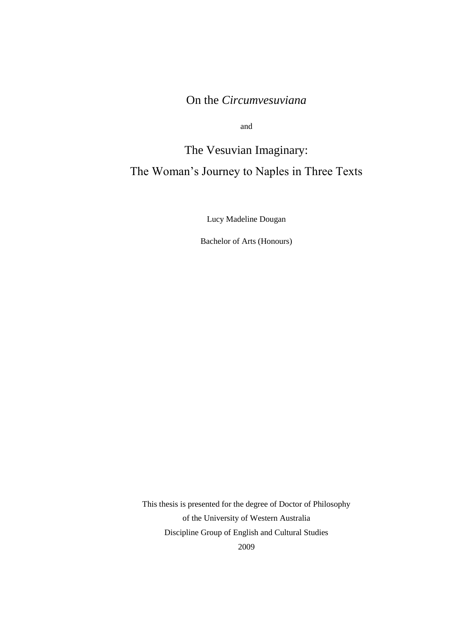# On the *Circumvesuviana*

and

# The Vesuvian Imaginary: The Woman"s Journey to Naples in Three Texts

Lucy Madeline Dougan

Bachelor of Arts (Honours)

This thesis is presented for the degree of Doctor of Philosophy of the University of Western Australia Discipline Group of English and Cultural Studies 2009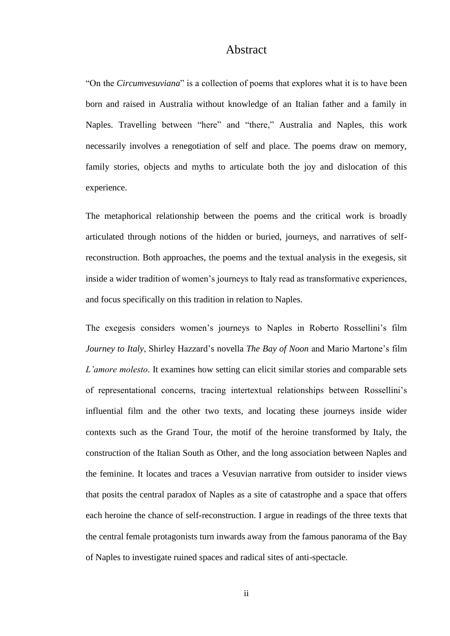### Abstract

"On the *Circumvesuviana*" is a collection of poems that explores what it is to have been born and raised in Australia without knowledge of an Italian father and a family in Naples. Travelling between "here" and "there," Australia and Naples, this work necessarily involves a renegotiation of self and place. The poems draw on memory, family stories, objects and myths to articulate both the joy and dislocation of this experience.

The metaphorical relationship between the poems and the critical work is broadly articulated through notions of the hidden or buried, journeys, and narratives of selfreconstruction. Both approaches, the poems and the textual analysis in the exegesis, sit inside a wider tradition of women"s journeys to Italy read as transformative experiences, and focus specifically on this tradition in relation to Naples.

The exegesis considers women"s journeys to Naples in Roberto Rossellini"s film *Journey to Italy*, Shirley Hazzard"s novella *The Bay of Noon* and Mario Martone"s film *L"amore molesto*. It examines how setting can elicit similar stories and comparable sets of representational concerns, tracing intertextual relationships between Rossellini"s influential film and the other two texts, and locating these journeys inside wider contexts such as the Grand Tour, the motif of the heroine transformed by Italy, the construction of the Italian South as Other, and the long association between Naples and the feminine. It locates and traces a Vesuvian narrative from outsider to insider views that posits the central paradox of Naples as a site of catastrophe and a space that offers each heroine the chance of self-reconstruction. I argue in readings of the three texts that the central female protagonists turn inwards away from the famous panorama of the Bay of Naples to investigate ruined spaces and radical sites of anti-spectacle.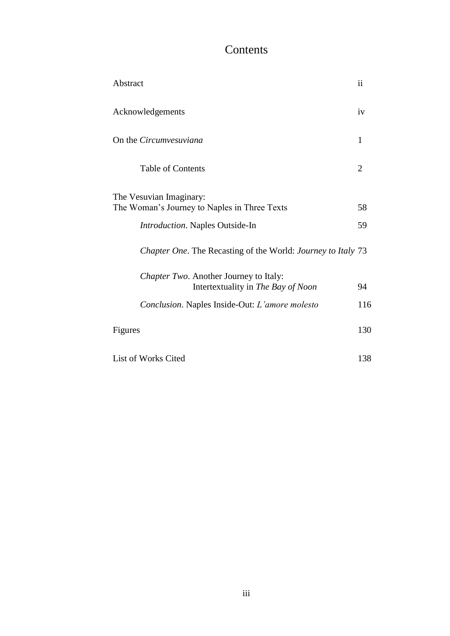# Contents

| Abstract                                                     | $\mathbf{ii}$ |
|--------------------------------------------------------------|---------------|
| Acknowledgements                                             | iv            |
| On the Circumvesuviana                                       | $\mathbf{1}$  |
| <b>Table of Contents</b>                                     | 2             |
| The Vesuvian Imaginary:                                      |               |
| The Woman's Journey to Naples in Three Texts                 | 58            |
| Introduction. Naples Outside-In                              | 59            |
| Chapter One. The Recasting of the World: Journey to Italy 73 |               |
| Chapter Two. Another Journey to Italy:                       |               |
| Intertextuality in The Bay of Noon                           | 94            |
| Conclusion. Naples Inside-Out: L'amore molesto               | 116           |
| Figures                                                      | 130           |
| List of Works Cited                                          | 138           |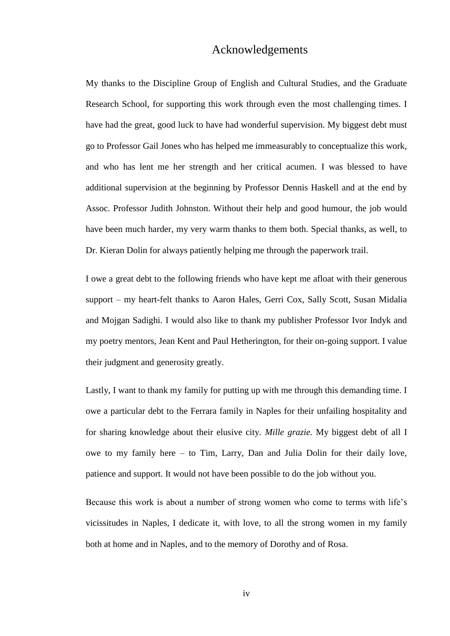## Acknowledgements

My thanks to the Discipline Group of English and Cultural Studies, and the Graduate Research School, for supporting this work through even the most challenging times. I have had the great, good luck to have had wonderful supervision. My biggest debt must go to Professor Gail Jones who has helped me immeasurably to conceptualize this work, and who has lent me her strength and her critical acumen. I was blessed to have additional supervision at the beginning by Professor Dennis Haskell and at the end by Assoc. Professor Judith Johnston. Without their help and good humour, the job would have been much harder, my very warm thanks to them both. Special thanks, as well, to Dr. Kieran Dolin for always patiently helping me through the paperwork trail.

I owe a great debt to the following friends who have kept me afloat with their generous support – my heart-felt thanks to Aaron Hales, Gerri Cox, Sally Scott, Susan Midalia and Mojgan Sadighi. I would also like to thank my publisher Professor Ivor Indyk and my poetry mentors, Jean Kent and Paul Hetherington, for their on-going support. I value their judgment and generosity greatly.

Lastly, I want to thank my family for putting up with me through this demanding time. I owe a particular debt to the Ferrara family in Naples for their unfailing hospitality and for sharing knowledge about their elusive city. *Mille grazie.* My biggest debt of all I owe to my family here – to Tim, Larry, Dan and Julia Dolin for their daily love, patience and support. It would not have been possible to do the job without you.

Because this work is about a number of strong women who come to terms with life"s vicissitudes in Naples, I dedicate it, with love, to all the strong women in my family both at home and in Naples, and to the memory of Dorothy and of Rosa.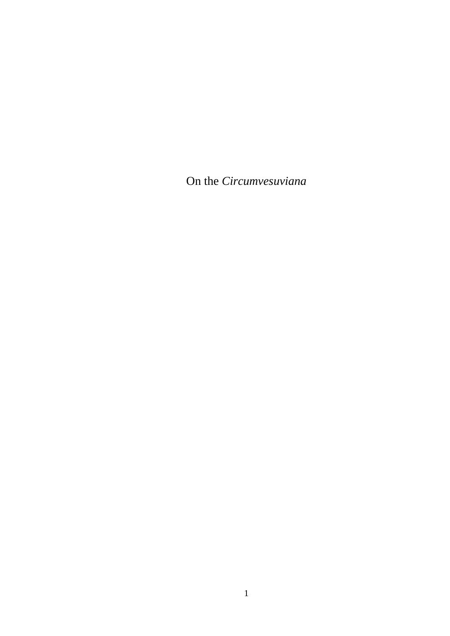On the *Circumvesuviana*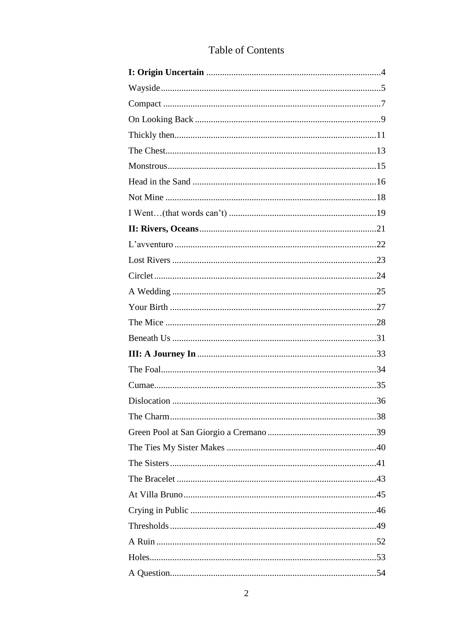# Table of Contents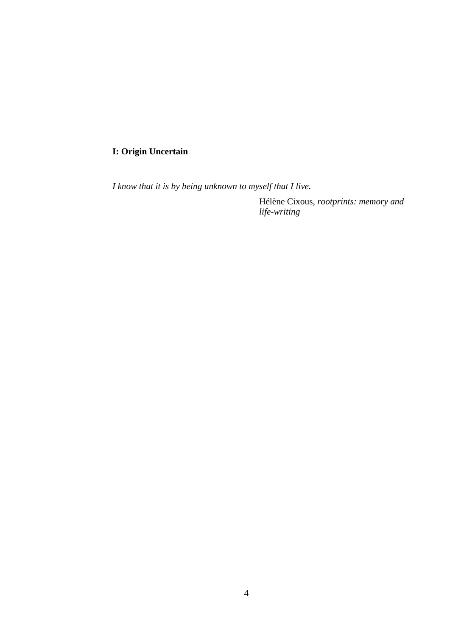### **I: Origin Uncertain**

*I know that it is by being unknown to myself that I live.*

Hélène Cixous, *rootprints: memory and life-writing*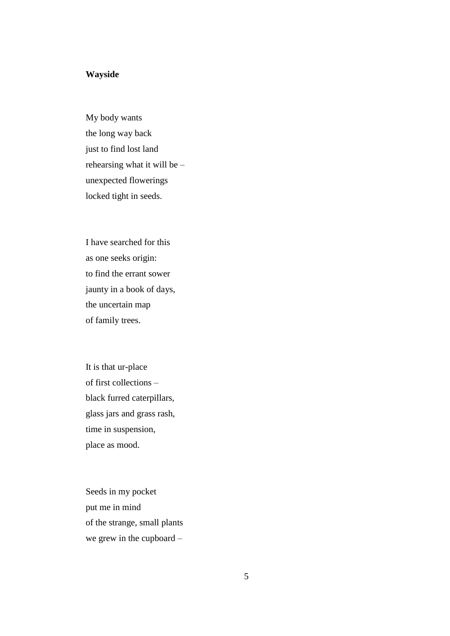#### **Wayside**

My body wants the long way back just to find lost land rehearsing what it will be – unexpected flowerings locked tight in seeds.

I have searched for this as one seeks origin: to find the errant sower jaunty in a book of days, the uncertain map of family trees.

It is that ur-place of first collections – black furred caterpillars, glass jars and grass rash, time in suspension, place as mood.

Seeds in my pocket put me in mind of the strange, small plants we grew in the cupboard –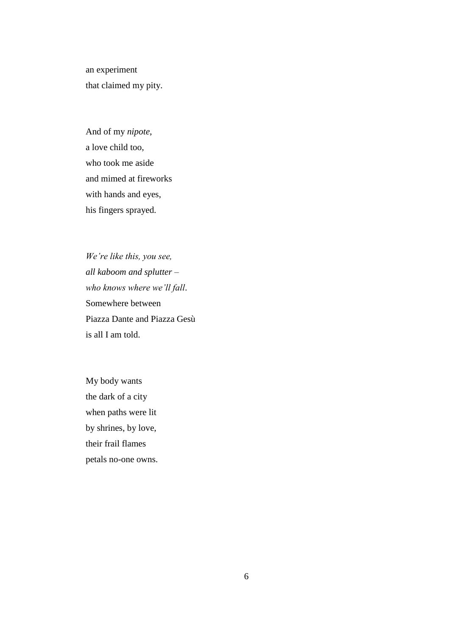an experiment that claimed my pity.

And of my *nipote*, a love child too, who took me aside and mimed at fireworks with hands and eyes, his fingers sprayed.

*We"re like this, you see, all kaboom and splutter – who knows where we"ll fall*. Somewhere between Piazza Dante and Piazza Gesù is all I am told.

My body wants the dark of a city when paths were lit by shrines, by love, their frail flames petals no-one owns.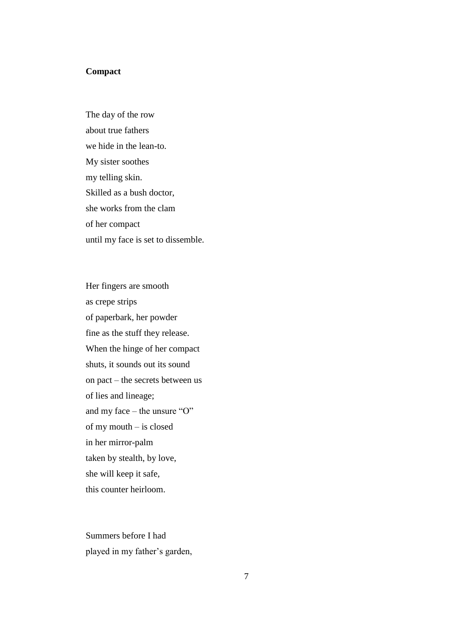### **Compact**

The day of the row about true fathers we hide in the lean-to. My sister soothes my telling skin. Skilled as a bush doctor, she works from the clam of her compact until my face is set to dissemble.

Her fingers are smooth as crepe strips of paperbark, her powder fine as the stuff they release. When the hinge of her compact shuts, it sounds out its sound on pact – the secrets between us of lies and lineage; and my face – the unsure "O" of my mouth – is closed in her mirror-palm taken by stealth, by love, she will keep it safe, this counter heirloom.

Summers before I had played in my father"s garden,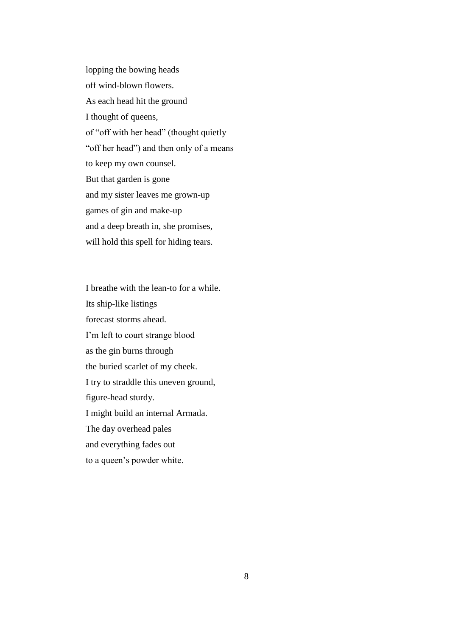lopping the bowing heads off wind-blown flowers. As each head hit the ground I thought of queens, of "off with her head" (thought quietly "off her head") and then only of a means to keep my own counsel. But that garden is gone and my sister leaves me grown-up games of gin and make-up and a deep breath in, she promises, will hold this spell for hiding tears.

I breathe with the lean-to for a while. Its ship-like listings forecast storms ahead. I"m left to court strange blood as the gin burns through the buried scarlet of my cheek. I try to straddle this uneven ground, figure-head sturdy. I might build an internal Armada. The day overhead pales and everything fades out to a queen"s powder white.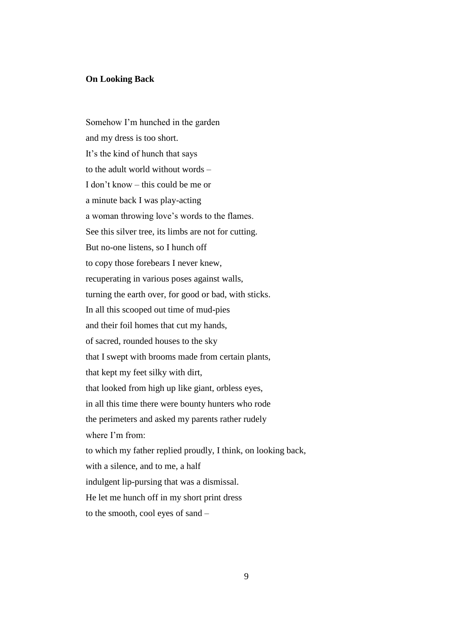#### **On Looking Back**

Somehow I"m hunched in the garden and my dress is too short. It"s the kind of hunch that says to the adult world without words – I don"t know – this could be me or a minute back I was play-acting a woman throwing love"s words to the flames. See this silver tree, its limbs are not for cutting. But no-one listens, so I hunch off to copy those forebears I never knew, recuperating in various poses against walls, turning the earth over, for good or bad, with sticks. In all this scooped out time of mud-pies and their foil homes that cut my hands, of sacred, rounded houses to the sky that I swept with brooms made from certain plants, that kept my feet silky with dirt, that looked from high up like giant, orbless eyes, in all this time there were bounty hunters who rode the perimeters and asked my parents rather rudely where I'm from: to which my father replied proudly, I think, on looking back, with a silence, and to me, a half indulgent lip-pursing that was a dismissal. He let me hunch off in my short print dress to the smooth, cool eyes of sand –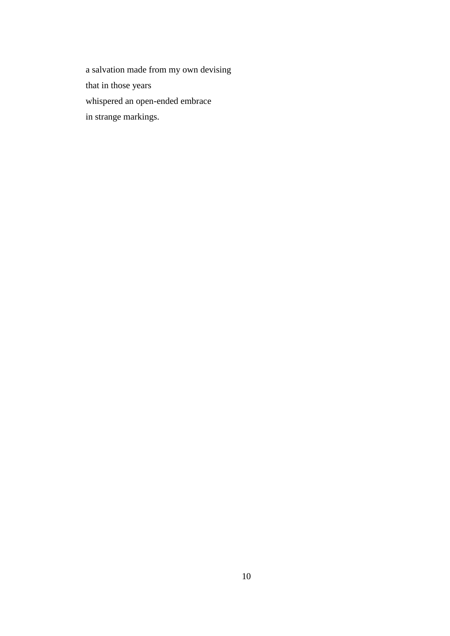a salvation made from my own devising that in those years whispered an open-ended embrace in strange markings.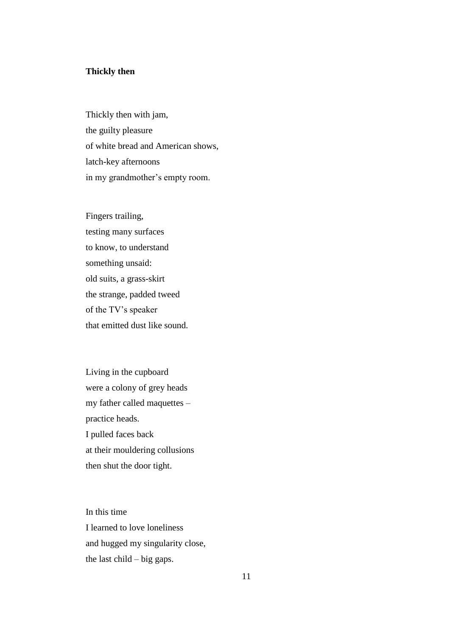#### **Thickly then**

Thickly then with jam, the guilty pleasure of white bread and American shows, latch-key afternoons in my grandmother's empty room.

Fingers trailing, testing many surfaces to know, to understand something unsaid: old suits, a grass-skirt the strange, padded tweed of the TV"s speaker that emitted dust like sound.

Living in the cupboard were a colony of grey heads my father called maquettes – practice heads. I pulled faces back at their mouldering collusions then shut the door tight.

In this time I learned to love loneliness and hugged my singularity close, the last  $child - big$  gaps.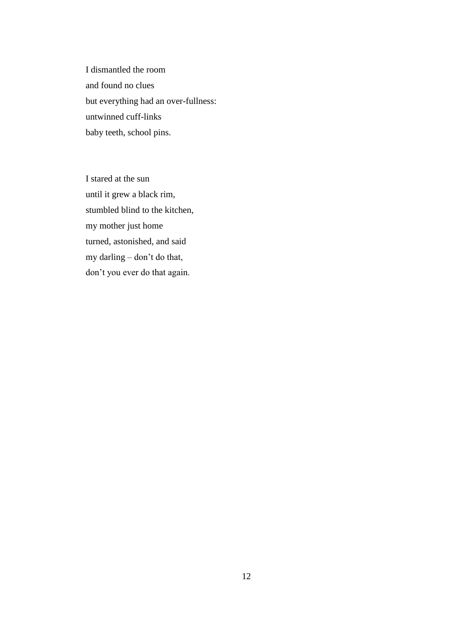I dismantled the room and found no clues but everything had an over-fullness: untwinned cuff-links baby teeth, school pins.

I stared at the sun until it grew a black rim, stumbled blind to the kitchen, my mother just home turned, astonished, and said my darling – don"t do that, don"t you ever do that again.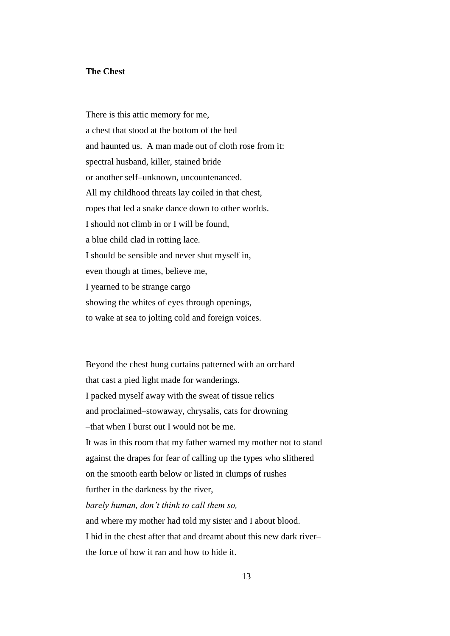#### **The Chest**

There is this attic memory for me, a chest that stood at the bottom of the bed and haunted us. A man made out of cloth rose from it: spectral husband, killer, stained bride or another self–unknown, uncountenanced. All my childhood threats lay coiled in that chest, ropes that led a snake dance down to other worlds. I should not climb in or I will be found, a blue child clad in rotting lace. I should be sensible and never shut myself in, even though at times, believe me, I yearned to be strange cargo showing the whites of eyes through openings, to wake at sea to jolting cold and foreign voices.

Beyond the chest hung curtains patterned with an orchard that cast a pied light made for wanderings. I packed myself away with the sweat of tissue relics and proclaimed–stowaway, chrysalis, cats for drowning –that when I burst out I would not be me. It was in this room that my father warned my mother not to stand against the drapes for fear of calling up the types who slithered on the smooth earth below or listed in clumps of rushes further in the darkness by the river, *barely human, don"t think to call them so,* and where my mother had told my sister and I about blood. I hid in the chest after that and dreamt about this new dark river– the force of how it ran and how to hide it.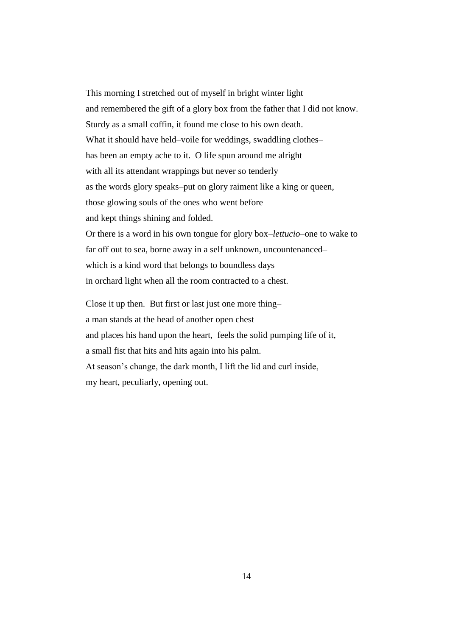This morning I stretched out of myself in bright winter light and remembered the gift of a glory box from the father that I did not know. Sturdy as a small coffin, it found me close to his own death. What it should have held–voile for weddings, swaddling clothes– has been an empty ache to it. O life spun around me alright with all its attendant wrappings but never so tenderly as the words glory speaks–put on glory raiment like a king or queen, those glowing souls of the ones who went before and kept things shining and folded. Or there is a word in his own tongue for glory box–*lettucio*–one to wake to far off out to sea, borne away in a self unknown, uncountenanced– which is a kind word that belongs to boundless days in orchard light when all the room contracted to a chest. Close it up then. But first or last just one more thing–

a man stands at the head of another open chest and places his hand upon the heart, feels the solid pumping life of it, a small fist that hits and hits again into his palm. At season"s change, the dark month, I lift the lid and curl inside, my heart, peculiarly, opening out.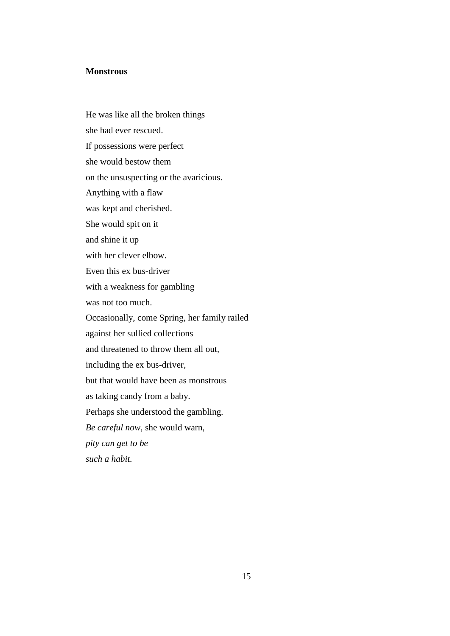#### **Monstrous**

He was like all the broken things she had ever rescued. If possessions were perfect she would bestow them on the unsuspecting or the avaricious. Anything with a flaw was kept and cherished. She would spit on it and shine it up with her clever elbow. Even this ex bus-driver with a weakness for gambling was not too much. Occasionally, come Spring, her family railed against her sullied collections and threatened to throw them all out, including the ex bus-driver, but that would have been as monstrous as taking candy from a baby. Perhaps she understood the gambling. *Be careful now*, she would warn, *pity can get to be such a habit.*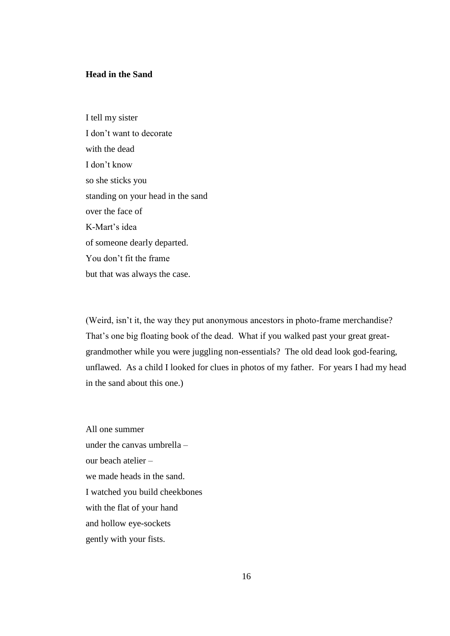#### **Head in the Sand**

I tell my sister I don"t want to decorate with the dead I don"t know so she sticks you standing on your head in the sand over the face of K-Mart"s idea of someone dearly departed. You don"t fit the frame but that was always the case.

(Weird, isn't it, the way they put anonymous ancestors in photo-frame merchandise? That's one big floating book of the dead. What if you walked past your great greatgrandmother while you were juggling non-essentials? The old dead look god-fearing, unflawed. As a child I looked for clues in photos of my father. For years I had my head in the sand about this one.)

All one summer under the canvas umbrella – our beach atelier – we made heads in the sand. I watched you build cheekbones with the flat of your hand and hollow eye-sockets gently with your fists.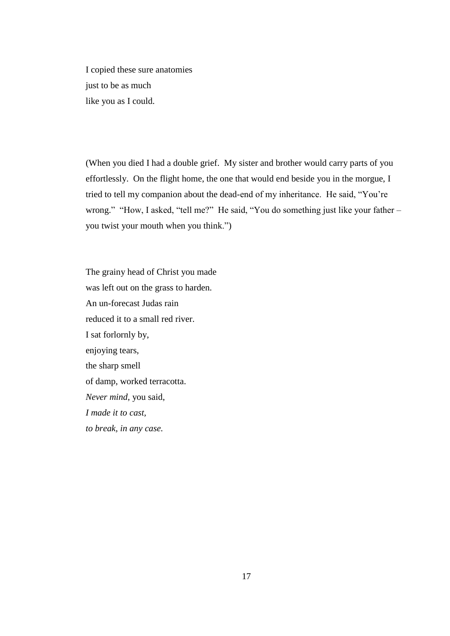I copied these sure anatomies just to be as much like you as I could.

(When you died I had a double grief. My sister and brother would carry parts of you effortlessly. On the flight home, the one that would end beside you in the morgue, I tried to tell my companion about the dead-end of my inheritance. He said, "You"re wrong." "How, I asked, "tell me?" He said, "You do something just like your father – you twist your mouth when you think.")

The grainy head of Christ you made was left out on the grass to harden. An un-forecast Judas rain reduced it to a small red river. I sat forlornly by, enjoying tears, the sharp smell of damp, worked terracotta. *Never mind*, you said, *I made it to cast, to break, in any case.*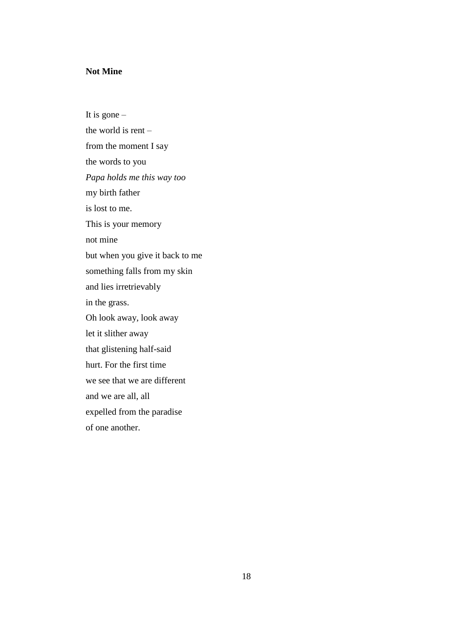### **Not Mine**

It is gone  $$ the world is rent – from the moment I say the words to you *Papa holds me this way too* my birth father is lost to me. This is your memory not mine but when you give it back to me something falls from my skin and lies irretrievably in the grass. Oh look away, look away let it slither away that glistening half-said hurt. For the first time we see that we are different and we are all, all expelled from the paradise of one another.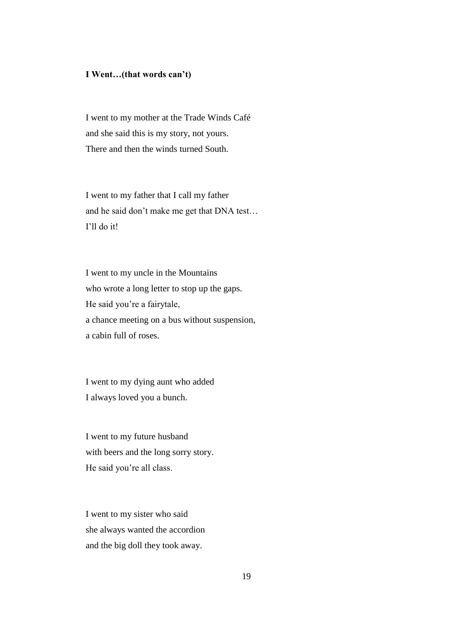#### **I Went…(that words can't)**

I went to my mother at the Trade Winds Café and she said this is my story, not yours. There and then the winds turned South.

I went to my father that I call my father and he said don"t make me get that DNA test… I"ll do it!

I went to my uncle in the Mountains who wrote a long letter to stop up the gaps. He said you"re a fairytale, a chance meeting on a bus without suspension, a cabin full of roses.

I went to my dying aunt who added I always loved you a bunch.

I went to my future husband with beers and the long sorry story. He said you"re all class.

I went to my sister who said she always wanted the accordion and the big doll they took away.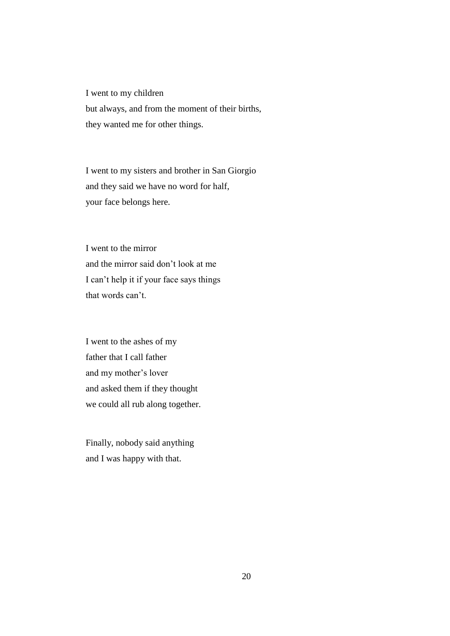I went to my children but always, and from the moment of their births, they wanted me for other things.

I went to my sisters and brother in San Giorgio and they said we have no word for half, your face belongs here.

I went to the mirror and the mirror said don"t look at me I can"t help it if your face says things that words can't.

I went to the ashes of my father that I call father and my mother"s lover and asked them if they thought we could all rub along together.

Finally, nobody said anything and I was happy with that.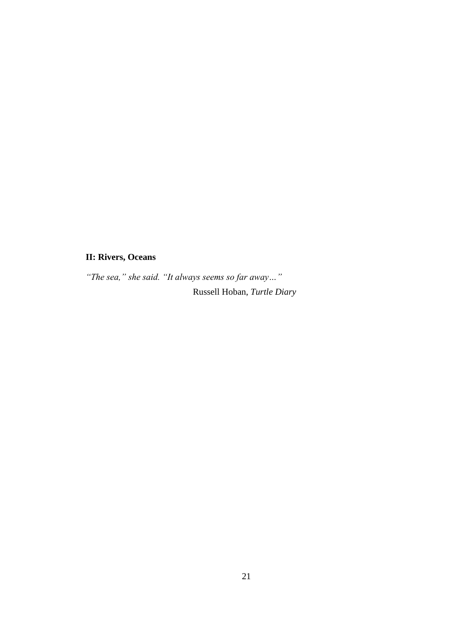# **II: Rivers, Oceans**

*"The sea," she said. "It always seems so far away…"* Russell Hoban, *Turtle Diary*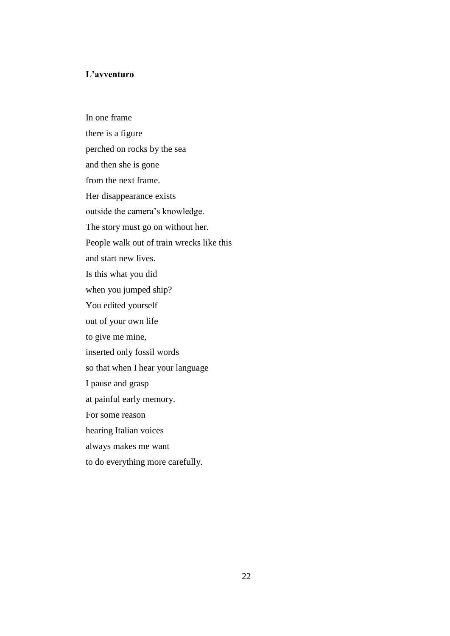#### **L'avventuro**

In one frame there is a figure perched on rocks by the sea and then she is gone from the next frame. Her disappearance exists outside the camera"s knowledge. The story must go on without her. People walk out of train wrecks like this and start new lives. Is this what you did when you jumped ship? You edited yourself out of your own life to give me mine, inserted only fossil words so that when I hear your language I pause and grasp at painful early memory. For some reason hearing Italian voices always makes me want to do everything more carefully.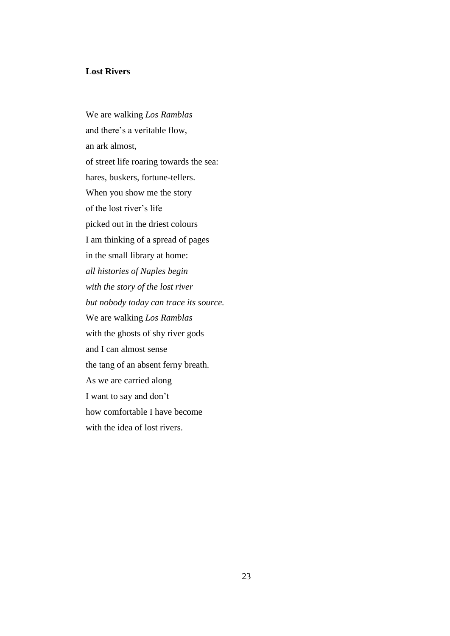#### **Lost Rivers**

We are walking *Los Ramblas* and there"s a veritable flow, an ark almost, of street life roaring towards the sea: hares, buskers, fortune-tellers. When you show me the story of the lost river"s life picked out in the driest colours I am thinking of a spread of pages in the small library at home: *all histories of Naples begin with the story of the lost river but nobody today can trace its source.* We are walking *Los Ramblas* with the ghosts of shy river gods and I can almost sense the tang of an absent ferny breath. As we are carried along I want to say and don"t how comfortable I have become with the idea of lost rivers.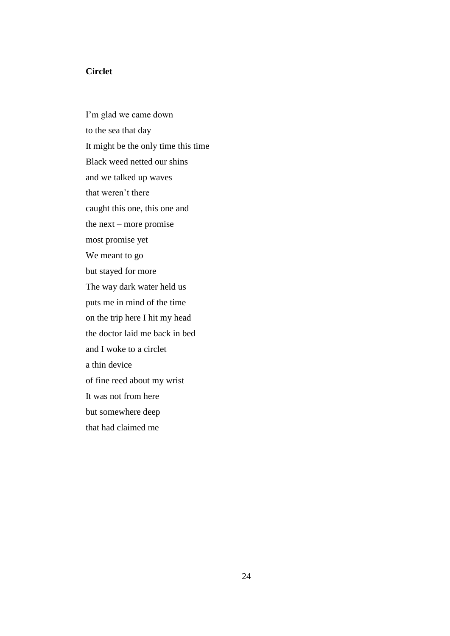#### **Circlet**

I'm glad we came down to the sea that day It might be the only time this time Black weed netted our shins and we talked up waves that weren"t there caught this one, this one and the next – more promise most promise yet We meant to go but stayed for more The way dark water held us puts me in mind of the time on the trip here I hit my head the doctor laid me back in bed and I woke to a circlet a thin device of fine reed about my wrist It was not from here but somewhere deep that had claimed me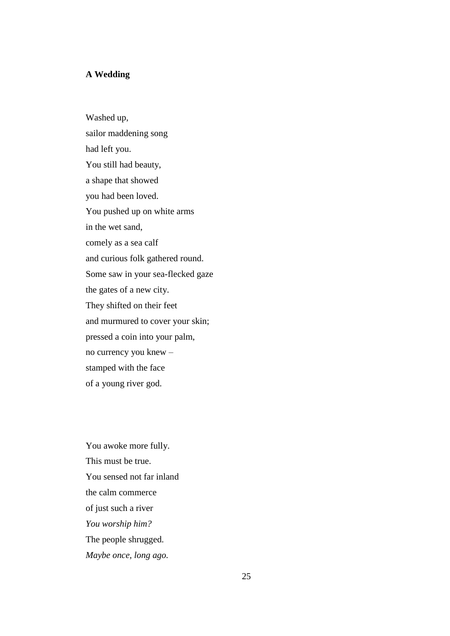#### **A Wedding**

Washed up, sailor maddening song had left you. You still had beauty, a shape that showed you had been loved. You pushed up on white arms in the wet sand, comely as a sea calf and curious folk gathered round. Some saw in your sea-flecked gaze the gates of a new city. They shifted on their feet and murmured to cover your skin; pressed a coin into your palm, no currency you knew – stamped with the face of a young river god.

You awoke more fully. This must be true. You sensed not far inland the calm commerce of just such a river *You worship him?* The people shrugged. *Maybe once, long ago.*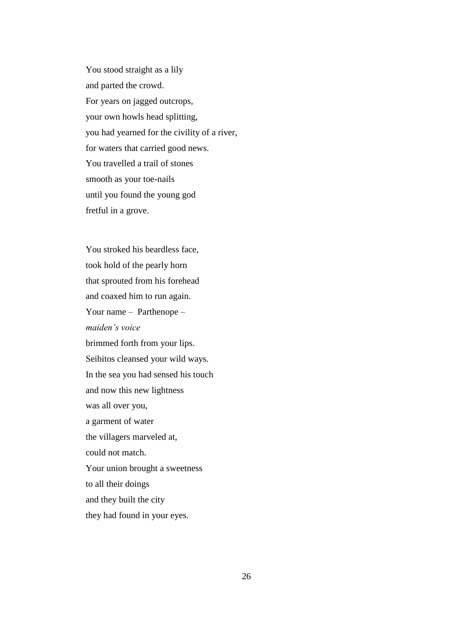You stood straight as a lily and parted the crowd. For years on jagged outcrops, your own howls head splitting, you had yearned for the civility of a river, for waters that carried good news. You travelled a trail of stones smooth as your toe-nails until you found the young god fretful in a grove.

You stroked his beardless face, took hold of the pearly horn that sprouted from his forehead and coaxed him to run again. Your name – Parthenope – *maiden"s voice* brimmed forth from your lips. Seibitos cleansed your wild ways. In the sea you had sensed his touch and now this new lightness was all over you, a garment of water the villagers marveled at, could not match. Your union brought a sweetness to all their doings and they built the city they had found in your eyes.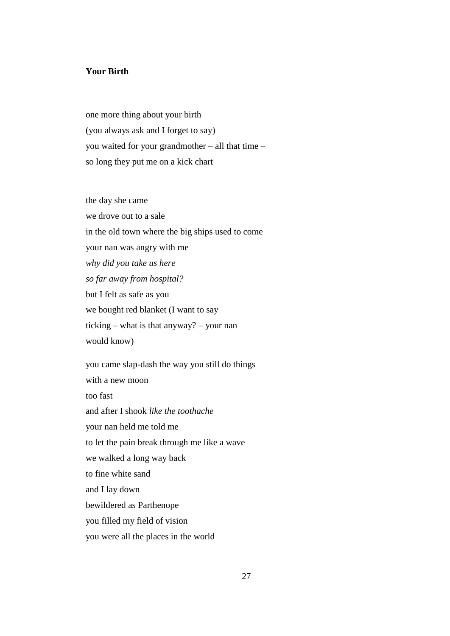#### **Your Birth**

one more thing about your birth (you always ask and I forget to say) you waited for your grandmother – all that time – so long they put me on a kick chart

the day she came we drove out to a sale in the old town where the big ships used to come your nan was angry with me *why did you take us here so far away from hospital?* but I felt as safe as you we bought red blanket (I want to say ticking – what is that anyway? – your nan would know)

you came slap-dash the way you still do things with a new moon too fast and after I shook *like the toothache* your nan held me told me to let the pain break through me like a wave we walked a long way back to fine white sand and I lay down bewildered as Parthenope you filled my field of vision you were all the places in the world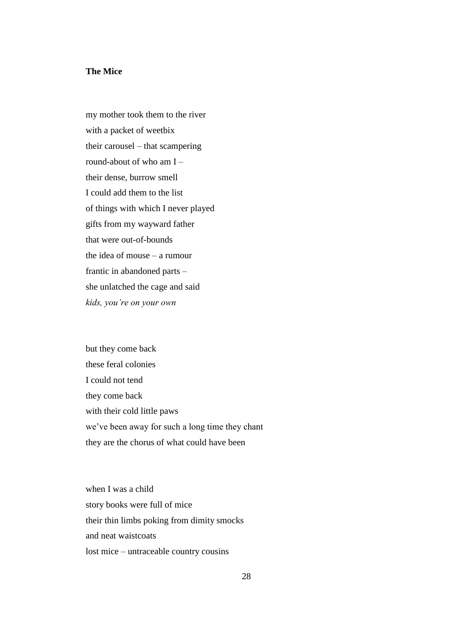#### **The Mice**

my mother took them to the river with a packet of weetbix their carousel – that scampering round-about of who am I – their dense, burrow smell I could add them to the list of things with which I never played gifts from my wayward father that were out-of-bounds the idea of mouse – a rumour frantic in abandoned parts – she unlatched the cage and said *kids, you"re on your own* 

but they come back these feral colonies I could not tend they come back with their cold little paws we"ve been away for such a long time they chant they are the chorus of what could have been

when I was a child story books were full of mice their thin limbs poking from dimity smocks and neat waistcoats lost mice – untraceable country cousins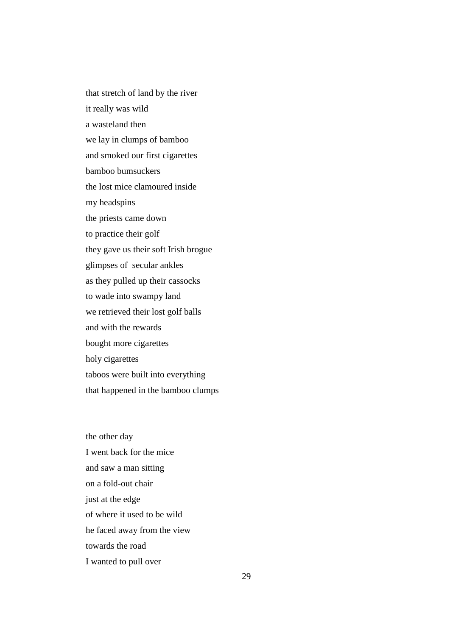that stretch of land by the river it really was wild a wasteland then we lay in clumps of bamboo and smoked our first cigarettes bamboo bumsuckers the lost mice clamoured inside my headspins the priests came down to practice their golf they gave us their soft Irish brogue glimpses of secular ankles as they pulled up their cassocks to wade into swampy land we retrieved their lost golf balls and with the rewards bought more cigarettes holy cigarettes taboos were built into everything that happened in the bamboo clumps

the other day I went back for the mice and saw a man sitting on a fold-out chair just at the edge of where it used to be wild he faced away from the view towards the road I wanted to pull over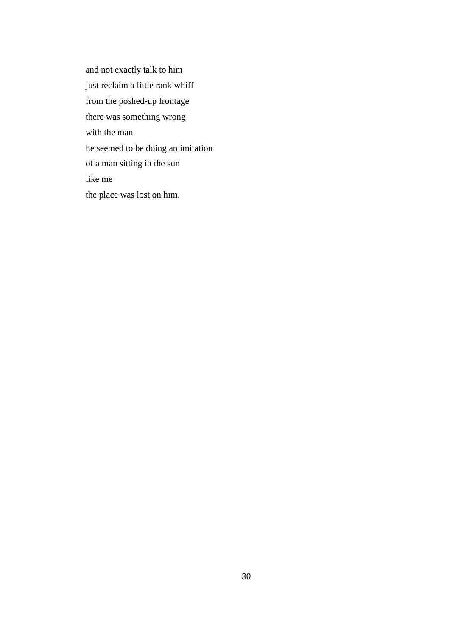and not exactly talk to him just reclaim a little rank whiff from the poshed-up frontage there was something wrong with the man he seemed to be doing an imitation of a man sitting in the sun like me the place was lost on him.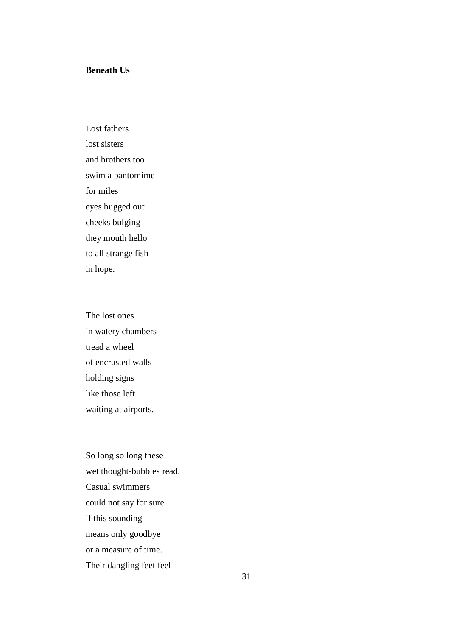#### **Beneath Us**

Lost fathers lost sisters and brothers too swim a pantomime for miles eyes bugged out cheeks bulging they mouth hello to all strange fish in hope.

The lost ones in watery chambers tread a wheel of encrusted walls holding signs like those left waiting at airports.

So long so long these wet thought-bubbles read. Casual swimmers could not say for sure if this sounding means only goodbye or a measure of time. Their dangling feet feel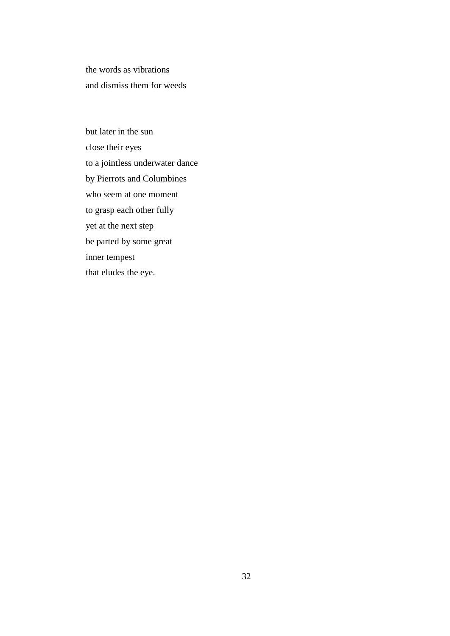the words as vibrations and dismiss them for weeds

but later in the sun close their eyes to a jointless underwater dance by Pierrots and Columbines who seem at one moment to grasp each other fully yet at the next step be parted by some great inner tempest that eludes the eye.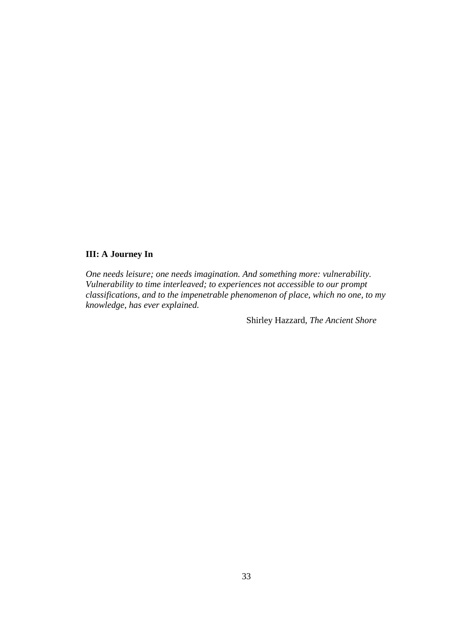# **III: A Journey In**

*One needs leisure; one needs imagination. And something more: vulnerability. Vulnerability to time interleaved; to experiences not accessible to our prompt classifications, and to the impenetrable phenomenon of place, which no one, to my knowledge, has ever explained.*

Shirley Hazzard, *The Ancient Shore*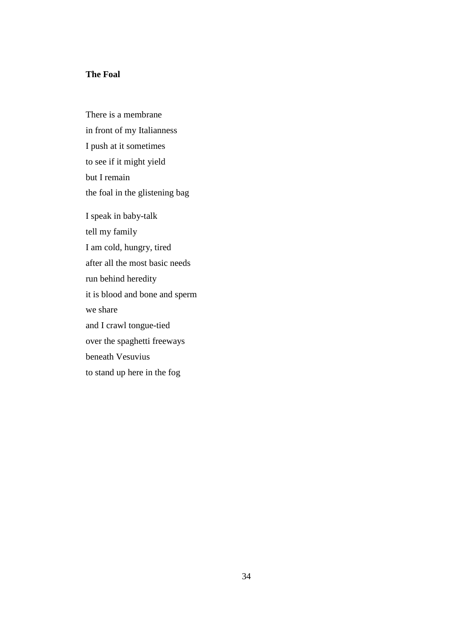## **The Foal**

There is a membrane in front of my Italianness I push at it sometimes to see if it might yield but I remain the foal in the glistening bag I speak in baby-talk tell my family I am cold, hungry, tired after all the most basic needs run behind heredity it is blood and bone and sperm we share and I crawl tongue-tied over the spaghetti freeways beneath Vesuvius to stand up here in the fog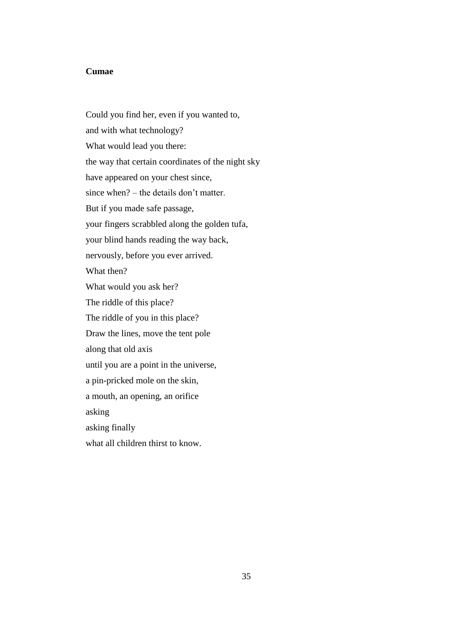### **Cumae**

Could you find her, even if you wanted to, and with what technology? What would lead you there: the way that certain coordinates of the night sky have appeared on your chest since, since when? – the details don"t matter. But if you made safe passage, your fingers scrabbled along the golden tufa, your blind hands reading the way back, nervously, before you ever arrived. What then? What would you ask her? The riddle of this place? The riddle of you in this place? Draw the lines, move the tent pole along that old axis until you are a point in the universe, a pin-pricked mole on the skin, a mouth, an opening, an orifice asking asking finally what all children thirst to know.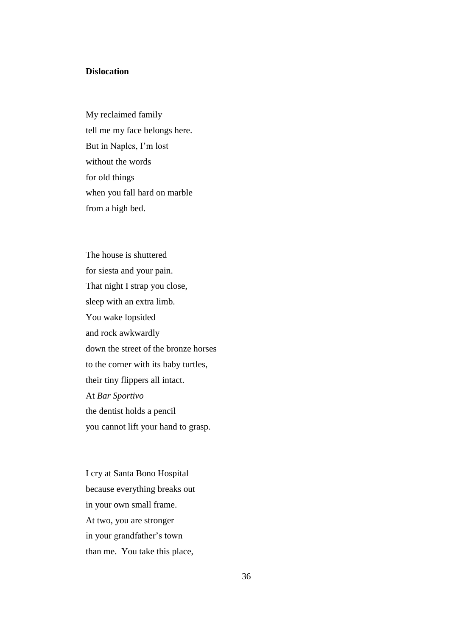### **Dislocation**

My reclaimed family tell me my face belongs here. But in Naples, I"m lost without the words for old things when you fall hard on marble from a high bed.

The house is shuttered for siesta and your pain. That night I strap you close, sleep with an extra limb. You wake lopsided and rock awkwardly down the street of the bronze horses to the corner with its baby turtles, their tiny flippers all intact*.* At *Bar Sportivo* the dentist holds a pencil you cannot lift your hand to grasp.

I cry at Santa Bono Hospital because everything breaks out in your own small frame. At two, you are stronger in your grandfather"s town than me. You take this place,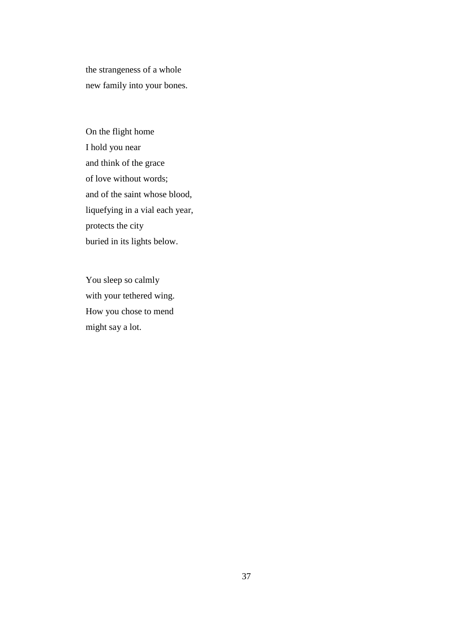the strangeness of a whole new family into your bones.

On the flight home I hold you near and think of the grace of love without words; and of the saint whose blood, liquefying in a vial each year, protects the city buried in its lights below.

You sleep so calmly with your tethered wing. How you chose to mend might say a lot.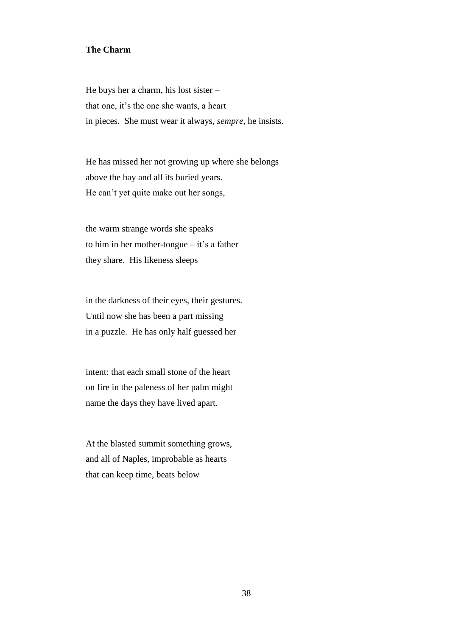#### **The Charm**

He buys her a charm, his lost sister – that one, it's the one she wants, a heart in pieces. She must wear it always, *sempre*, he insists.

He has missed her not growing up where she belongs above the bay and all its buried years. He can"t yet quite make out her songs,

the warm strange words she speaks to him in her mother-tongue  $-$  it's a father they share. His likeness sleeps

in the darkness of their eyes, their gestures. Until now she has been a part missing in a puzzle. He has only half guessed her

intent: that each small stone of the heart on fire in the paleness of her palm might name the days they have lived apart.

At the blasted summit something grows, and all of Naples, improbable as hearts that can keep time, beats below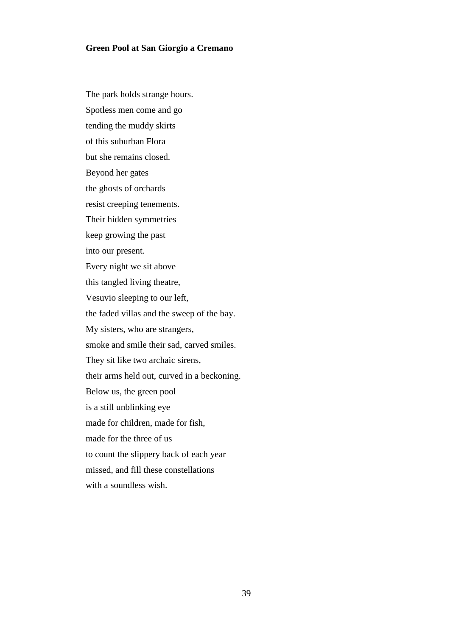### **Green Pool at San Giorgio a Cremano**

The park holds strange hours. Spotless men come and go tending the muddy skirts of this suburban Flora but she remains closed. Beyond her gates the ghosts of orchards resist creeping tenements. Their hidden symmetries keep growing the past into our present. Every night we sit above this tangled living theatre, Vesuvio sleeping to our left, the faded villas and the sweep of the bay. My sisters, who are strangers, smoke and smile their sad, carved smiles. They sit like two archaic sirens, their arms held out, curved in a beckoning. Below us, the green pool is a still unblinking eye made for children, made for fish, made for the three of us to count the slippery back of each year missed, and fill these constellations with a soundless wish.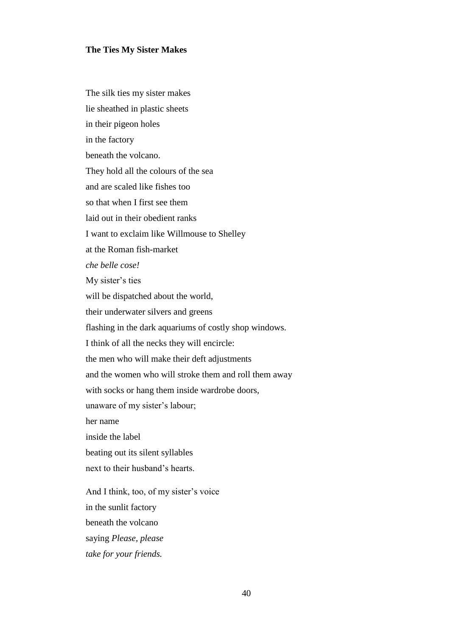#### **The Ties My Sister Makes**

The silk ties my sister makes lie sheathed in plastic sheets in their pigeon holes in the factory beneath the volcano. They hold all the colours of the sea and are scaled like fishes too so that when I first see them laid out in their obedient ranks I want to exclaim like Willmouse to Shelley at the Roman fish-market *che belle cose!* My sister's ties will be dispatched about the world, their underwater silvers and greens flashing in the dark aquariums of costly shop windows. I think of all the necks they will encircle: the men who will make their deft adjustments and the women who will stroke them and roll them away with socks or hang them inside wardrobe doors, unaware of my sister's labour; her name inside the label beating out its silent syllables next to their husband's hearts. And I think, too, of my sister's voice in the sunlit factory beneath the volcano saying *Please, please*

*take for your friends.*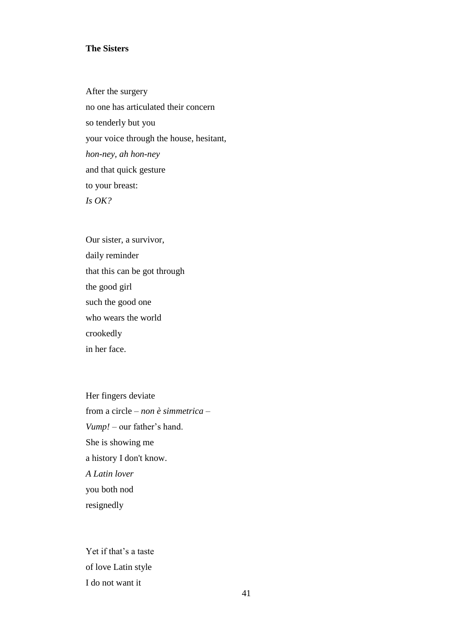### **The Sisters**

After the surgery no one has articulated their concern so tenderly but you your voice through the house, hesitant, *hon-ney, ah hon-ney* and that quick gesture to your breast: *Is OK?*

Our sister, a survivor, daily reminder that this can be got through the good girl such the good one who wears the world crookedly in her face.

Her fingers deviate from a circle – *non è simmetrica – Vump!* – our father's hand. She is showing me a history I don't know. *A Latin lover* you both nod resignedly

Yet if that's a taste of love Latin style I do not want it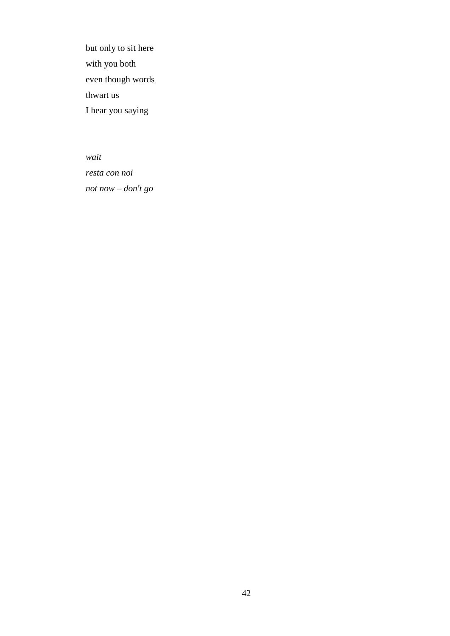but only to sit here with you both even though words thwart us I hear you saying

*wait resta con noi not now – don't go*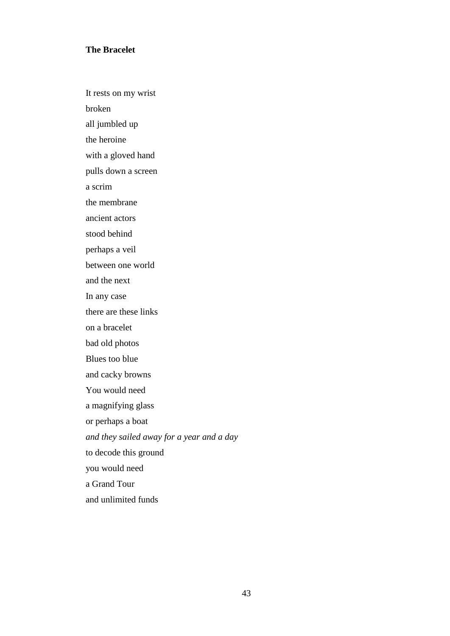#### **The Bracelet**

It rests on my wrist

broken

all jumbled up

the heroine

with a gloved hand

pulls down a screen

a scrim

the membrane

ancient actors

stood behind

perhaps a veil

between one world

and the next

In any case

there are these links

on a bracelet

bad old photos

Blues too blue

and cacky browns

You would need

a magnifying glass

or perhaps a boat

*and they sailed away for a year and a day*

to decode this ground

you would need

a Grand Tour

and unlimited funds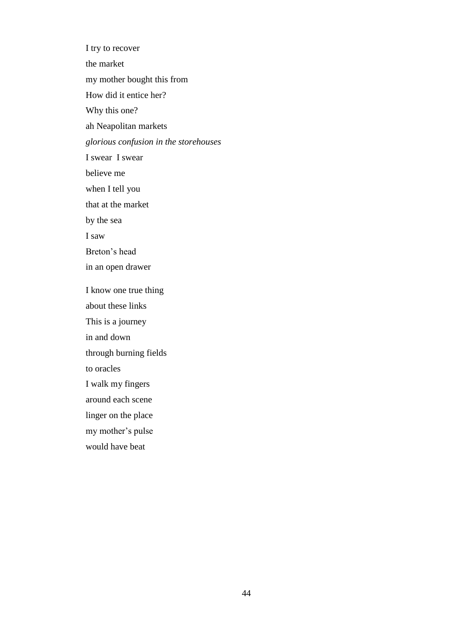I try to recover the market my mother bought this from How did it entice her? Why this one? ah Neapolitan markets *glorious confusion in the storehouses* I swear I swear believe me when I tell you that at the market by the sea I saw Breton"s head in an open drawer I know one true thing about these links This is a journey in and down through burning fields to oracles I walk my fingers around each scene linger on the place my mother's pulse would have beat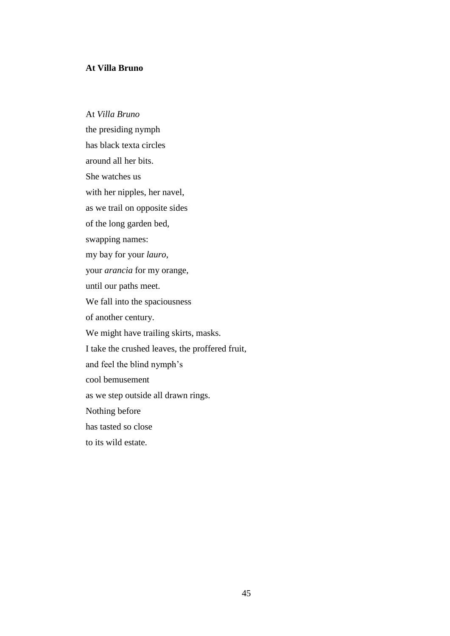### **At Villa Bruno**

At *Villa Bruno* the presiding nymph has black texta circles around all her bits. She watches us with her nipples, her navel, as we trail on opposite sides of the long garden bed, swapping names: my bay for your *lauro*, your *arancia* for my orange, until our paths meet. We fall into the spaciousness of another century. We might have trailing skirts, masks. I take the crushed leaves, the proffered fruit, and feel the blind nymph"s cool bemusement as we step outside all drawn rings. Nothing before has tasted so close to its wild estate.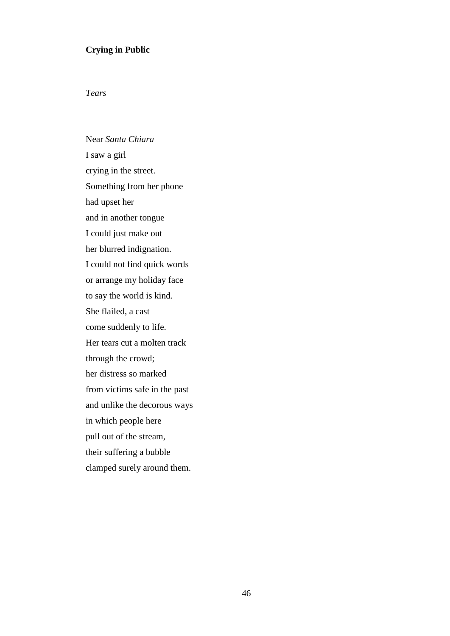### **Crying in Public**

### *Tears*

Near *Santa Chiara* I saw a girl crying in the street. Something from her phone had upset her and in another tongue I could just make out her blurred indignation. I could not find quick words or arrange my holiday face to say the world is kind. She flailed, a cast come suddenly to life. Her tears cut a molten track through the crowd; her distress so marked from victims safe in the past and unlike the decorous ways in which people here pull out of the stream, their suffering a bubble clamped surely around them.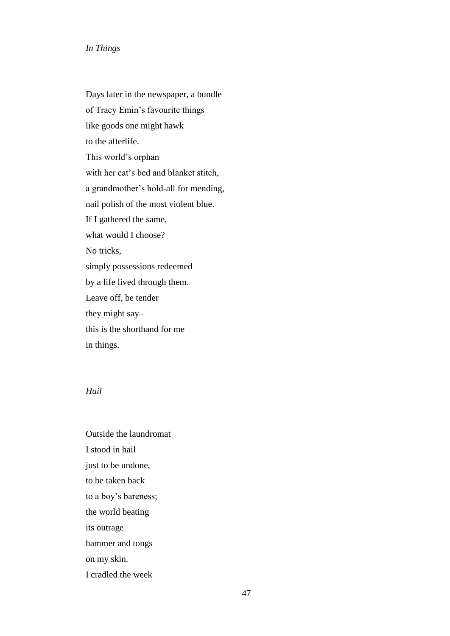#### *In Things*

Days later in the newspaper, a bundle of Tracy Emin"s favourite things like goods one might hawk to the afterlife. This world"s orphan with her cat"s bed and blanket stitch, a grandmother"s hold-all for mending, nail polish of the most violent blue. If I gathered the same, what would I choose? No tricks, simply possessions redeemed by a life lived through them. Leave off, be tender they might say– this is the shorthand for me in things.

#### *Hail*

Outside the laundromat I stood in hail just to be undone, to be taken back to a boy"s bareness; the world beating its outrage hammer and tongs on my skin. I cradled the week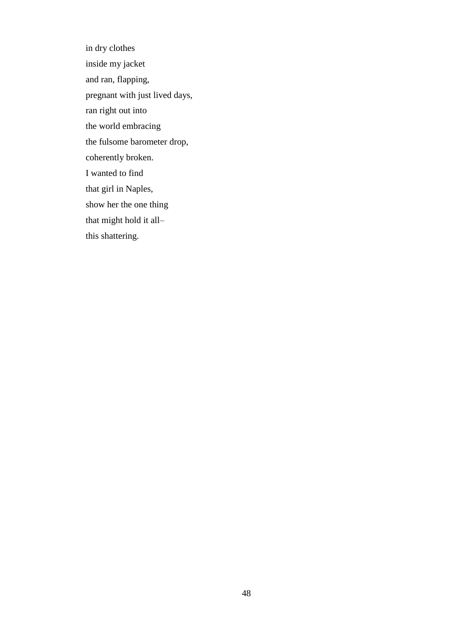in dry clothes inside my jacket and ran, flapping, pregnant with just lived days, ran right out into the world embracing the fulsome barometer drop, coherently broken. I wanted to find that girl in Naples, show her the one thing that might hold it all– this shattering.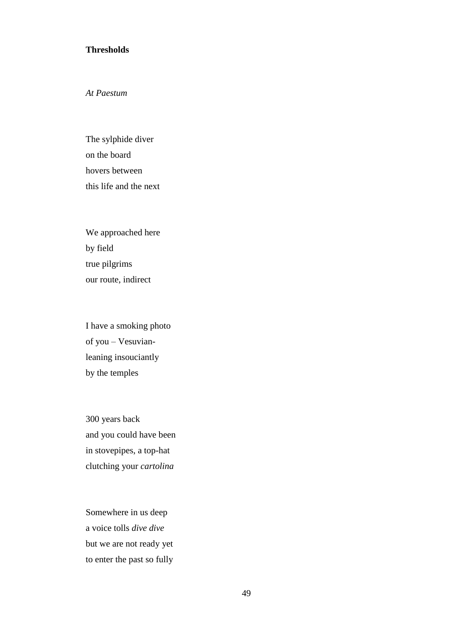#### **Thresholds**

*At Paestum*

The sylphide diver on the board hovers between this life and the next

We approached here by field true pilgrims our route, indirect

I have a smoking photo of you – Vesuvianleaning insouciantly by the temples

300 years back and you could have been in stovepipes, a top-hat clutching your *cartolina*

Somewhere in us deep a voice tolls *dive dive* but we are not ready yet to enter the past so fully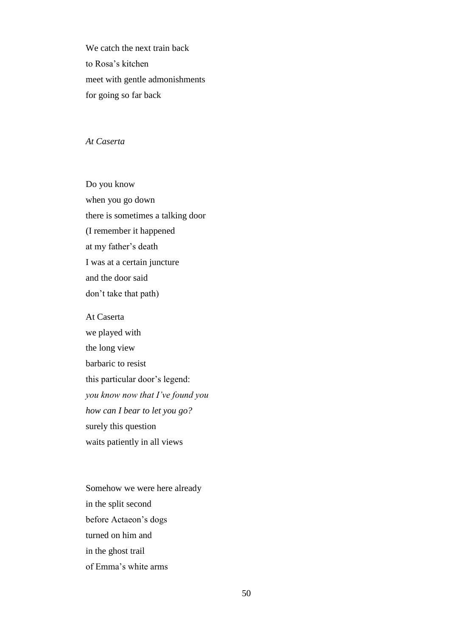We catch the next train back to Rosa"s kitchen meet with gentle admonishments for going so far back

#### *At Caserta*

Do you know when you go down there is sometimes a talking door (I remember it happened at my father"s death I was at a certain juncture and the door said don"t take that path)

At Caserta we played with the long view barbaric to resist this particular door"s legend: *you know now that I"ve found you how can I bear to let you go?* surely this question waits patiently in all views

Somehow we were here already in the split second before Actaeon"s dogs turned on him and in the ghost trail of Emma"s white arms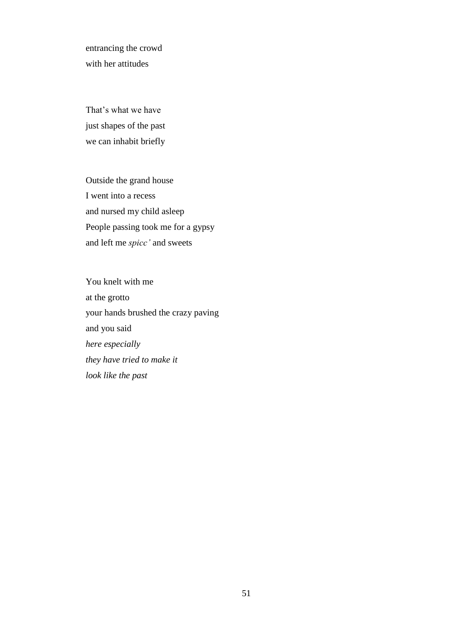entrancing the crowd with her attitudes

That's what we have just shapes of the past we can inhabit briefly

Outside the grand house I went into a recess and nursed my child asleep People passing took me for a gypsy and left me *spicc"* and sweets

You knelt with me at the grotto your hands brushed the crazy paving and you said *here especially they have tried to make it look like the past*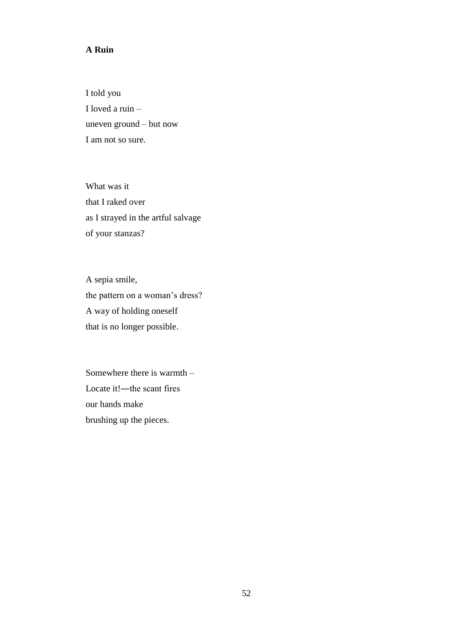## **A Ruin**

I told you I loved a ruin – uneven ground – but now I am not so sure.

What was it that I raked over as I strayed in the artful salvage of your stanzas?

A sepia smile, the pattern on a woman's dress? A way of holding oneself that is no longer possible.

Somewhere there is warmth – Locate it!—the scant fires our hands make brushing up the pieces.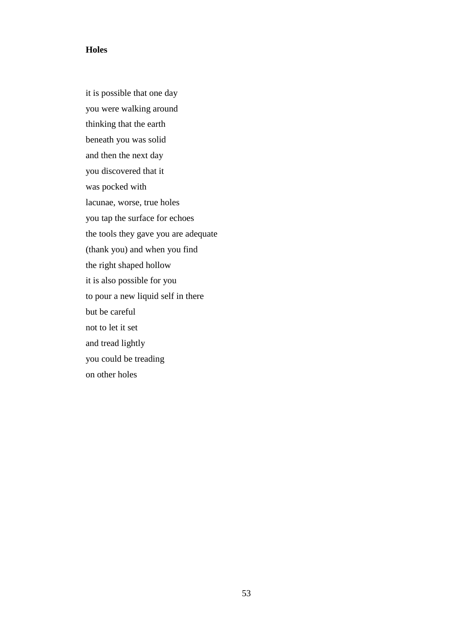#### **Holes**

it is possible that one day you were walking around thinking that the earth beneath you was solid and then the next day you discovered that it was pocked with lacunae, worse, true holes you tap the surface for echoes the tools they gave you are adequate (thank you) and when you find the right shaped hollow it is also possible for you to pour a new liquid self in there but be careful not to let it set and tread lightly you could be treading on other holes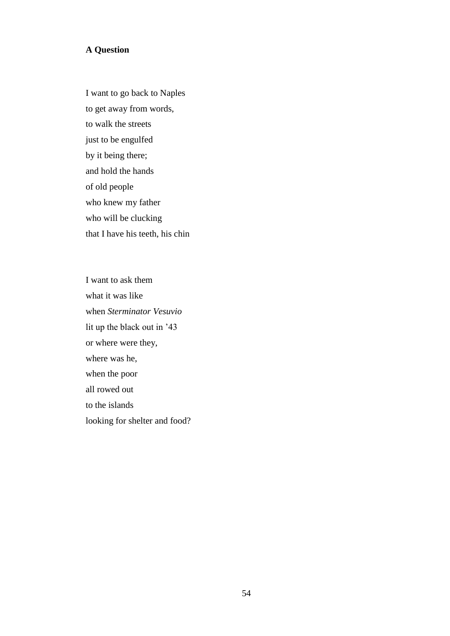### **A Question**

I want to go back to Naples to get away from words, to walk the streets just to be engulfed by it being there; and hold the hands of old people who knew my father who will be clucking that I have his teeth, his chin

I want to ask them what it was like when *Sterminator Vesuvio* lit up the black out in "43 or where were they, where was he, when the poor all rowed out to the islands looking for shelter and food?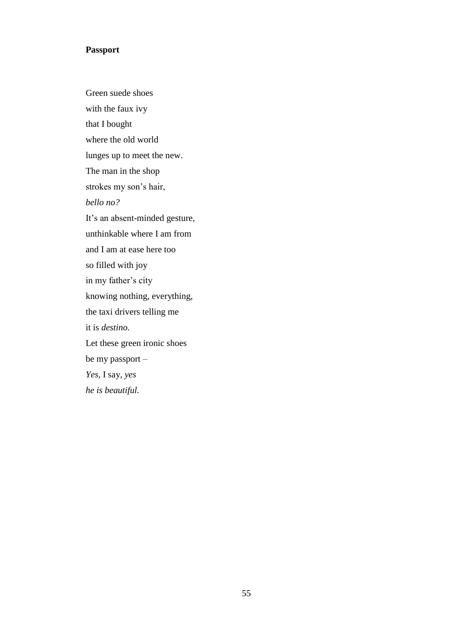#### **Passport**

Green suede shoes with the faux ivy that I bought where the old world lunges up to meet the new. The man in the shop strokes my son's hair, *bello no?* It's an absent-minded gesture, unthinkable where I am from and I am at ease here too so filled with joy in my father's city knowing nothing, everything, the taxi drivers telling me it is *destino.* Let these green ironic shoes be my passport – *Yes,* I say, *yes he is beautiful.*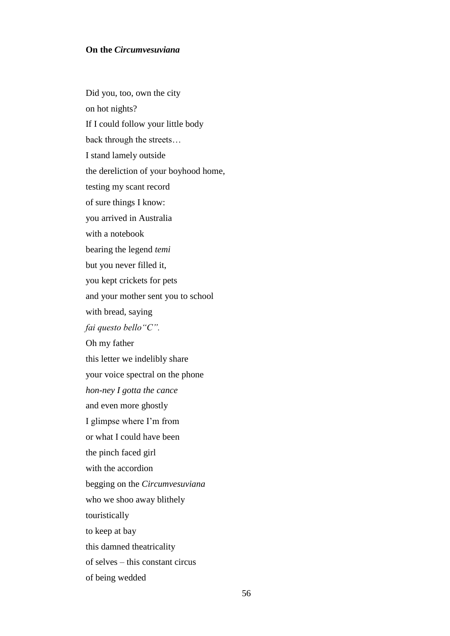#### **On the** *Circumvesuviana*

Did you, too, own the city on hot nights? If I could follow your little body back through the streets… I stand lamely outside the dereliction of your boyhood home, testing my scant record of sure things I know: you arrived in Australia with a notebook bearing the legend *temi* but you never filled it, you kept crickets for pets and your mother sent you to school with bread, saying *fai questo bello"C".* Oh my father this letter we indelibly share your voice spectral on the phone *hon-ney I gotta the cance* and even more ghostly I glimpse where I"m from or what I could have been the pinch faced girl with the accordion begging on the *Circumvesuviana* who we shoo away blithely touristically to keep at bay this damned theatricality of selves – this constant circus of being wedded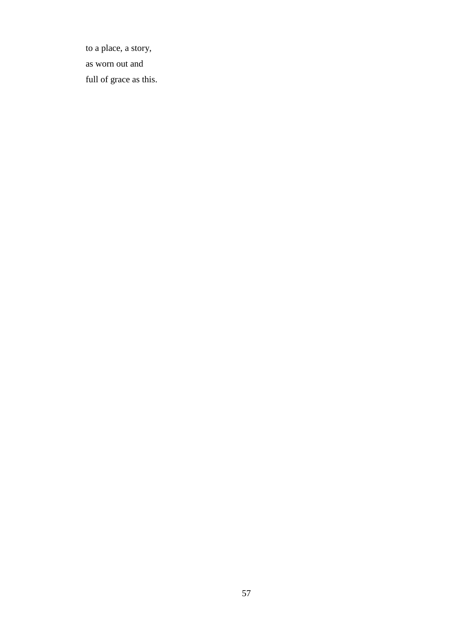to a place, a story, as worn out and full of grace as this.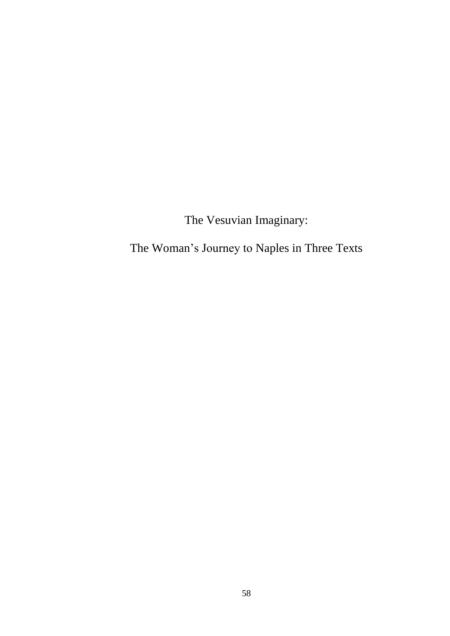The Vesuvian Imaginary:

The Woman"s Journey to Naples in Three Texts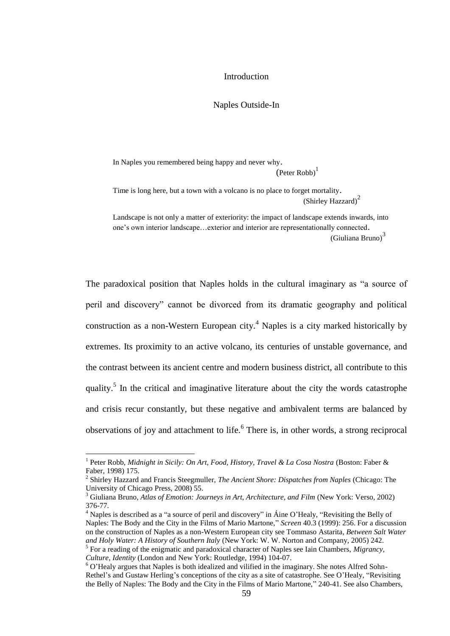#### Introduction

#### Naples Outside-In

In Naples you remembered being happy and never why.

 $(Peter Robb)^1$ 

Time is long here, but a town with a volcano is no place to forget mortality. (Shirley Hazzard)<sup>2</sup>

Landscape is not only a matter of exteriority: the impact of landscape extends inwards, into one"s own interior landscape…exterior and interior are representationally connected. (Giuliana Bruno) $3<sup>3</sup>$ 

The paradoxical position that Naples holds in the cultural imaginary as "a source of peril and discovery" cannot be divorced from its dramatic geography and political construction as a non-Western European city.<sup>4</sup> Naples is a city marked historically by extremes. Its proximity to an active volcano, its centuries of unstable governance, and the contrast between its ancient centre and modern business district, all contribute to this quality.<sup>5</sup> In the critical and imaginative literature about the city the words catastrophe and crisis recur constantly, but these negative and ambivalent terms are balanced by observations of joy and attachment to life.<sup>6</sup> There is, in other words, a strong reciprocal

 $\overline{\phantom{a}}$ 

<sup>&</sup>lt;sup>1</sup> Peter Robb, *Midnight in Sicily: On Art, Food, History, Travel & La Cosa Nostra* (Boston: Faber & Faber, 1998) 175.

<sup>2</sup> Shirley Hazzard and Francis Steegmuller, *The Ancient Shore: Dispatches from Naples* (Chicago: The University of Chicago Press, 2008) 55.

<sup>3</sup> Giuliana Bruno, *Atlas of Emotion: Journeys in Art, Architecture, and Film* (New York: Verso, 2002) 376-77.

<sup>4</sup> Naples is described as a "a source of peril and discovery" in Áine O"Healy, "Revisiting the Belly of Naples: The Body and the City in the Films of Mario Martone," *Screen* 40.3 (1999): 256. For a discussion on the construction of Naples as a non-Western European city see Tommaso Astarita, *Between Salt Water and Holy Water: A History of Southern Italy* (New York: W. W. Norton and Company, 2005) 242. 5 For a reading of the enigmatic and paradoxical character of Naples see Iain Chambers, *Migrancy,* 

*Culture, Identity* (London and New York: Routledge, 1994) 104-07.

 $6$  O'Healy argues that Naples is both idealized and vilified in the imaginary. She notes Alfred Sohn-Rethel's and Gustaw Herling's conceptions of the city as a site of catastrophe. See O'Healy, "Revisiting the Belly of Naples: The Body and the City in the Films of Mario Martone," 240-41. See also Chambers,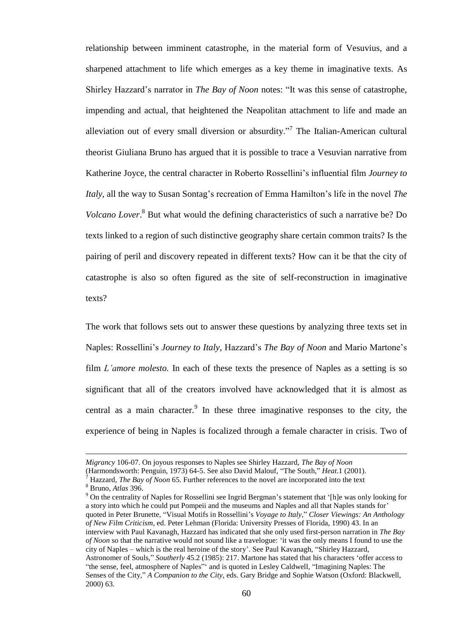relationship between imminent catastrophe, in the material form of Vesuvius, and a sharpened attachment to life which emerges as a key theme in imaginative texts. As Shirley Hazzard"s narrator in *The Bay of Noon* notes: "It was this sense of catastrophe, impending and actual, that heightened the Neapolitan attachment to life and made an alleviation out of every small diversion or absurdity."<sup>7</sup> The Italian-American cultural theorist Giuliana Bruno has argued that it is possible to trace a Vesuvian narrative from Katherine Joyce, the central character in Roberto Rossellini"s influential film *Journey to Italy*, all the way to Susan Sontag's recreation of Emma Hamilton's life in the novel *The Volcano Lover*. <sup>8</sup> But what would the defining characteristics of such a narrative be? Do texts linked to a region of such distinctive geography share certain common traits? Is the pairing of peril and discovery repeated in different texts? How can it be that the city of catastrophe is also so often figured as the site of self-reconstruction in imaginative texts?

The work that follows sets out to answer these questions by analyzing three texts set in Naples: Rossellini"s *Journey to Italy,* Hazzard"s *The Bay of Noon* and Mario Martone"s film *L'amore molesto*. In each of these texts the presence of Naples as a setting is so significant that all of the creators involved have acknowledged that it is almost as central as a main character. In these three imaginative responses to the city, the experience of being in Naples is focalized through a female character in crisis. Two of

 $\overline{\phantom{a}}$ 

*Migrancy* 106-07. On joyous responses to Naples see Shirley Hazzard, *The Bay of Noon*

<sup>(</sup>Harmondsworth: Penguin, 1973) 64-5. See also David Malouf, "The South," *Heat*.1 (2001).

<sup>7</sup> Hazzard, *The Bay of Noon* 65. Further references to the novel are incorporated into the text

<sup>8</sup> Bruno, *Atlas* 396.

<sup>&</sup>lt;sup>9</sup> On the centrality of Naples for Rossellini see Ingrid Bergman's statement that '[h]e was only looking for a story into which he could put Pompeii and the museums and Naples and all that Naples stands for" quoted in Peter Brunette, "Visual Motifs in Rossellini"s *Voyage to Italy*," *Closer Viewings: An Anthology of New Film Criticism*, ed. Peter Lehman (Florida: University Presses of Florida, 1990) 43. In an interview with Paul Kavanagh, Hazzard has indicated that she only used first-person narration in *The Bay of Noon* so that the narrative would not sound like a travelogue: "it was the only means I found to use the city of Naples – which is the real heroine of the story". See Paul Kavanagh, "Shirley Hazzard, Astronomer of Souls," *Southerly* 45.2 (1985): 217. Martone has stated that his characters "offer access to "the sense, feel, atmosphere of Naples"" and is quoted in Lesley Caldwell, "Imagining Naples: The Senses of the City," *A Companion to the City*, eds. Gary Bridge and Sophie Watson (Oxford: Blackwell, 2000) 63.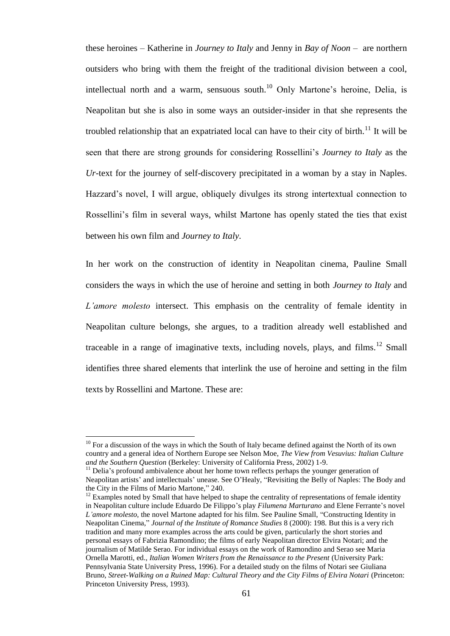these heroines – Katherine in *Journey to Italy* and Jenny in *Bay of Noon* – are northern outsiders who bring with them the freight of the traditional division between a cool, intellectual north and a warm, sensuous south.<sup>10</sup> Only Martone's heroine, Delia, is Neapolitan but she is also in some ways an outsider-insider in that she represents the troubled relationship that an expatriated local can have to their city of birth.<sup>11</sup> It will be seen that there are strong grounds for considering Rossellini"s *Journey to Italy* as the *Ur-*text for the journey of self-discovery precipitated in a woman by a stay in Naples. Hazzard"s novel, I will argue, obliquely divulges its strong intertextual connection to Rossellini"s film in several ways, whilst Martone has openly stated the ties that exist between his own film and *Journey to Italy*.

In her work on the construction of identity in Neapolitan cinema, Pauline Small considers the ways in which the use of heroine and setting in both *Journey to Italy* and *L"amore molesto* intersect. This emphasis on the centrality of female identity in Neapolitan culture belongs, she argues, to a tradition already well established and traceable in a range of imaginative texts, including novels, plays, and films.<sup>12</sup> Small identifies three shared elements that interlink the use of heroine and setting in the film texts by Rossellini and Martone. These are:

 $\overline{a}$ 

 $10$  For a discussion of the ways in which the South of Italy became defined against the North of its own country and a general idea of Northern Europe see Nelson Moe, *The View from Vesuvius: Italian Culture and the Southern Question* (Berkeley: University of California Press, 2002) 1-9.

<sup>&</sup>lt;sup>11</sup> Delia's profound ambivalence about her home town reflects perhaps the younger generation of Neapolitan artists' and intellectuals' unease. See O'Healy, "Revisiting the Belly of Naples: The Body and the City in the Films of Mario Martone," 240.

 $12$  Examples noted by Small that have helped to shape the centrality of representations of female identity in Neapolitan culture include Eduardo De Filippo"s play *Filumena Marturano* and Elene Ferrante"s novel *L"amore molesto,* the novel Martone adapted for his film. See Pauline Small, "Constructing Identity in Neapolitan Cinema," *Journal of the Institute of Romance Studies* 8 (2000): 198. But this is a very rich tradition and many more examples across the arts could be given, particularly the short stories and personal essays of Fabrizia Ramondino; the films of early Neapolitan director Elvira Notari; and the journalism of Matilde Serao. For individual essays on the work of Ramondino and Serao see Maria Ornella Marotti, ed., *Italian Women Writers from the Renaissance to the Present* (University Park: Pennsylvania State University Press, 1996). For a detailed study on the films of Notari see Giuliana Bruno, *Street-Walking on a Ruined Map: Cultural Theory and the City Films of Elvira Notari* (Princeton: Princeton University Press, 1993).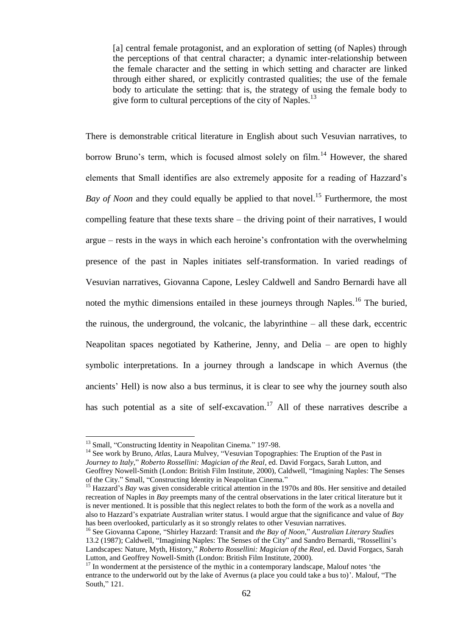[a] central female protagonist, and an exploration of setting (of Naples) through the perceptions of that central character; a dynamic inter-relationship between the female character and the setting in which setting and character are linked through either shared, or explicitly contrasted qualities; the use of the female body to articulate the setting: that is, the strategy of using the female body to give form to cultural perceptions of the city of Naples.<sup>13</sup>

There is demonstrable critical literature in English about such Vesuvian narratives, to borrow Bruno's term, which is focused almost solely on  $film<sup>14</sup>$  However, the shared elements that Small identifies are also extremely apposite for a reading of Hazzard"s *Bay of Noon* and they could equally be applied to that novel.<sup>15</sup> Furthermore, the most compelling feature that these texts share – the driving point of their narratives, I would argue – rests in the ways in which each heroine"s confrontation with the overwhelming presence of the past in Naples initiates self-transformation. In varied readings of Vesuvian narratives, Giovanna Capone, Lesley Caldwell and Sandro Bernardi have all noted the mythic dimensions entailed in these journeys through Naples.<sup>16</sup> The buried, the ruinous, the underground, the volcanic, the labyrinthine – all these dark, eccentric Neapolitan spaces negotiated by Katherine, Jenny, and Delia – are open to highly symbolic interpretations. In a journey through a landscape in which Avernus (the ancients" Hell) is now also a bus terminus, it is clear to see why the journey south also has such potential as a site of self-excavation.<sup>17</sup> All of these narratives describe a

 $\overline{a}$ 

<sup>14</sup> See work by Bruno, *Atlas*, Laura Mulvey, "Vesuvian Topographies: The Eruption of the Past in *Journey to Italy*," *Roberto Rossellini: Magician of the Real*, ed. David Forgacs, Sarah Lutton, and Geoffrey Nowell-Smith (London: British Film Institute, 2000), Caldwell, "Imagining Naples: The Senses of the City." Small, "Constructing Identity in Neapolitan Cinema."

<sup>&</sup>lt;sup>13</sup> Small, "Constructing Identity in Neapolitan Cinema." 197-98.

<sup>&</sup>lt;sup>15</sup> Hazzard's *Bay* was given considerable critical attention in the 1970s and 80s. Her sensitive and detailed recreation of Naples in *Bay* preempts many of the central observations in the later critical literature but it is never mentioned. It is possible that this neglect relates to both the form of the work as a novella and also to Hazzard"s expatriate Australian writer status. I would argue that the significance and value of *Bay*  has been overlooked, particularly as it so strongly relates to other Vesuvian narratives.

<sup>16</sup> See Giovanna Capone, "Shirley Hazzard: Transit and *the Bay of Noon*," *Australian Literary Studies* 13.2 (1987); Caldwell, "Imagining Naples: The Senses of the City" and Sandro Bernardi, "Rossellini"s Landscapes: Nature, Myth, History," *Roberto Rossellini: Magician of the Real*, ed. David Forgacs, Sarah Lutton, and Geoffrey Nowell-Smith (London: British Film Institute, 2000).

 $17$  In wonderment at the persistence of the mythic in a contemporary landscape, Malouf notes 'the entrance to the underworld out by the lake of Avernus (a place you could take a bus to)". Malouf, "The South," 121.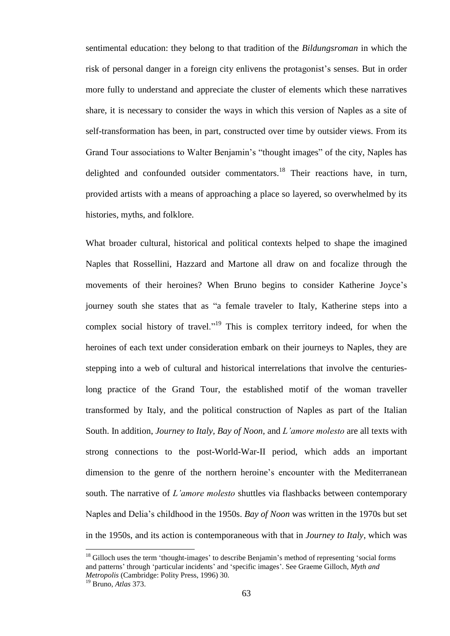sentimental education: they belong to that tradition of the *Bildungsroman* in which the risk of personal danger in a foreign city enlivens the protagonist's senses. But in order more fully to understand and appreciate the cluster of elements which these narratives share, it is necessary to consider the ways in which this version of Naples as a site of self-transformation has been, in part, constructed over time by outsider views. From its Grand Tour associations to Walter Benjamin's "thought images" of the city, Naples has delighted and confounded outsider commentators.<sup>18</sup> Their reactions have, in turn, provided artists with a means of approaching a place so layered, so overwhelmed by its histories, myths, and folklore.

What broader cultural, historical and political contexts helped to shape the imagined Naples that Rossellini, Hazzard and Martone all draw on and focalize through the movements of their heroines? When Bruno begins to consider Katherine Joyce"s journey south she states that as "a female traveler to Italy, Katherine steps into a complex social history of travel."<sup>19</sup> This is complex territory indeed, for when the heroines of each text under consideration embark on their journeys to Naples, they are stepping into a web of cultural and historical interrelations that involve the centurieslong practice of the Grand Tour, the established motif of the woman traveller transformed by Italy, and the political construction of Naples as part of the Italian South. In addition, *Journey to Italy, Bay of Noon,* and *L"amore molesto* are all texts with strong connections to the post-World-War-II period, which adds an important dimension to the genre of the northern heroine"s encounter with the Mediterranean south. The narrative of *L"amore molesto* shuttles via flashbacks between contemporary Naples and Delia"s childhood in the 1950s. *Bay of Noon* was written in the 1970s but set in the 1950s, and its action is contemporaneous with that in *Journey to Italy*, which was

 $\overline{a}$ 

<sup>&</sup>lt;sup>18</sup> Gilloch uses the term 'thought-images' to describe Benjamin's method of representing 'social forms and patterns" through "particular incidents" and "specific images". See Graeme Gilloch, *Myth and Metropolis* (Cambridge: Polity Press, 1996) 30.

<sup>19</sup> Bruno, *Atlas* 373.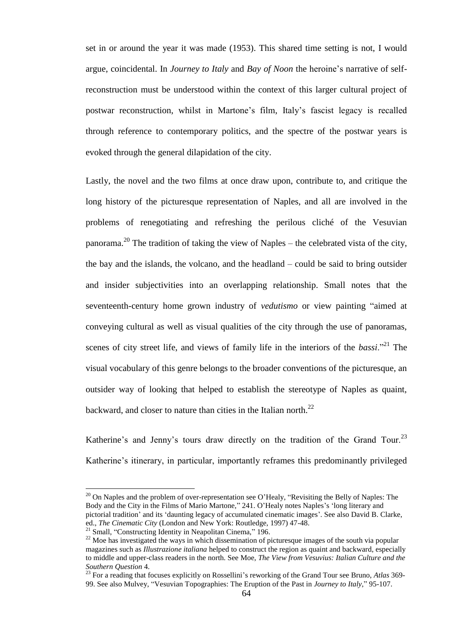set in or around the year it was made (1953). This shared time setting is not, I would argue, coincidental. In *Journey to Italy* and *Bay of Noon* the heroine"s narrative of selfreconstruction must be understood within the context of this larger cultural project of postwar reconstruction, whilst in Martone"s film, Italy"s fascist legacy is recalled through reference to contemporary politics, and the spectre of the postwar years is evoked through the general dilapidation of the city.

Lastly, the novel and the two films at once draw upon, contribute to, and critique the long history of the picturesque representation of Naples, and all are involved in the problems of renegotiating and refreshing the perilous cliché of the Vesuvian panorama.<sup>20</sup> The tradition of taking the view of Naples – the celebrated vista of the city, the bay and the islands, the volcano, and the headland – could be said to bring outsider and insider subjectivities into an overlapping relationship. Small notes that the seventeenth-century home grown industry of *vedutismo* or view painting "aimed at conveying cultural as well as visual qualities of the city through the use of panoramas, scenes of city street life, and views of family life in the interiors of the *bassi*.<sup>221</sup> The visual vocabulary of this genre belongs to the broader conventions of the picturesque, an outsider way of looking that helped to establish the stereotype of Naples as quaint, backward, and closer to nature than cities in the Italian north.<sup>22</sup>

Katherine's and Jenny's tours draw directly on the tradition of the Grand Tour.<sup>23</sup> Katherine's itinerary, in particular, importantly reframes this predominantly privileged

 $20$  On Naples and the problem of over-representation see O'Healy, "Revisiting the Belly of Naples: The Body and the City in the Films of Mario Martone," 241. O'Healy notes Naples's 'long literary and pictorial tradition" and its "daunting legacy of accumulated cinematic images". See also David B. Clarke, ed., *The Cinematic City* (London and New York: Routledge, 1997) 47-48.

 $\overline{a}$ 

<sup>&</sup>lt;sup>21</sup> Small, "Constructing Identity in Neapolitan Cinema," 196.

 $22$  Moe has investigated the ways in which dissemination of picturesque images of the south via popular magazines such as *Illustrazione italiana* helped to construct the region as quaint and backward, especially to middle and upper-class readers in the north. See Moe, *The View from Vesuvius: Italian Culture and the Southern Question* 4.

<sup>&</sup>lt;sup>23</sup> For a reading that focuses explicitly on Rossellini's reworking of the Grand Tour see Bruno, *Atlas* 369-99. See also Mulvey, "Vesuvian Topographies: The Eruption of the Past in *Journey to Italy*," 95-107.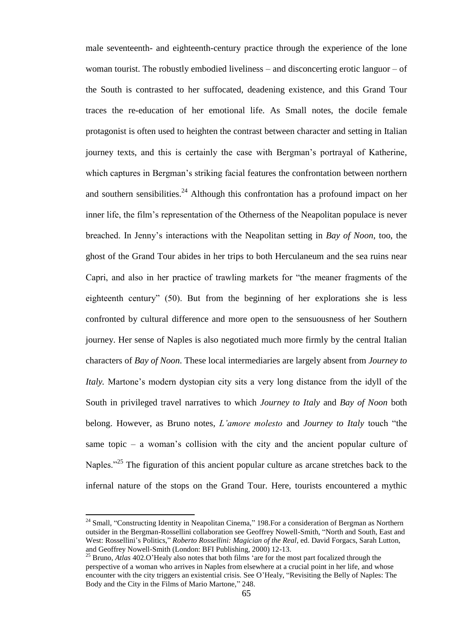male seventeenth- and eighteenth-century practice through the experience of the lone woman tourist. The robustly embodied liveliness – and disconcerting erotic languor – of the South is contrasted to her suffocated, deadening existence, and this Grand Tour traces the re-education of her emotional life. As Small notes, the docile female protagonist is often used to heighten the contrast between character and setting in Italian journey texts, and this is certainly the case with Bergman"s portrayal of Katherine, which captures in Bergman's striking facial features the confrontation between northern and southern sensibilities.<sup>24</sup> Although this confrontation has a profound impact on her inner life, the film"s representation of the Otherness of the Neapolitan populace is never breached. In Jenny"s interactions with the Neapolitan setting in *Bay of Noon*, too, the ghost of the Grand Tour abides in her trips to both Herculaneum and the sea ruins near Capri, and also in her practice of trawling markets for "the meaner fragments of the eighteenth century" (50). But from the beginning of her explorations she is less confronted by cultural difference and more open to the sensuousness of her Southern journey. Her sense of Naples is also negotiated much more firmly by the central Italian characters of *Bay of Noon.* These local intermediaries are largely absent from *Journey to Italy*. Martone's modern dystopian city sits a very long distance from the idyll of the South in privileged travel narratives to which *Journey to Italy* and *Bay of Noon* both belong. However, as Bruno notes, *L"amore molesto* and *Journey to Italy* touch "the same topic – a woman's collision with the city and the ancient popular culture of Naples."<sup>25</sup> The figuration of this ancient popular culture as arcane stretches back to the infernal nature of the stops on the Grand Tour. Here, tourists encountered a mythic

l

<sup>&</sup>lt;sup>24</sup> Small, "Constructing Identity in Neapolitan Cinema," 198. For a consideration of Bergman as Northern outsider in the Bergman-Rossellini collaboration see Geoffrey Nowell-Smith, "North and South, East and West: Rossellini"s Politics," *Roberto Rossellini: Magician of the Real*, ed. David Forgacs, Sarah Lutton, and Geoffrey Nowell-Smith (London: BFI Publishing, 2000) 12-13.

<sup>&</sup>lt;sup>25</sup> Bruno, *Atlas* 402.O'Healy also notes that both films 'are for the most part focalized through the perspective of a woman who arrives in Naples from elsewhere at a crucial point in her life, and whose encounter with the city triggers an existential crisis. See O"Healy, "Revisiting the Belly of Naples: The Body and the City in the Films of Mario Martone," 248.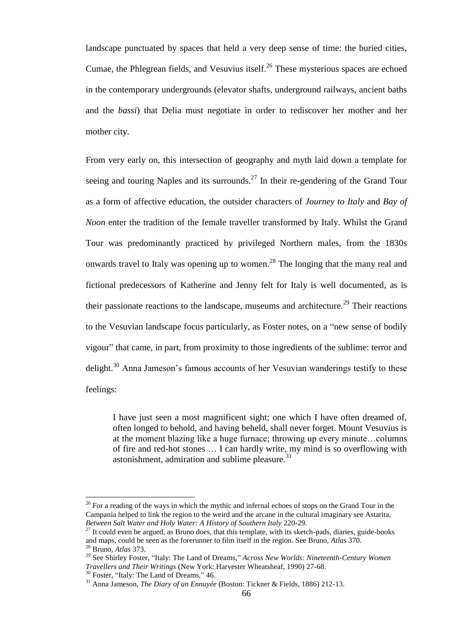landscape punctuated by spaces that held a very deep sense of time: the buried cities, Cumae, the Phlegrean fields, and Vesuvius itself.<sup>26</sup> These mysterious spaces are echoed in the contemporary undergrounds (elevator shafts, underground railways, ancient baths and the *bassi*) that Delia must negotiate in order to rediscover her mother and her mother city.

From very early on, this intersection of geography and myth laid down a template for seeing and touring Naples and its surrounds.<sup>27</sup> In their re-gendering of the Grand Tour as a form of affective education, the outsider characters of *Journey to Italy* and *Bay of Noon* enter the tradition of the female traveller transformed by Italy. Whilst the Grand Tour was predominantly practiced by privileged Northern males, from the 1830s onwards travel to Italy was opening up to women.<sup>28</sup> The longing that the many real and fictional predecessors of Katherine and Jenny felt for Italy is well documented, as is their passionate reactions to the landscape, museums and architecture.<sup>29</sup> Their reactions to the Vesuvian landscape focus particularly, as Foster notes, on a "new sense of bodily vigour" that came, in part, from proximity to those ingredients of the sublime: terror and delight.<sup>30</sup> Anna Jameson's famous accounts of her Vesuvian wanderings testify to these feelings:

I have just seen a most magnificent sight; one which I have often dreamed of, often longed to behold, and having beheld, shall never forget. Mount Vesuvius is at the moment blazing like a huge furnace; throwing up every minute…columns of fire and red-hot stones … I can hardly write, my mind is so overflowing with astonishment, admiration and sublime pleasure. $31$ 

 $\overline{\phantom{a}}$ 

<sup>&</sup>lt;sup>26</sup> For a reading of the ways in which the mythic and infernal echoes of stops on the Grand Tour in the Campania helped to link the region to the weird and the arcane in the cultural imaginary see Astarita, *Between Salt Water and Holy Water: A History of Southern Italy* 220-29.

 $^{27}$  It could even be argued, as Bruno does, that this template, with its sketch-pads, diaries, guide-books and maps, could be seen as the forerunner to film itself in the region. See Bruno, *Atlas* 370.

<sup>28</sup> Bruno, *Atlas* 373.

<sup>29</sup> See Shirley Foster, "Italy: The Land of Dreams," *Across New Worlds: Nineteenth-Century Women Travellers and Their Writings* (New York: Harvester Wheatsheaf, 1990) 27-68.

<sup>&</sup>lt;sup>30</sup> Foster, "Italy: The Land of Dreams," 46.

<sup>31</sup> Anna Jameson, *The Diary of an Ennuyée* (Boston: Tickner & Fields, 1886) 212-13.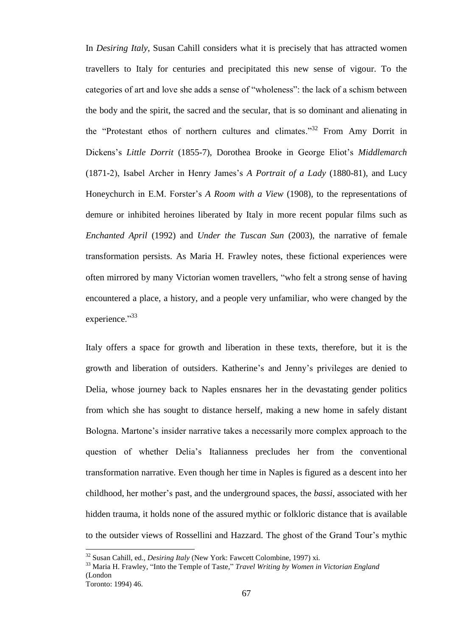In *Desiring Italy*, Susan Cahill considers what it is precisely that has attracted women travellers to Italy for centuries and precipitated this new sense of vigour. To the categories of art and love she adds a sense of "wholeness": the lack of a schism between the body and the spirit, the sacred and the secular, that is so dominant and alienating in the "Protestant ethos of northern cultures and climates."<sup>32</sup> From Amy Dorrit in Dickens"s *Little Dorrit* (1855-7), Dorothea Brooke in George Eliot"s *Middlemarch*  (1871-2), Isabel Archer in Henry James"s *A Portrait of a Lady* (1880-81), and Lucy Honeychurch in E.M. Forster"s *A Room with a View* (1908), to the representations of demure or inhibited heroines liberated by Italy in more recent popular films such as *Enchanted April* (1992) and *Under the Tuscan Sun* (2003), the narrative of female transformation persists. As Maria H. Frawley notes, these fictional experiences were often mirrored by many Victorian women travellers, "who felt a strong sense of having encountered a place, a history, and a people very unfamiliar, who were changed by the experience."<sup>33</sup>

Italy offers a space for growth and liberation in these texts, therefore, but it is the growth and liberation of outsiders. Katherine"s and Jenny"s privileges are denied to Delia, whose journey back to Naples ensnares her in the devastating gender politics from which she has sought to distance herself, making a new home in safely distant Bologna. Martone"s insider narrative takes a necessarily more complex approach to the question of whether Delia"s Italianness precludes her from the conventional transformation narrative. Even though her time in Naples is figured as a descent into her childhood, her mother"s past, and the underground spaces, the *bassi*, associated with her hidden trauma, it holds none of the assured mythic or folkloric distance that is available to the outsider views of Rossellini and Hazzard. The ghost of the Grand Tour"s mythic

 $\overline{a}$ 

<sup>32</sup> Susan Cahill, ed., *Desiring Italy* (New York: Fawcett Colombine, 1997) xi.

<sup>33</sup> Maria H. Frawley, "Into the Temple of Taste," *Travel Writing by Women in Victorian England* (London

Toronto: 1994) 46.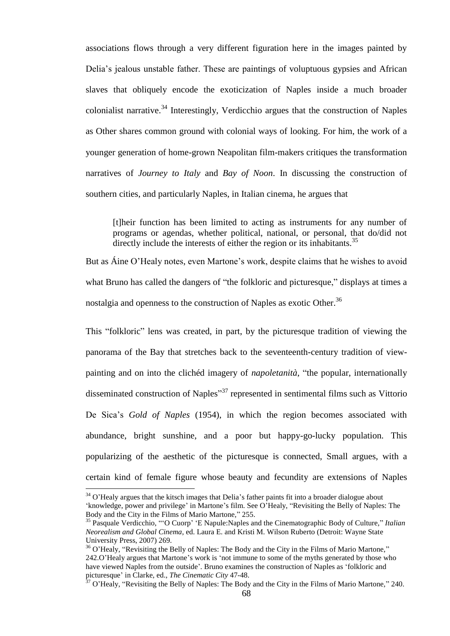associations flows through a very different figuration here in the images painted by Delia"s jealous unstable father. These are paintings of voluptuous gypsies and African slaves that obliquely encode the exoticization of Naples inside a much broader colonialist narrative.<sup>34</sup> Interestingly, Verdicchio argues that the construction of Naples as Other shares common ground with colonial ways of looking. For him, the work of a younger generation of home-grown Neapolitan film-makers critiques the transformation narratives of *Journey to Italy* and *Bay of Noon*. In discussing the construction of southern cities, and particularly Naples, in Italian cinema, he argues that

[t]heir function has been limited to acting as instruments for any number of programs or agendas, whether political, national, or personal, that do/did not directly include the interests of either the region or its inhabitants.<sup>35</sup>

But as Aine O'Healy notes, even Martone's work, despite claims that he wishes to avoid what Bruno has called the dangers of "the folkloric and picturesque," displays at times a nostalgia and openness to the construction of Naples as exotic Other.<sup>36</sup>

This "folkloric" lens was created, in part, by the picturesque tradition of viewing the panorama of the Bay that stretches back to the seventeenth-century tradition of viewpainting and on into the clichéd imagery of *napoletanità*, "the popular, internationally disseminated construction of Naples<sup>"37</sup> represented in sentimental films such as Vittorio De Sica"s *Gold of Naples* (1954), in which the region becomes associated with abundance, bright sunshine, and a poor but happy-go-lucky population. This popularizing of the aesthetic of the picturesque is connected, Small argues, with a certain kind of female figure whose beauty and fecundity are extensions of Naples

 $\overline{a}$ 

 $34$  O'Healy argues that the kitsch images that Delia's father paints fit into a broader dialogue about "knowledge, power and privilege" in Martone"s film. See O"Healy, "Revisiting the Belly of Naples: The Body and the City in the Films of Mario Martone," 255.

<sup>35</sup> Pasquale Verdicchio, ""O Cuorp" "E Napule:Naples and the Cinematographic Body of Culture," *Italian Neorealism and Global Cinema*, ed. Laura E. and Kristi M. Wilson Ruberto (Detroit: Wayne State University Press, 2007) 269.

<sup>&</sup>lt;sup>36</sup> O'Healy, "Revisiting the Belly of Naples: The Body and the City in the Films of Mario Martone," 242.O"Healy argues that Martone"s work is "not immune to some of the myths generated by those who have viewed Naples from the outside". Bruno examines the construction of Naples as "folkloric and picturesque" in Clarke, ed., *The Cinematic City* 47-48.

 $37$  O'Healy, "Revisiting the Belly of Naples: The Body and the City in the Films of Mario Martone," 240.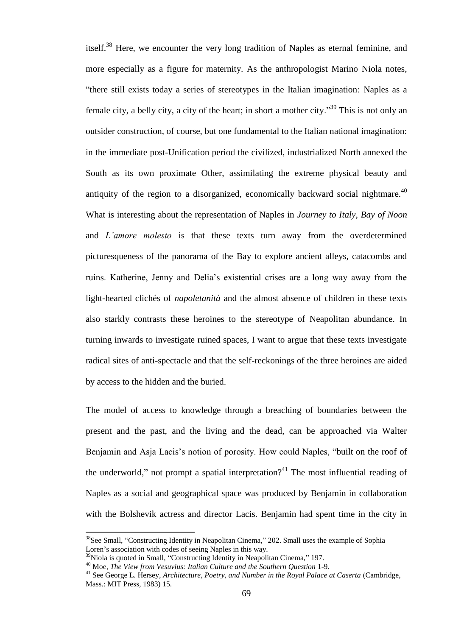itself.<sup>38</sup> Here, we encounter the very long tradition of Naples as eternal feminine, and more especially as a figure for maternity. As the anthropologist Marino Niola notes, "there still exists today a series of stereotypes in the Italian imagination: Naples as a female city, a belly city, a city of the heart; in short a mother city.<sup>39</sup> This is not only an outsider construction, of course, but one fundamental to the Italian national imagination: in the immediate post-Unification period the civilized, industrialized North annexed the South as its own proximate Other, assimilating the extreme physical beauty and antiquity of the region to a disorganized, economically backward social nightmare.<sup>40</sup> What is interesting about the representation of Naples in *Journey to Italy*, *Bay of Noon* and *L"amore molesto* is that these texts turn away from the overdetermined picturesqueness of the panorama of the Bay to explore ancient alleys, catacombs and ruins. Katherine, Jenny and Delia"s existential crises are a long way away from the light-hearted clichés of *napoletanità* and the almost absence of children in these texts also starkly contrasts these heroines to the stereotype of Neapolitan abundance. In turning inwards to investigate ruined spaces, I want to argue that these texts investigate radical sites of anti-spectacle and that the self-reckonings of the three heroines are aided by access to the hidden and the buried.

The model of access to knowledge through a breaching of boundaries between the present and the past, and the living and the dead, can be approached via Walter Benjamin and Asja Lacis"s notion of porosity. How could Naples, "built on the roof of the underworld," not prompt a spatial interpretation?<sup>41</sup> The most influential reading of Naples as a social and geographical space was produced by Benjamin in collaboration with the Bolshevik actress and director Lacis. Benjamin had spent time in the city in

<sup>&</sup>lt;sup>38</sup>See Small, "Constructing Identity in Neapolitan Cinema," 202. Small uses the example of Sophia Loren"s association with codes of seeing Naples in this way.

<sup>&</sup>lt;sup>39</sup>Niola is quoted in Small, "Constructing Identity in Neapolitan Cinema," 197.

<sup>40</sup> Moe, *The View from Vesuvius: Italian Culture and the Southern Question* 1-9.

<sup>41</sup> See George L. Hersey, *Architecture, Poetry, and Number in the Royal Palace at Caserta* (Cambridge, Mass.: MIT Press, 1983) 15.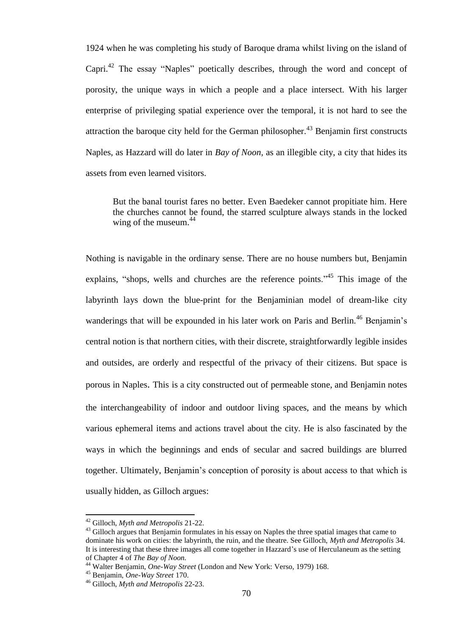1924 when he was completing his study of Baroque drama whilst living on the island of Capri.<sup>42</sup> The essay "Naples" poetically describes, through the word and concept of porosity, the unique ways in which a people and a place intersect. With his larger enterprise of privileging spatial experience over the temporal, it is not hard to see the attraction the baroque city held for the German philosopher.<sup>43</sup> Benjamin first constructs Naples, as Hazzard will do later in *Bay of Noon,* as an illegible city, a city that hides its assets from even learned visitors.

But the banal tourist fares no better. Even Baedeker cannot propitiate him. Here the churches cannot be found, the starred sculpture always stands in the locked wing of the museum.<sup>44</sup>

Nothing is navigable in the ordinary sense. There are no house numbers but, Benjamin explains, "shops, wells and churches are the reference points."<sup>45</sup> This image of the labyrinth lays down the blue-print for the Benjaminian model of dream-like city wanderings that will be expounded in his later work on Paris and Berlin.<sup>46</sup> Benjamin's central notion is that northern cities, with their discrete, straightforwardly legible insides and outsides, are orderly and respectful of the privacy of their citizens. But space is porous in Naples. This is a city constructed out of permeable stone, and Benjamin notes the interchangeability of indoor and outdoor living spaces, and the means by which various ephemeral items and actions travel about the city. He is also fascinated by the ways in which the beginnings and ends of secular and sacred buildings are blurred together. Ultimately, Benjamin"s conception of porosity is about access to that which is usually hidden, as Gilloch argues:

l

<sup>42</sup> Gilloch, *Myth and Metropolis* 21-22.

<sup>&</sup>lt;sup>43</sup> Gilloch argues that Benjamin formulates in his essay on Naples the three spatial images that came to dominate his work on cities: the labyrinth, the ruin, and the theatre. See Gilloch, *Myth and Metropolis* 34. It is interesting that these three images all come together in Hazzard"s use of Herculaneum as the setting of Chapter 4 of *The Bay of Noon.*

<sup>44</sup> Walter Benjamin, *One-Way Street* (London and New York: Verso, 1979) 168.

<sup>45</sup> Benjamin, *One-Way Street* 170.

<sup>46</sup> Gilloch, *Myth and Metropolis* 22-23.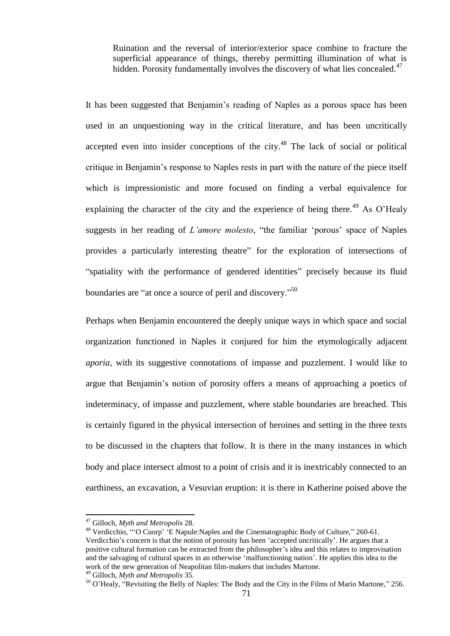Ruination and the reversal of interior/exterior space combine to fracture the superficial appearance of things, thereby permitting illumination of what is hidden. Porosity fundamentally involves the discovery of what lies concealed.<sup>47</sup>

It has been suggested that Benjamin"s reading of Naples as a porous space has been used in an unquestioning way in the critical literature, and has been uncritically accepted even into insider conceptions of the city.<sup>48</sup> The lack of social or political critique in Benjamin"s response to Naples rests in part with the nature of the piece itself which is impressionistic and more focused on finding a verbal equivalence for explaining the character of the city and the experience of being there.<sup>49</sup> As O'Healy suggests in her reading of *L'amore molesto*, "the familiar 'porous' space of Naples provides a particularly interesting theatre" for the exploration of intersections of "spatiality with the performance of gendered identities" precisely because its fluid boundaries are "at once a source of peril and discovery."<sup>50</sup>

Perhaps when Benjamin encountered the deeply unique ways in which space and social organization functioned in Naples it conjured for him the etymologically adjacent *aporia*, with its suggestive connotations of impasse and puzzlement. I would like to argue that Benjamin"s notion of porosity offers a means of approaching a poetics of indeterminacy, of impasse and puzzlement, where stable boundaries are breached. This is certainly figured in the physical intersection of heroines and setting in the three texts to be discussed in the chapters that follow. It is there in the many instances in which body and place intersect almost to a point of crisis and it is inextricably connected to an earthiness, an excavation, a Vesuvian eruption: it is there in Katherine poised above the

l

<sup>47</sup> Gilloch, *Myth and Metropolis* 28.

<sup>&</sup>lt;sup>48</sup> Verdicchio, ""O Cuorp' 'E Napule:Naples and the Cinematographic Body of Culture," 260-61. Verdicchio"s concern is that the notion of porosity has been "accepted uncritically". He argues that a positive cultural formation can be extracted from the philosopher"s idea and this relates to improvisation and the salvaging of cultural spaces in an otherwise "malfunctioning nation". He applies this idea to the work of the new generation of Neapolitan film-makers that includes Martone.

<sup>49</sup> Gilloch, *Myth and Metropolis* 35.

<sup>50</sup> O"Healy, "Revisiting the Belly of Naples: The Body and the City in the Films of Mario Martone," 256.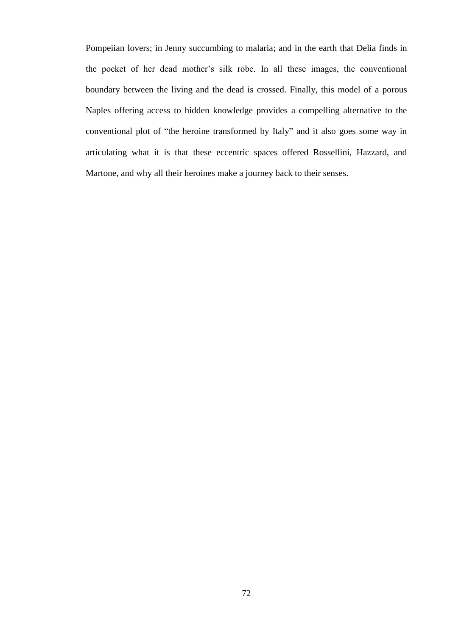Pompeiian lovers; in Jenny succumbing to malaria; and in the earth that Delia finds in the pocket of her dead mother"s silk robe. In all these images, the conventional boundary between the living and the dead is crossed. Finally, this model of a porous Naples offering access to hidden knowledge provides a compelling alternative to the conventional plot of "the heroine transformed by Italy" and it also goes some way in articulating what it is that these eccentric spaces offered Rossellini, Hazzard, and Martone, and why all their heroines make a journey back to their senses.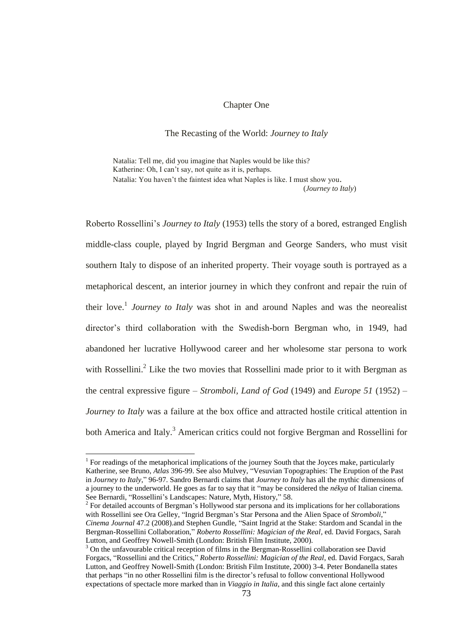## Chapter One

## The Recasting of the World: *Journey to Italy*

Natalia: Tell me, did you imagine that Naples would be like this? Katherine: Oh, I can't say, not quite as it is, perhaps. Natalia: You haven"t the faintest idea what Naples is like. I must show you. (*Journey to Italy*)

Roberto Rossellini"s *Journey to Italy* (1953) tells the story of a bored, estranged English middle-class couple, played by Ingrid Bergman and George Sanders, who must visit southern Italy to dispose of an inherited property. Their voyage south is portrayed as a metaphorical descent, an interior journey in which they confront and repair the ruin of their love.<sup>1</sup> Journey to Italy was shot in and around Naples and was the neorealist director"s third collaboration with the Swedish-born Bergman who, in 1949, had abandoned her lucrative Hollywood career and her wholesome star persona to work with Rossellini. $^{2}$  Like the two movies that Rossellini made prior to it with Bergman as the central expressive figure – *Stromboli, Land of God* (1949) and *Europe 51* (1952) *– Journey to Italy* was a failure at the box office and attracted hostile critical attention in both America and Italy.<sup>3</sup> American critics could not forgive Bergman and Rossellini for

 $1$  For readings of the metaphorical implications of the journey South that the Joyces make, particularly Katherine, see Bruno, *Atlas* 396-99. See also Mulvey, "Vesuvian Topographies: The Eruption of the Past in *Journey to Italy*," 96-97. Sandro Bernardi claims that *Journey to Italy* has all the mythic dimensions of a journey to the underworld. He goes as far to say that it "may be considered the *nékya* of Italian cinema. See Bernardi, "Rossellini's Landscapes: Nature, Myth, History," 58.

 $2^2$  For detailed accounts of Bergman's Hollywood star persona and its implications for her collaborations with Rossellini see Ora Gelley, "Ingrid Bergman"s Star Persona and the Alien Space of *Stromboli*," *Cinema Journal* 47.2 (2008).and Stephen Gundle, "Saint Ingrid at the Stake: Stardom and Scandal in the Bergman-Rossellini Collaboration," *Roberto Rossellini: Magician of the Real*, ed. David Forgacs, Sarah Lutton, and Geoffrey Nowell-Smith (London: British Film Institute, 2000).

<sup>&</sup>lt;sup>3</sup> On the unfavourable critical reception of films in the Bergman-Rossellini collaboration see David Forgacs, "Rossellini and the Critics," *Roberto Rossellini: Magician of the Real*, ed. David Forgacs, Sarah Lutton, and Geoffrey Nowell-Smith (London: British Film Institute, 2000) 3-4. Peter Bondanella states that perhaps "in no other Rossellini film is the director's refusal to follow conventional Hollywood expectations of spectacle more marked than in *Viaggio in Italia*, and this single fact alone certainly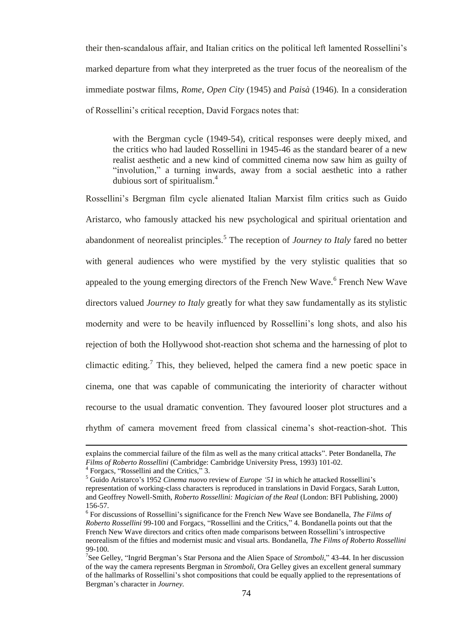their then-scandalous affair, and Italian critics on the political left lamented Rossellini"s marked departure from what they interpreted as the truer focus of the neorealism of the immediate postwar films, *Rome, Open City* (1945) and *Paisà* (1946)*.* In a consideration of Rossellini"s critical reception, David Forgacs notes that:

with the Bergman cycle (1949-54), critical responses were deeply mixed, and the critics who had lauded Rossellini in 1945-46 as the standard bearer of a new realist aesthetic and a new kind of committed cinema now saw him as guilty of "involution," a turning inwards, away from a social aesthetic into a rather dubious sort of spiritualism.<sup>4</sup>

Rossellini"s Bergman film cycle alienated Italian Marxist film critics such as Guido Aristarco, who famously attacked his new psychological and spiritual orientation and abandonment of neorealist principles.<sup>5</sup> The reception of *Journey to Italy* fared no better with general audiences who were mystified by the very stylistic qualities that so appealed to the young emerging directors of the French New Wave. <sup>6</sup> French New Wave directors valued *Journey to Italy* greatly for what they saw fundamentally as its stylistic modernity and were to be heavily influenced by Rossellini"s long shots, and also his rejection of both the Hollywood shot-reaction shot schema and the harnessing of plot to climactic editing.<sup>7</sup> This, they believed, helped the camera find a new poetic space in cinema, one that was capable of communicating the interiority of character without recourse to the usual dramatic convention. They favoured looser plot structures and a rhythm of camera movement freed from classical cinema"s shot-reaction-shot. This

explains the commercial failure of the film as well as the many critical attacks". Peter Bondanella, *The Films of Roberto Rossellini* (Cambridge: Cambridge University Press, 1993) 101-02.

<sup>&</sup>lt;sup>4</sup> Forgacs, "Rossellini and the Critics," 3.

<sup>5</sup> Guido Aristarco"s 1952 *Cinema nuovo* review of *Europe "51* in which he attacked Rossellini"s representation of working-class characters is reproduced in translations in David Forgacs, Sarah Lutton, and Geoffrey Nowell-Smith, *Roberto Rossellini: Magician of the Real* (London: BFI Publishing, 2000) 156-57.

<sup>&</sup>lt;sup>6</sup> For discussions of Rossellini's significance for the French New Wave see Bondanella, *The Films of Roberto Rossellini* 99-100 and Forgacs, "Rossellini and the Critics," 4. Bondanella points out that the French New Wave directors and critics often made comparisons between Rossellini"s introspective neorealism of the fifties and modernist music and visual arts. Bondanella, *The Films of Roberto Rossellini* 99-100.

<sup>&</sup>lt;sup>7</sup>See Gelley, "Ingrid Bergman's Star Persona and the Alien Space of *Stromboli*," 43-44. In her discussion of the way the camera represents Bergman in *Stromboli,* Ora Gelley gives an excellent general summary of the hallmarks of Rossellini"s shot compositions that could be equally applied to the representations of Bergman"s character in *Journey.*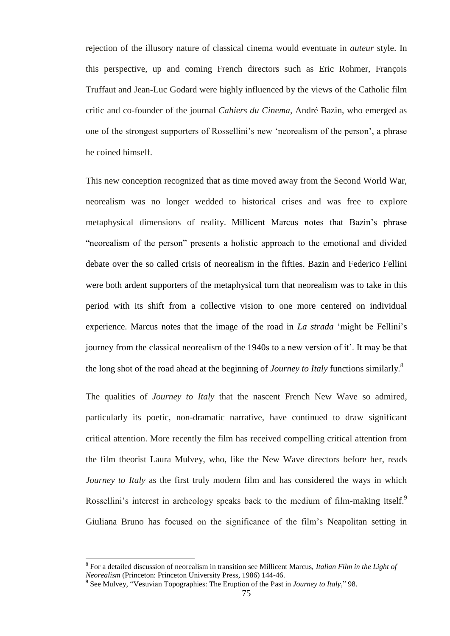rejection of the illusory nature of classical cinema would eventuate in *auteur* style. In this perspective, up and coming French directors such as Eric Rohmer, François Truffaut and Jean-Luc Godard were highly influenced by the views of the Catholic film critic and co-founder of the journal *Cahiers du Cinema,* André Bazin, who emerged as one of the strongest supporters of Rossellini"s new "neorealism of the person", a phrase he coined himself.

This new conception recognized that as time moved away from the Second World War, neorealism was no longer wedded to historical crises and was free to explore metaphysical dimensions of reality. Millicent Marcus notes that Bazin"s phrase "neorealism of the person" presents a holistic approach to the emotional and divided debate over the so called crisis of neorealism in the fifties. Bazin and Federico Fellini were both ardent supporters of the metaphysical turn that neorealism was to take in this period with its shift from a collective vision to one more centered on individual experience. Marcus notes that the image of the road in *La strada* "might be Fellini"s journey from the classical neorealism of the 1940s to a new version of it". It may be that the long shot of the road ahead at the beginning of *Journey to Italy* functions similarly. 8

The qualities of *Journey to Italy* that the nascent French New Wave so admired, particularly its poetic, non-dramatic narrative, have continued to draw significant critical attention. More recently the film has received compelling critical attention from the film theorist Laura Mulvey, who, like the New Wave directors before her, reads *Journey to Italy* as the first truly modern film and has considered the ways in which Rossellini's interest in archeology speaks back to the medium of film-making itself.<sup>9</sup> Giuliana Bruno has focused on the significance of the film"s Neapolitan setting in

<sup>8</sup> For a detailed discussion of neorealism in transition see Millicent Marcus, *Italian Film in the Light of Neorealism* (Princeton: Princeton University Press, 1986) 144-46.

<sup>9</sup> See Mulvey, "Vesuvian Topographies: The Eruption of the Past in *Journey to Italy*," 98.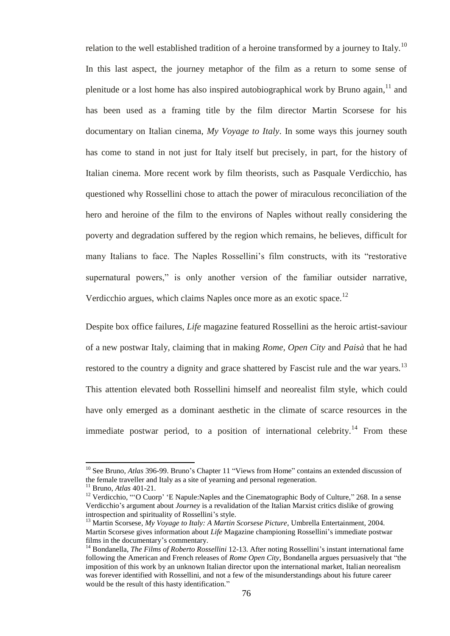relation to the well established tradition of a heroine transformed by a journey to Italy.<sup>10</sup> In this last aspect, the journey metaphor of the film as a return to some sense of plenitude or a lost home has also inspired autobiographical work by Bruno again,  $11$  and has been used as a framing title by the film director Martin Scorsese for his documentary on Italian cinema, *My Voyage to Italy*. In some ways this journey south has come to stand in not just for Italy itself but precisely, in part, for the history of Italian cinema. More recent work by film theorists, such as Pasquale Verdicchio, has questioned why Rossellini chose to attach the power of miraculous reconciliation of the hero and heroine of the film to the environs of Naples without really considering the poverty and degradation suffered by the region which remains, he believes, difficult for many Italians to face. The Naples Rossellini"s film constructs, with its "restorative supernatural powers," is only another version of the familiar outsider narrative, Verdicchio argues, which claims Naples once more as an exotic space.<sup>12</sup>

Despite box office failures, *Life* magazine featured Rossellini as the heroic artist-saviour of a new postwar Italy, claiming that in making *Rome, Open City* and *Paisà* that he had restored to the country a dignity and grace shattered by Fascist rule and the war years.<sup>13</sup> This attention elevated both Rossellini himself and neorealist film style, which could have only emerged as a dominant aesthetic in the climate of scarce resources in the immediate postwar period, to a position of international celebrity.<sup>14</sup> From these

l

<sup>&</sup>lt;sup>10</sup> See Bruno, *Atlas* 396-99. Bruno's Chapter 11 "Views from Home" contains an extended discussion of the female traveller and Italy as a site of yearning and personal regeneration.

<sup>11</sup> Bruno, *Atlas* 401-21.

<sup>&</sup>lt;sup>12</sup> Verdicchio, ""O Cuorp' 'E Napule:Naples and the Cinematographic Body of Culture," 268. In a sense Verdicchio"s argument about *Journey* is a revalidation of the Italian Marxist critics dislike of growing introspection and spirituality of Rossellini's style.

<sup>&</sup>lt;sup>13</sup> Martin Scorsese, *My Voyage to Italy: A Martin Scorsese Picture*, Umbrella Entertainment, 2004. Martin Scorsese gives information about *Life* Magazine championing Rossellini"s immediate postwar films in the documentary's commentary.

<sup>&</sup>lt;sup>14</sup> Bondanella, *The Films of Roberto Rossellini* 12-13. After noting Rossellini's instant international fame following the American and French releases of *Rome Open City*, Bondanella argues persuasively that "the imposition of this work by an unknown Italian director upon the international market, Italian neorealism was forever identified with Rossellini, and not a few of the misunderstandings about his future career would be the result of this hasty identification."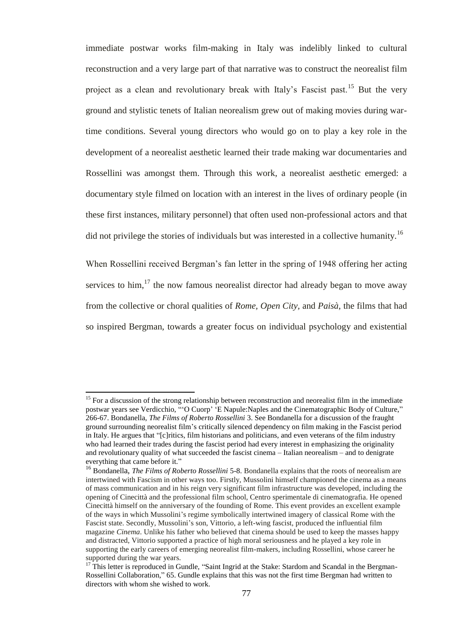immediate postwar works film-making in Italy was indelibly linked to cultural reconstruction and a very large part of that narrative was to construct the neorealist film project as a clean and revolutionary break with Italy's Fascist past.<sup>15</sup> But the very ground and stylistic tenets of Italian neorealism grew out of making movies during wartime conditions. Several young directors who would go on to play a key role in the development of a neorealist aesthetic learned their trade making war documentaries and Rossellini was amongst them. Through this work, a neorealist aesthetic emerged: a documentary style filmed on location with an interest in the lives of ordinary people (in these first instances, military personnel) that often used non-professional actors and that did not privilege the stories of individuals but was interested in a collective humanity.<sup>16</sup>

When Rossellini received Bergman"s fan letter in the spring of 1948 offering her acting services to him, $^{17}$  the now famous neorealist director had already began to move away from the collective or choral qualities of *Rome, Open City,* and *Paisà*, the films that had so inspired Bergman, towards a greater focus on individual psychology and existential

<sup>&</sup>lt;sup>15</sup> For a discussion of the strong relationship between reconstruction and neorealist film in the immediate postwar years see Verdicchio, ""O Cuorp" "E Napule:Naples and the Cinematographic Body of Culture," 266-67. Bondanella, *The Films of Roberto Rossellini* 3. See Bondanella for a discussion of the fraught ground surrounding neorealist film"s critically silenced dependency on film making in the Fascist period in Italy. He argues that "[c]ritics, film historians and politicians, and even veterans of the film industry who had learned their trades during the fascist period had every interest in emphasizing the originality and revolutionary quality of what succeeded the fascist cinema – Italian neorealism – and to denigrate everything that came before it."

<sup>16</sup> Bondanella, *The Films of Roberto Rossellini* 5-8. Bondanella explains that the roots of neorealism are intertwined with Fascism in other ways too. Firstly, Mussolini himself championed the cinema as a means of mass communication and in his reign very significant film infrastructure was developed, including the opening of Cinecittà and the professional film school, Centro sperimentale di cinematografia. He opened Cinecittà himself on the anniversary of the founding of Rome. This event provides an excellent example of the ways in which Mussolini"s regime symbolically intertwined imagery of classical Rome with the Fascist state. Secondly, Mussolini"s son, Vittorio, a left-wing fascist, produced the influential film magazine *Cinema*. Unlike his father who believed that cinema should be used to keep the masses happy and distracted, Vittorio supported a practice of high moral seriousness and he played a key role in supporting the early careers of emerging neorealist film-makers, including Rossellini, whose career he supported during the war years.

<sup>17</sup> This letter is reproduced in Gundle, "Saint Ingrid at the Stake: Stardom and Scandal in the Bergman-Rossellini Collaboration," 65. Gundle explains that this was not the first time Bergman had written to directors with whom she wished to work.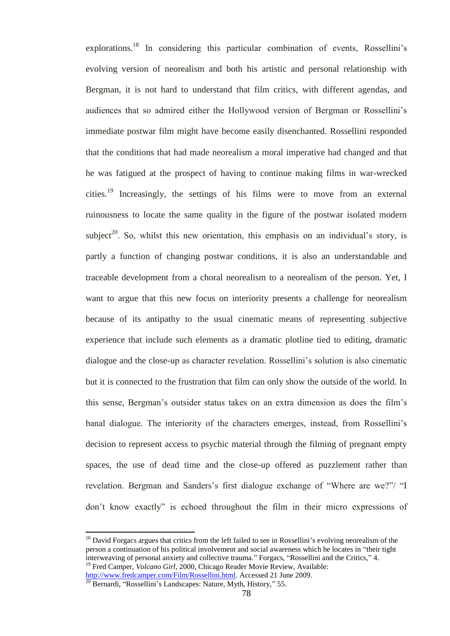explorations.<sup>18</sup> In considering this particular combination of events, Rossellini's evolving version of neorealism and both his artistic and personal relationship with Bergman, it is not hard to understand that film critics, with different agendas, and audiences that so admired either the Hollywood version of Bergman or Rossellini"s immediate postwar film might have become easily disenchanted. Rossellini responded that the conditions that had made neorealism a moral imperative had changed and that he was fatigued at the prospect of having to continue making films in war-wrecked cities.<sup>19</sup> Increasingly, the settings of his films were to move from an external ruinousness to locate the same quality in the figure of the postwar isolated modern subject<sup>20</sup>. So, whilst this new orientation, this emphasis on an individual's story, is partly a function of changing postwar conditions, it is also an understandable and traceable development from a choral neorealism to a neorealism of the person. Yet, I want to argue that this new focus on interiority presents a challenge for neorealism because of its antipathy to the usual cinematic means of representing subjective experience that include such elements as a dramatic plotline tied to editing, dramatic dialogue and the close-up as character revelation. Rossellini"s solution is also cinematic but it is connected to the frustration that film can only show the outside of the world. In this sense, Bergman"s outsider status takes on an extra dimension as does the film"s banal dialogue. The interiority of the characters emerges, instead, from Rossellini"s decision to represent access to psychic material through the filming of pregnant empty spaces, the use of dead time and the close-up offered as puzzlement rather than revelation. Bergman and Sanders's first dialogue exchange of "Where are we?"/ "I don"t know exactly" is echoed throughout the film in their micro expressions of

 $18$  David Forgacs argues that critics from the left failed to see in Rossellini's evolving neorealism of the person a continuation of his political involvement and social awareness which he locates in "their tight interweaving of personal anxiety and collective trauma." Forgacs, "Rossellini and the Critics," 4. <sup>19</sup> Fred Camper, *Volcano Girl*, 2000, Chicago Reader Movie Review, Available:

[http://www.fredcamper.com/Film/Rossellini.html.](http://www.fredcamper.com/Film/Rossellini.html) Accessed 21 June 2009.

 $\frac{20}{20}$  Bernardi, "Rossellini's Landscapes: Nature, Myth, History," 55.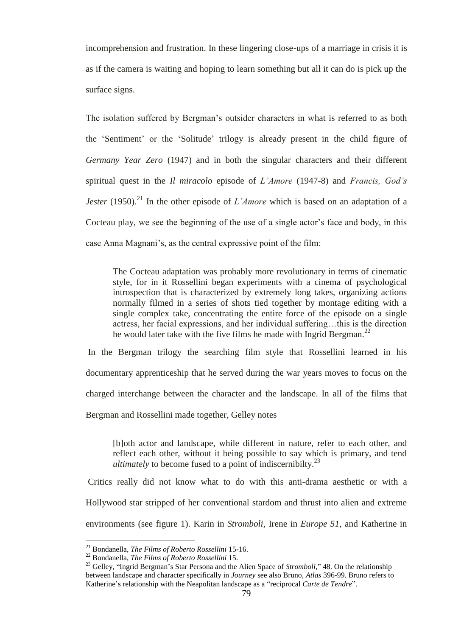incomprehension and frustration. In these lingering close-ups of a marriage in crisis it is as if the camera is waiting and hoping to learn something but all it can do is pick up the surface signs.

The isolation suffered by Bergman"s outsider characters in what is referred to as both the "Sentiment" or the "Solitude" trilogy is already present in the child figure of *Germany Year Zero* (1947) and in both the singular characters and their different spiritual quest in the *Il miracolo* episode of *L"Amore* (1947-8) and *Francis, God"s Jester* (1950).<sup>21</sup> In the other episode of *L'Amore* which is based on an adaptation of a Cocteau play, we see the beginning of the use of a single actor's face and body, in this case Anna Magnani's, as the central expressive point of the film:

The Cocteau adaptation was probably more revolutionary in terms of cinematic style, for in it Rossellini began experiments with a cinema of psychological introspection that is characterized by extremely long takes, organizing actions normally filmed in a series of shots tied together by montage editing with a single complex take, concentrating the entire force of the episode on a single actress, her facial expressions, and her individual suffering…this is the direction he would later take with the five films he made with Ingrid Bergman.<sup>22</sup>

In the Bergman trilogy the searching film style that Rossellini learned in his documentary apprenticeship that he served during the war years moves to focus on the charged interchange between the character and the landscape. In all of the films that Bergman and Rossellini made together, Gelley notes

[b]oth actor and landscape, while different in nature, refer to each other, and reflect each other, without it being possible to say which is primary, and tend *ultimately* to become fused to a point of indiscernibilty.<sup>23</sup>

Critics really did not know what to do with this anti-drama aesthetic or with a Hollywood star stripped of her conventional stardom and thrust into alien and extreme environments (see figure 1). Karin in *Stromboli*, Irene in *Europe 51,* and Katherine in

<sup>21</sup> Bondanella, *The Films of Roberto Rossellini* 15-16.

<sup>22</sup> Bondanella, *The Films of Roberto Rossellini* 15.

<sup>&</sup>lt;sup>23</sup> Gelley, "Ingrid Bergman's Star Persona and the Alien Space of *Stromboli*," 48. On the relationship between landscape and character specifically in *Journey* see also Bruno, *Atlas* 396-99. Bruno refers to Katherine's relationship with the Neapolitan landscape as a "reciprocal *Carte de Tendre*".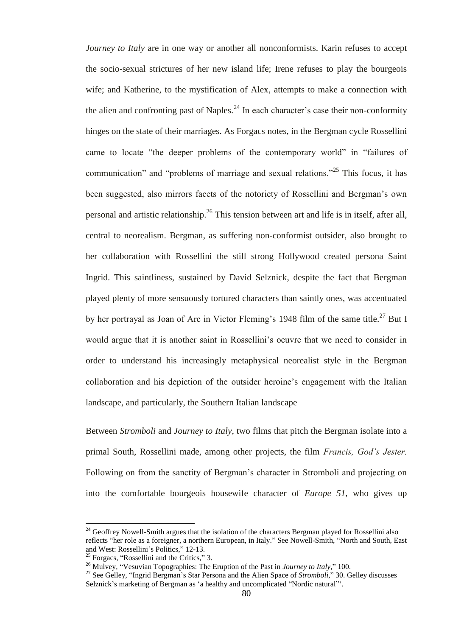*Journey to Italy* are in one way or another all nonconformists. Karin refuses to accept the socio-sexual strictures of her new island life; Irene refuses to play the bourgeois wife; and Katherine, to the mystification of Alex, attempts to make a connection with the alien and confronting past of Naples.<sup>24</sup> In each character's case their non-conformity hinges on the state of their marriages. As Forgacs notes, in the Bergman cycle Rossellini came to locate "the deeper problems of the contemporary world" in "failures of communication" and "problems of marriage and sexual relations."<sup>25</sup> This focus, it has been suggested, also mirrors facets of the notoriety of Rossellini and Bergman"s own personal and artistic relationship.<sup>26</sup> This tension between art and life is in itself, after all, central to neorealism. Bergman, as suffering non-conformist outsider, also brought to her collaboration with Rossellini the still strong Hollywood created persona Saint Ingrid. This saintliness, sustained by David Selznick, despite the fact that Bergman played plenty of more sensuously tortured characters than saintly ones, was accentuated by her portrayal as Joan of Arc in Victor Fleming's 1948 film of the same title.<sup>27</sup> But I would argue that it is another saint in Rossellini"s oeuvre that we need to consider in order to understand his increasingly metaphysical neorealist style in the Bergman collaboration and his depiction of the outsider heroine"s engagement with the Italian landscape, and particularly, the Southern Italian landscape

Between *Stromboli* and *Journey to Italy*, two films that pitch the Bergman isolate into a primal South, Rossellini made, among other projects, the film *Francis, God"s Jester.* Following on from the sanctity of Bergman"s character in Stromboli and projecting on into the comfortable bourgeois housewife character of *Europe 51*, who gives up

 $24$  Geoffrey Nowell-Smith argues that the isolation of the characters Bergman played for Rossellini also reflects "her role as a foreigner, a northern European, in Italy." See Nowell-Smith, "North and South, East and West: Rossellini"s Politics," 12-13.

 $25$  Forgacs, "Rossellini and the Critics," 3.

<sup>26</sup> Mulvey, "Vesuvian Topographies: The Eruption of the Past in *Journey to Italy*," 100.

<sup>27</sup> See Gelley, "Ingrid Bergman"s Star Persona and the Alien Space of *Stromboli*," 30. Gelley discusses Selznick's marketing of Bergman as 'a healthy and uncomplicated "Nordic natural".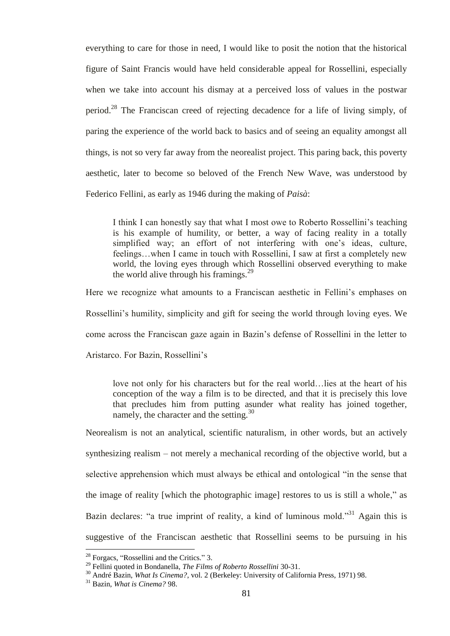everything to care for those in need, I would like to posit the notion that the historical figure of Saint Francis would have held considerable appeal for Rossellini, especially when we take into account his dismay at a perceived loss of values in the postwar period.<sup>28</sup> The Franciscan creed of rejecting decadence for a life of living simply, of paring the experience of the world back to basics and of seeing an equality amongst all things, is not so very far away from the neorealist project. This paring back, this poverty aesthetic, later to become so beloved of the French New Wave, was understood by Federico Fellini, as early as 1946 during the making of *Paisà*:

I think I can honestly say that what I most owe to Roberto Rossellini"s teaching is his example of humility, or better, a way of facing reality in a totally simplified way; an effort of not interfering with one's ideas, culture, feelings…when I came in touch with Rossellini, I saw at first a completely new world, the loving eyes through which Rossellini observed everything to make the world alive through his framings. $^{29}$ 

Here we recognize what amounts to a Franciscan aesthetic in Fellini's emphases on

Rossellini"s humility, simplicity and gift for seeing the world through loving eyes. We

come across the Franciscan gaze again in Bazin"s defense of Rossellini in the letter to

Aristarco. For Bazin, Rossellini"s

love not only for his characters but for the real world…lies at the heart of his conception of the way a film is to be directed, and that it is precisely this love that precludes him from putting asunder what reality has joined together, namely, the character and the setting.<sup>30</sup>

Neorealism is not an analytical, scientific naturalism, in other words, but an actively synthesizing realism – not merely a mechanical recording of the objective world, but a selective apprehension which must always be ethical and ontological "in the sense that the image of reality [which the photographic image] restores to us is still a whole," as Bazin declares: "a true imprint of reality, a kind of luminous mold."<sup>31</sup> Again this is suggestive of the Franciscan aesthetic that Rossellini seems to be pursuing in his

 $28$  Forgacs, "Rossellini and the Critics." 3.

<sup>29</sup> Fellini quoted in Bondanella, *The Films of Roberto Rossellini* 30-31.

<sup>&</sup>lt;sup>30</sup> André Bazin, *What Is Cinema?*, vol. 2 (Berkeley: University of California Press, 1971) 98.

<sup>31</sup> Bazin, *What is Cinema?* 98.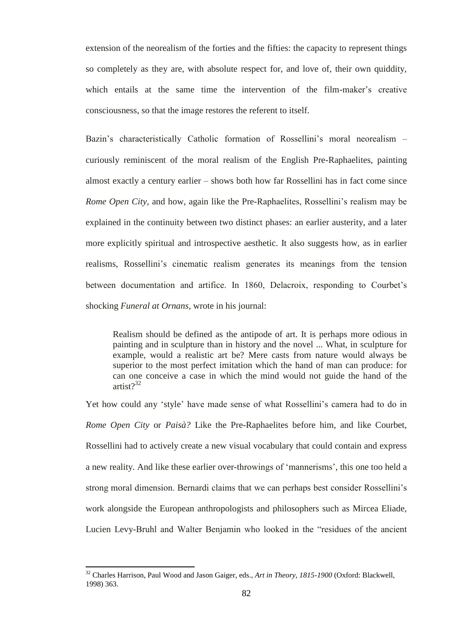extension of the neorealism of the forties and the fifties: the capacity to represent things so completely as they are, with absolute respect for, and love of, their own quiddity, which entails at the same time the intervention of the film-maker's creative consciousness, so that the image restores the referent to itself.

Bazin's characteristically Catholic formation of Rossellini's moral neorealism curiously reminiscent of the moral realism of the English Pre-Raphaelites, painting almost exactly a century earlier – shows both how far Rossellini has in fact come since *Rome Open City*, and how, again like the Pre-Raphaelites, Rossellini's realism may be explained in the continuity between two distinct phases: an earlier austerity, and a later more explicitly spiritual and introspective aesthetic. It also suggests how, as in earlier realisms, Rossellini"s cinematic realism generates its meanings from the tension between documentation and artifice. In 1860, Delacroix, responding to Courbet's shocking *Funeral at Ornans*, wrote in his journal:

Realism should be defined as the antipode of art. It is perhaps more odious in painting and in sculpture than in history and the novel ... What, in sculpture for example, would a realistic art be? Mere casts from nature would always be superior to the most perfect imitation which the hand of man can produce: for can one conceive a case in which the mind would not guide the hand of the artist $2^{32}$ 

Yet how could any "style" have made sense of what Rossellini"s camera had to do in *Rome Open City* or *Paisà?* Like the Pre-Raphaelites before him, and like Courbet, Rossellini had to actively create a new visual vocabulary that could contain and express a new reality. And like these earlier over-throwings of "mannerisms", this one too held a strong moral dimension. Bernardi claims that we can perhaps best consider Rossellini"s work alongside the European anthropologists and philosophers such as Mircea Eliade, Lucien Levy-Bruhl and Walter Benjamin who looked in the "residues of the ancient

<sup>32</sup> Charles Harrison, Paul Wood and Jason Gaiger, eds., *Art in Theory, 1815-1900* (Oxford: Blackwell, 1998) 363.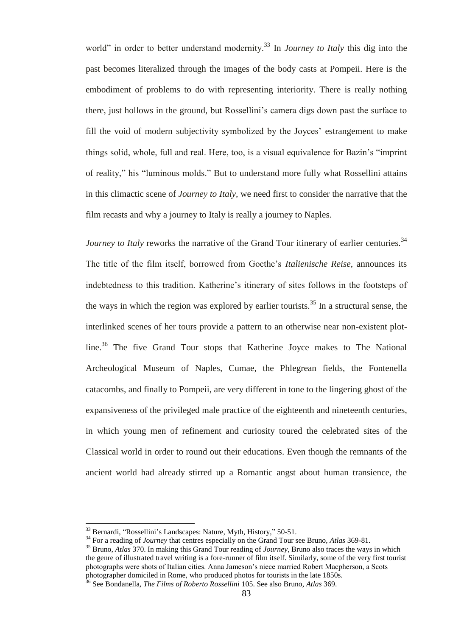world" in order to better understand modernity.<sup>33</sup> In *Journey to Italy* this dig into the past becomes literalized through the images of the body casts at Pompeii. Here is the embodiment of problems to do with representing interiority. There is really nothing there, just hollows in the ground, but Rossellini"s camera digs down past the surface to fill the void of modern subjectivity symbolized by the Joyces' estrangement to make things solid, whole, full and real. Here, too, is a visual equivalence for Bazin"s "imprint of reality," his "luminous molds." But to understand more fully what Rossellini attains in this climactic scene of *Journey to Italy,* we need first to consider the narrative that the film recasts and why a journey to Italy is really a journey to Naples.

*Journey to Italy* reworks the narrative of the Grand Tour itinerary of earlier centuries.<sup>34</sup> The title of the film itself, borrowed from Goethe"s *Italienische Reise*, announces its indebtedness to this tradition. Katherine"s itinerary of sites follows in the footsteps of the ways in which the region was explored by earlier tourists.<sup>35</sup> In a structural sense, the interlinked scenes of her tours provide a pattern to an otherwise near non-existent plotline.<sup>36</sup> The five Grand Tour stops that Katherine Joyce makes to The National Archeological Museum of Naples, Cumae, the Phlegrean fields, the Fontenella catacombs, and finally to Pompeii, are very different in tone to the lingering ghost of the expansiveness of the privileged male practice of the eighteenth and nineteenth centuries, in which young men of refinement and curiosity toured the celebrated sites of the Classical world in order to round out their educations. Even though the remnants of the ancient world had already stirred up a Romantic angst about human transience, the

<sup>33</sup> Bernardi, "Rossellini"s Landscapes: Nature, Myth, History," 50-51.

<sup>34</sup> For a reading of *Journey* that centres especially on the Grand Tour see Bruno, *Atlas* 369-81.

<sup>35</sup> Bruno, *Atlas* 370. In making this Grand Tour reading of *Journey*, Bruno also traces the ways in which the genre of illustrated travel writing is a fore-runner of film itself. Similarly, some of the very first tourist photographs were shots of Italian cities. Anna Jameson"s niece married Robert Macpherson, a Scots photographer domiciled in Rome, who produced photos for tourists in the late 1850s.

<sup>36</sup> See Bondanella, *The Films of Roberto Rossellini* 105. See also Bruno, *Atlas* 369.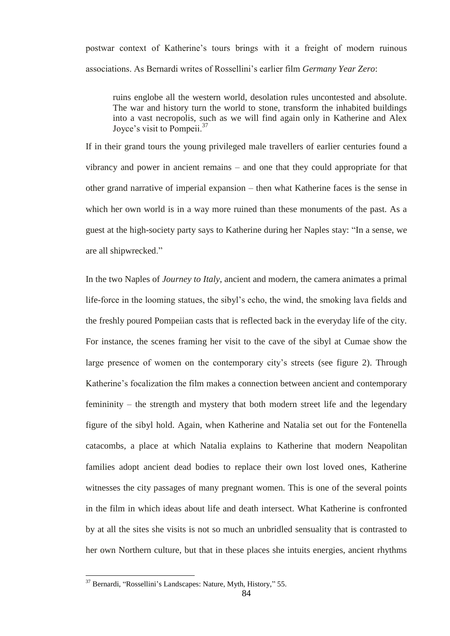postwar context of Katherine"s tours brings with it a freight of modern ruinous associations. As Bernardi writes of Rossellini"s earlier film *Germany Year Zero*:

ruins englobe all the western world, desolation rules uncontested and absolute. The war and history turn the world to stone, transform the inhabited buildings into a vast necropolis, such as we will find again only in Katherine and Alex Joyce's visit to Pompeii.<sup>37</sup>

If in their grand tours the young privileged male travellers of earlier centuries found a vibrancy and power in ancient remains – and one that they could appropriate for that other grand narrative of imperial expansion – then what Katherine faces is the sense in which her own world is in a way more ruined than these monuments of the past. As a guest at the high-society party says to Katherine during her Naples stay: "In a sense, we are all shipwrecked."

In the two Naples of *Journey to Italy*, ancient and modern, the camera animates a primal life-force in the looming statues, the sibyl"s echo, the wind, the smoking lava fields and the freshly poured Pompeiian casts that is reflected back in the everyday life of the city. For instance, the scenes framing her visit to the cave of the sibyl at Cumae show the large presence of women on the contemporary city's streets (see figure 2). Through Katherine's focalization the film makes a connection between ancient and contemporary femininity – the strength and mystery that both modern street life and the legendary figure of the sibyl hold. Again, when Katherine and Natalia set out for the Fontenella catacombs, a place at which Natalia explains to Katherine that modern Neapolitan families adopt ancient dead bodies to replace their own lost loved ones, Katherine witnesses the city passages of many pregnant women. This is one of the several points in the film in which ideas about life and death intersect. What Katherine is confronted by at all the sites she visits is not so much an unbridled sensuality that is contrasted to her own Northern culture, but that in these places she intuits energies, ancient rhythms

<sup>37</sup> Bernardi, "Rossellini"s Landscapes: Nature, Myth, History," 55.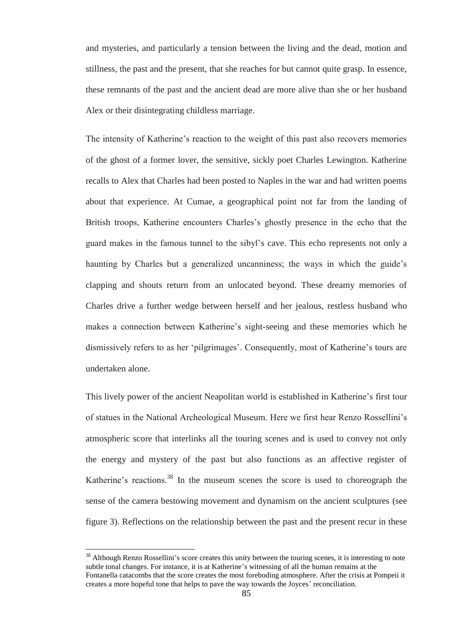and mysteries, and particularly a tension between the living and the dead, motion and stillness, the past and the present, that she reaches for but cannot quite grasp. In essence, these remnants of the past and the ancient dead are more alive than she or her husband Alex or their disintegrating childless marriage.

The intensity of Katherine's reaction to the weight of this past also recovers memories of the ghost of a former lover, the sensitive, sickly poet Charles Lewington. Katherine recalls to Alex that Charles had been posted to Naples in the war and had written poems about that experience. At Cumae, a geographical point not far from the landing of British troops, Katherine encounters Charles"s ghostly presence in the echo that the guard makes in the famous tunnel to the sibyl"s cave. This echo represents not only a haunting by Charles but a generalized uncanniness; the ways in which the guide's clapping and shouts return from an unlocated beyond. These dreamy memories of Charles drive a further wedge between herself and her jealous, restless husband who makes a connection between Katherine"s sight-seeing and these memories which he dismissively refers to as her 'pilgrimages'. Consequently, most of Katherine's tours are undertaken alone.

This lively power of the ancient Neapolitan world is established in Katherine"s first tour of statues in the National Archeological Museum. Here we first hear Renzo Rossellini"s atmospheric score that interlinks all the touring scenes and is used to convey not only the energy and mystery of the past but also functions as an affective register of Katherine's reactions.<sup>38</sup> In the museum scenes the score is used to choreograph the sense of the camera bestowing movement and dynamism on the ancient sculptures (see figure 3). Reflections on the relationship between the past and the present recur in these

<sup>&</sup>lt;sup>38</sup> Although Renzo Rossellini's score creates this unity between the touring scenes, it is interesting to note subtle tonal changes. For instance, it is at Katherine's witnessing of all the human remains at the Fontanella catacombs that the score creates the most foreboding atmosphere. After the crisis at Pompeii it creates a more hopeful tone that helps to pave the way towards the Joyces' reconciliation.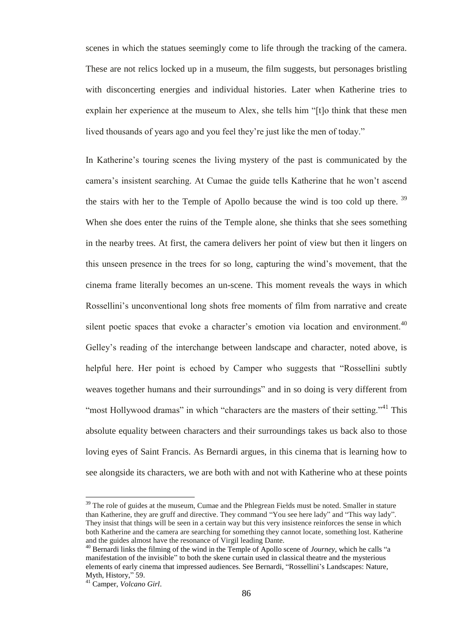scenes in which the statues seemingly come to life through the tracking of the camera. These are not relics locked up in a museum, the film suggests, but personages bristling with disconcerting energies and individual histories. Later when Katherine tries to explain her experience at the museum to Alex, she tells him "[t]o think that these men lived thousands of years ago and you feel they"re just like the men of today."

In Katherine's touring scenes the living mystery of the past is communicated by the camera"s insistent searching. At Cumae the guide tells Katherine that he won"t ascend the stairs with her to the Temple of Apollo because the wind is too cold up there.<sup>39</sup> When she does enter the ruins of the Temple alone, she thinks that she sees something in the nearby trees. At first, the camera delivers her point of view but then it lingers on this unseen presence in the trees for so long, capturing the wind"s movement, that the cinema frame literally becomes an un-scene. This moment reveals the ways in which Rossellini"s unconventional long shots free moments of film from narrative and create silent poetic spaces that evoke a character's emotion via location and environment.<sup>40</sup> Gelley"s reading of the interchange between landscape and character, noted above, is helpful here. Her point is echoed by Camper who suggests that "Rossellini subtly weaves together humans and their surroundings" and in so doing is very different from "most Hollywood dramas" in which "characters are the masters of their setting."<sup>41</sup> This absolute equality between characters and their surroundings takes us back also to those loving eyes of Saint Francis. As Bernardi argues, in this cinema that is learning how to see alongside its characters, we are both with and not with Katherine who at these points

 $39$  The role of guides at the museum, Cumae and the Phlegrean Fields must be noted. Smaller in stature than Katherine, they are gruff and directive. They command "You see here lady" and "This way lady". They insist that things will be seen in a certain way but this very insistence reinforces the sense in which both Katherine and the camera are searching for something they cannot locate, something lost. Katherine and the guides almost have the resonance of Virgil leading Dante.

<sup>40</sup> Bernardi links the filming of the wind in the Temple of Apollo scene of *Journey*, which he calls "a manifestation of the invisible" to both the skene curtain used in classical theatre and the mysterious elements of early cinema that impressed audiences. See Bernardi, "Rossellini"s Landscapes: Nature, Myth, History," 59.

<sup>41</sup> Camper, *Volcano Girl*.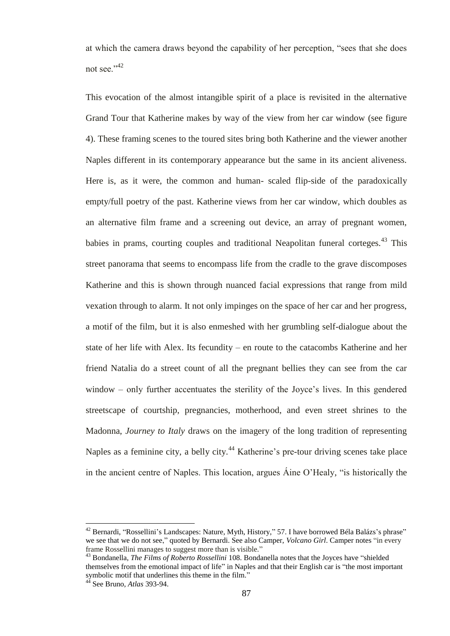at which the camera draws beyond the capability of her perception, "sees that she does not see."<sup>42</sup>

This evocation of the almost intangible spirit of a place is revisited in the alternative Grand Tour that Katherine makes by way of the view from her car window (see figure 4). These framing scenes to the toured sites bring both Katherine and the viewer another Naples different in its contemporary appearance but the same in its ancient aliveness. Here is, as it were, the common and human- scaled flip-side of the paradoxically empty/full poetry of the past. Katherine views from her car window, which doubles as an alternative film frame and a screening out device, an array of pregnant women, babies in prams, courting couples and traditional Neapolitan funeral corteges.<sup>43</sup> This street panorama that seems to encompass life from the cradle to the grave discomposes Katherine and this is shown through nuanced facial expressions that range from mild vexation through to alarm. It not only impinges on the space of her car and her progress, a motif of the film, but it is also enmeshed with her grumbling self-dialogue about the state of her life with Alex. Its fecundity – en route to the catacombs Katherine and her friend Natalia do a street count of all the pregnant bellies they can see from the car window – only further accentuates the sterility of the Joyce's lives. In this gendered streetscape of courtship, pregnancies, motherhood, and even street shrines to the Madonna, *Journey to Italy* draws on the imagery of the long tradition of representing Naples as a feminine city, a belly city.<sup>44</sup> Katherine's pre-tour driving scenes take place in the ancient centre of Naples. This location, argues Áine O"Healy, "is historically the

 $42$  Bernardi, "Rossellini's Landscapes: Nature, Myth, History," 57. I have borrowed Béla Balázs's phrase" we see that we do not see," quoted by Bernardi. See also Camper, *Volcano Girl*. Camper notes "in every frame Rossellini manages to suggest more than is visible."

<sup>43</sup> Bondanella, *The Films of Roberto Rossellini* 108. Bondanella notes that the Joyces have "shielded themselves from the emotional impact of life" in Naples and that their English car is "the most important symbolic motif that underlines this theme in the film."

<sup>44</sup> See Bruno, *Atlas* 393-94.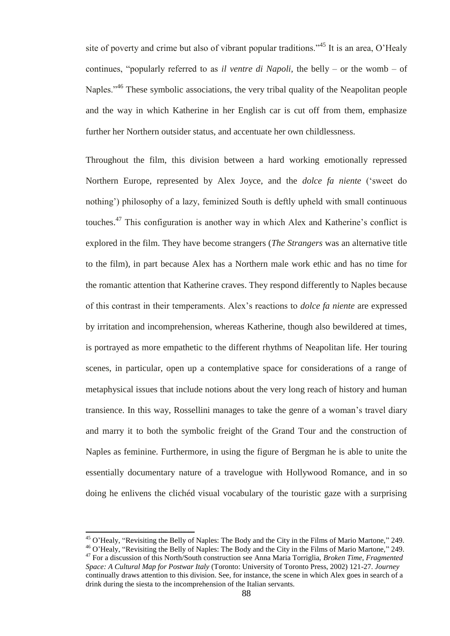site of poverty and crime but also of vibrant popular traditions."<sup>45</sup> It is an area, O'Healy continues, "popularly referred to as *il ventre di Napoli,* the belly – or the womb – of Naples."<sup>46</sup> These symbolic associations, the very tribal quality of the Neapolitan people and the way in which Katherine in her English car is cut off from them, emphasize further her Northern outsider status, and accentuate her own childlessness.

Throughout the film, this division between a hard working emotionally repressed Northern Europe, represented by Alex Joyce, and the *dolce fa niente* ("sweet do nothing') philosophy of a lazy, feminized South is deftly upheld with small continuous touches.<sup>47</sup> This configuration is another way in which Alex and Katherine's conflict is explored in the film. They have become strangers (*The Strangers* was an alternative title to the film), in part because Alex has a Northern male work ethic and has no time for the romantic attention that Katherine craves. They respond differently to Naples because of this contrast in their temperaments. Alex"s reactions to *dolce fa niente* are expressed by irritation and incomprehension, whereas Katherine, though also bewildered at times, is portrayed as more empathetic to the different rhythms of Neapolitan life. Her touring scenes, in particular, open up a contemplative space for considerations of a range of metaphysical issues that include notions about the very long reach of history and human transience. In this way, Rossellini manages to take the genre of a woman"s travel diary and marry it to both the symbolic freight of the Grand Tour and the construction of Naples as feminine. Furthermore, in using the figure of Bergman he is able to unite the essentially documentary nature of a travelogue with Hollywood Romance, and in so doing he enlivens the clichéd visual vocabulary of the touristic gaze with a surprising

<sup>&</sup>lt;sup>45</sup> O'Healy, "Revisiting the Belly of Naples: The Body and the City in the Films of Mario Martone," 249.

<sup>46</sup> O"Healy, "Revisiting the Belly of Naples: The Body and the City in the Films of Mario Martone," 249. <sup>47</sup> For a discussion of this North/South construction see Anna Maria Torriglia, *Broken Time, Fragmented Space: A Cultural Map for Postwar Italy* (Toronto: University of Toronto Press, 2002) 121-27. *Journey*

continually draws attention to this division. See, for instance, the scene in which Alex goes in search of a drink during the siesta to the incomprehension of the Italian servants.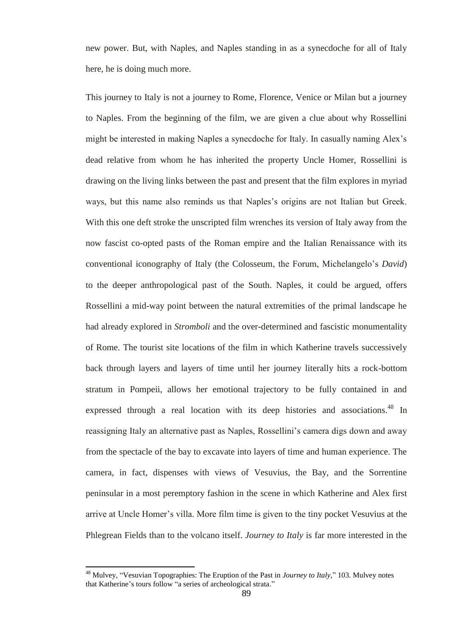new power. But, with Naples, and Naples standing in as a synecdoche for all of Italy here, he is doing much more.

This journey to Italy is not a journey to Rome, Florence, Venice or Milan but a journey to Naples. From the beginning of the film, we are given a clue about why Rossellini might be interested in making Naples a synecdoche for Italy. In casually naming Alex"s dead relative from whom he has inherited the property Uncle Homer, Rossellini is drawing on the living links between the past and present that the film explores in myriad ways, but this name also reminds us that Naples"s origins are not Italian but Greek. With this one deft stroke the unscripted film wrenches its version of Italy away from the now fascist co-opted pasts of the Roman empire and the Italian Renaissance with its conventional iconography of Italy (the Colosseum, the Forum, Michelangelo"s *David*) to the deeper anthropological past of the South. Naples, it could be argued, offers Rossellini a mid-way point between the natural extremities of the primal landscape he had already explored in *Stromboli* and the over-determined and fascistic monumentality of Rome. The tourist site locations of the film in which Katherine travels successively back through layers and layers of time until her journey literally hits a rock-bottom stratum in Pompeii, allows her emotional trajectory to be fully contained in and expressed through a real location with its deep histories and associations.<sup>48</sup> In reassigning Italy an alternative past as Naples, Rossellini"s camera digs down and away from the spectacle of the bay to excavate into layers of time and human experience. The camera, in fact, dispenses with views of Vesuvius, the Bay, and the Sorrentine peninsular in a most peremptory fashion in the scene in which Katherine and Alex first arrive at Uncle Homer"s villa. More film time is given to the tiny pocket Vesuvius at the Phlegrean Fields than to the volcano itself. *Journey to Italy* is far more interested in the

<sup>48</sup> Mulvey, "Vesuvian Topographies: The Eruption of the Past in *Journey to Italy*," 103. Mulvey notes that Katherine's tours follow "a series of archeological strata."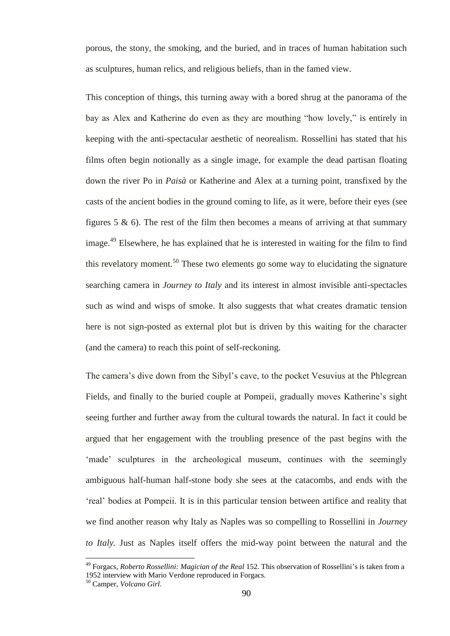porous, the stony, the smoking, and the buried, and in traces of human habitation such as sculptures, human relics, and religious beliefs, than in the famed view.

This conception of things, this turning away with a bored shrug at the panorama of the bay as Alex and Katherine do even as they are mouthing "how lovely," is entirely in keeping with the anti-spectacular aesthetic of neorealism. Rossellini has stated that his films often begin notionally as a single image, for example the dead partisan floating down the river Po in *Paisà* or Katherine and Alex at a turning point, transfixed by the casts of the ancient bodies in the ground coming to life, as it were, before their eyes (see figures  $5 \& 6$ ). The rest of the film then becomes a means of arriving at that summary image.<sup>49</sup> Elsewhere, he has explained that he is interested in waiting for the film to find this revelatory moment.<sup>50</sup> These two elements go some way to elucidating the signature searching camera in *Journey to Italy* and its interest in almost invisible anti-spectacles such as wind and wisps of smoke. It also suggests that what creates dramatic tension here is not sign-posted as external plot but is driven by this waiting for the character (and the camera) to reach this point of self-reckoning.

The camera"s dive down from the Sibyl"s cave, to the pocket Vesuvius at the Phlegrean Fields, and finally to the buried couple at Pompeii, gradually moves Katherine's sight seeing further and further away from the cultural towards the natural. In fact it could be argued that her engagement with the troubling presence of the past begins with the 'made' sculptures in the archeological museum, continues with the seemingly ambiguous half-human half-stone body she sees at the catacombs, and ends with the "real" bodies at Pompeii. It is in this particular tension between artifice and reality that we find another reason why Italy as Naples was so compelling to Rossellini in *Journey to Italy.* Just as Naples itself offers the mid-way point between the natural and the

<sup>49</sup> Forgacs, *Roberto Rossellini: Magician of the Real* 152. This observation of Rossellini"s is taken from a 1952 interview with Mario Verdone reproduced in Forgacs.

<sup>50</sup> Camper, *Volcano Girl*.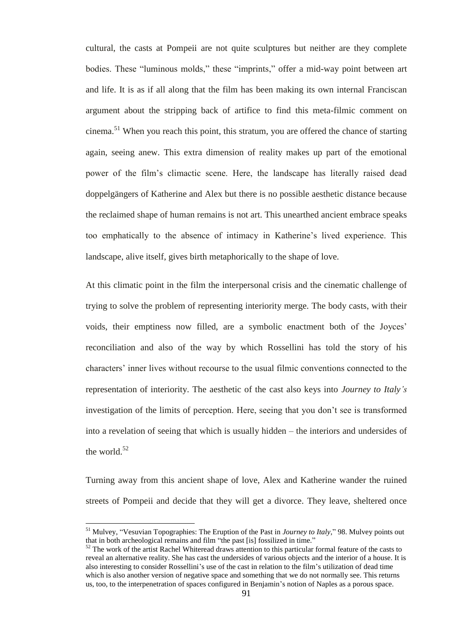cultural, the casts at Pompeii are not quite sculptures but neither are they complete bodies. These "luminous molds," these "imprints," offer a mid-way point between art and life. It is as if all along that the film has been making its own internal Franciscan argument about the stripping back of artifice to find this meta-filmic comment on  $c$ inema.<sup>51</sup> When you reach this point, this stratum, you are offered the chance of starting again, seeing anew. This extra dimension of reality makes up part of the emotional power of the film"s climactic scene. Here, the landscape has literally raised dead doppelgängers of Katherine and Alex but there is no possible aesthetic distance because the reclaimed shape of human remains is not art. This unearthed ancient embrace speaks too emphatically to the absence of intimacy in Katherine"s lived experience. This landscape, alive itself, gives birth metaphorically to the shape of love.

At this climatic point in the film the interpersonal crisis and the cinematic challenge of trying to solve the problem of representing interiority merge. The body casts, with their voids, their emptiness now filled, are a symbolic enactment both of the Joyces" reconciliation and also of the way by which Rossellini has told the story of his characters" inner lives without recourse to the usual filmic conventions connected to the representation of interiority. The aesthetic of the cast also keys into *Journey to Italy"s*  investigation of the limits of perception. Here, seeing that you don"t see is transformed into a revelation of seeing that which is usually hidden – the interiors and undersides of the world. $52$ 

Turning away from this ancient shape of love, Alex and Katherine wander the ruined streets of Pompeii and decide that they will get a divorce. They leave, sheltered once

<sup>51</sup> Mulvey, "Vesuvian Topographies: The Eruption of the Past in *Journey to Italy*," 98. Mulvey points out that in both archeological remains and film "the past [is] fossilized in time."

 $52$  The work of the artist Rachel Whiteread draws attention to this particular formal feature of the casts to reveal an alternative reality. She has cast the undersides of various objects and the interior of a house. It is also interesting to consider Rossellini"s use of the cast in relation to the film"s utilization of dead time which is also another version of negative space and something that we do not normally see. This returns us, too, to the interpenetration of spaces configured in Benjamin"s notion of Naples as a porous space.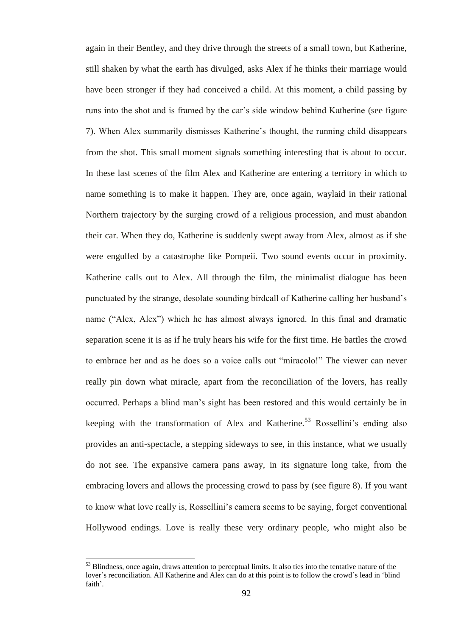again in their Bentley, and they drive through the streets of a small town, but Katherine, still shaken by what the earth has divulged, asks Alex if he thinks their marriage would have been stronger if they had conceived a child. At this moment, a child passing by runs into the shot and is framed by the car"s side window behind Katherine (see figure 7). When Alex summarily dismisses Katherine"s thought, the running child disappears from the shot. This small moment signals something interesting that is about to occur. In these last scenes of the film Alex and Katherine are entering a territory in which to name something is to make it happen. They are, once again, waylaid in their rational Northern trajectory by the surging crowd of a religious procession, and must abandon their car. When they do, Katherine is suddenly swept away from Alex, almost as if she were engulfed by a catastrophe like Pompeii. Two sound events occur in proximity. Katherine calls out to Alex. All through the film, the minimalist dialogue has been punctuated by the strange, desolate sounding birdcall of Katherine calling her husband"s name ("Alex, Alex") which he has almost always ignored. In this final and dramatic separation scene it is as if he truly hears his wife for the first time. He battles the crowd to embrace her and as he does so a voice calls out "miracolo!" The viewer can never really pin down what miracle, apart from the reconciliation of the lovers, has really occurred. Perhaps a blind man"s sight has been restored and this would certainly be in keeping with the transformation of Alex and Katherine.<sup>53</sup> Rossellini's ending also provides an anti-spectacle, a stepping sideways to see, in this instance, what we usually do not see. The expansive camera pans away, in its signature long take, from the embracing lovers and allows the processing crowd to pass by (see figure 8). If you want to know what love really is, Rossellini"s camera seems to be saying, forget conventional Hollywood endings. Love is really these very ordinary people, who might also be

<sup>&</sup>lt;sup>53</sup> Blindness, once again, draws attention to perceptual limits. It also ties into the tentative nature of the lover"s reconciliation. All Katherine and Alex can do at this point is to follow the crowd"s lead in "blind faith'.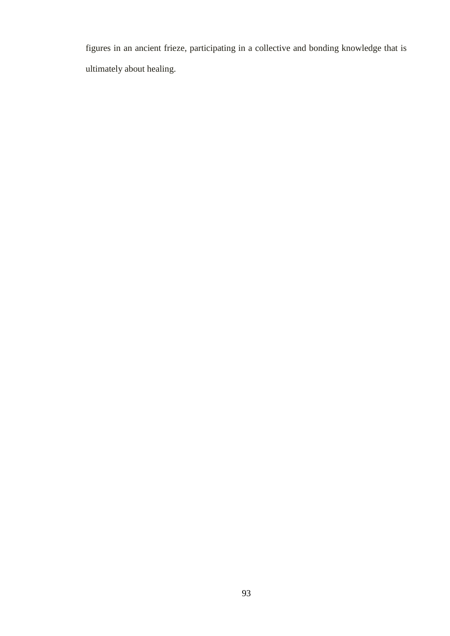figures in an ancient frieze, participating in a collective and bonding knowledge that is ultimately about healing.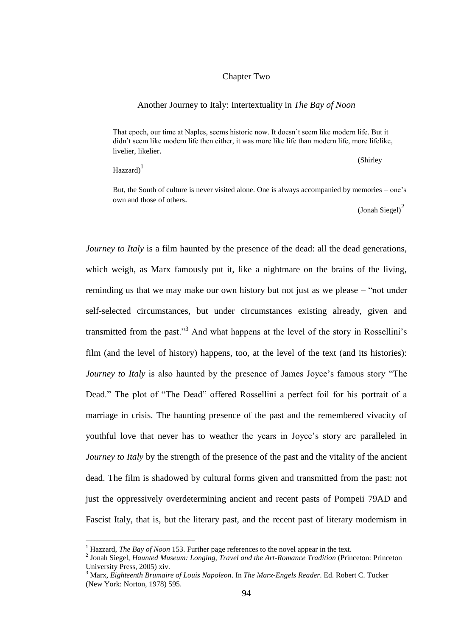## Chapter Two

## Another Journey to Italy: Intertextuality in *The Bay of Noon*

That epoch, our time at Naples, seems historic now. It doesn"t seem like modern life. But it didn"t seem like modern life then either, it was more like life than modern life, more lifelike, livelier, likelier.

 $\text{Hazzard}$ <sup>1</sup>

 $\overline{a}$ 

(Shirley

But, the South of culture is never visited alone. One is always accompanied by memories – one"s own and those of others.

 $($  Jonah Siegel $)^2$ 

*Journey to Italy* is a film haunted by the presence of the dead: all the dead generations, which weigh, as Marx famously put it, like a nightmare on the brains of the living, reminding us that we may make our own history but not just as we please – "not under self-selected circumstances, but under circumstances existing already, given and transmitted from the past."<sup>3</sup> And what happens at the level of the story in Rossellini's film (and the level of history) happens, too, at the level of the text (and its histories): *Journey to Italy* is also haunted by the presence of James Joyce's famous story "The Dead." The plot of "The Dead" offered Rossellini a perfect foil for his portrait of a marriage in crisis. The haunting presence of the past and the remembered vivacity of youthful love that never has to weather the years in Joyce"s story are paralleled in *Journey to Italy* by the strength of the presence of the past and the vitality of the ancient dead. The film is shadowed by cultural forms given and transmitted from the past: not just the oppressively overdetermining ancient and recent pasts of Pompeii 79AD and Fascist Italy, that is, but the literary past, and the recent past of literary modernism in

<sup>&</sup>lt;sup>1</sup> Hazzard, *The Bay of Noon* 153. Further page references to the novel appear in the text.

<sup>2</sup> Jonah Siegel, *Haunted Museum: Longing, Travel and the Art-Romance Tradition* (Princeton: Princeton University Press, 2005) xiv.

<sup>3</sup> Marx, *Eighteenth Brumaire of Louis Napoleon*. In *The Marx-Engels Reader*. Ed. Robert C. Tucker (New York: Norton, 1978) 595.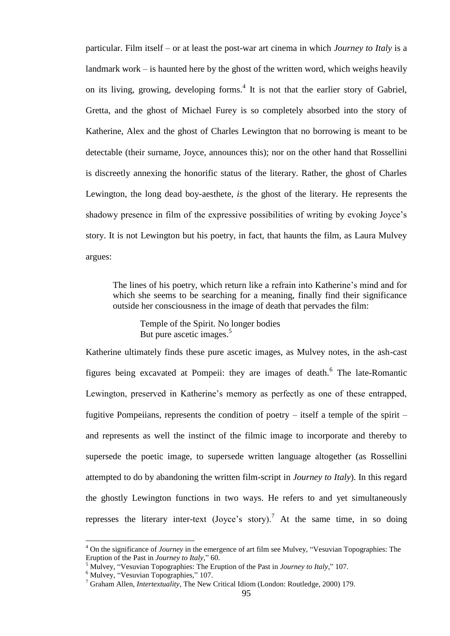particular. Film itself – or at least the post-war art cinema in which *Journey to Italy* is a landmark work – is haunted here by the ghost of the written word, which weighs heavily on its living, growing, developing forms. $4$  It is not that the earlier story of Gabriel, Gretta, and the ghost of Michael Furey is so completely absorbed into the story of Katherine, Alex and the ghost of Charles Lewington that no borrowing is meant to be detectable (their surname, Joyce, announces this); nor on the other hand that Rossellini is discreetly annexing the honorific status of the literary. Rather, the ghost of Charles Lewington, the long dead boy-aesthete, *is* the ghost of the literary. He represents the shadowy presence in film of the expressive possibilities of writing by evoking Joyce's story. It is not Lewington but his poetry, in fact, that haunts the film, as Laura Mulvey argues:

The lines of his poetry, which return like a refrain into Katherine"s mind and for which she seems to be searching for a meaning, finally find their significance outside her consciousness in the image of death that pervades the film:

Temple of the Spirit. No longer bodies But pure ascetic images.<sup>5</sup>

Katherine ultimately finds these pure ascetic images, as Mulvey notes, in the ash-cast figures being excavated at Pompeii: they are images of death.<sup>6</sup> The late-Romantic Lewington, preserved in Katherine's memory as perfectly as one of these entrapped, fugitive Pompeiians, represents the condition of poetry – itself a temple of the spirit – and represents as well the instinct of the filmic image to incorporate and thereby to supersede the poetic image, to supersede written language altogether (as Rossellini attempted to do by abandoning the written film-script in *Journey to Italy*). In this regard the ghostly Lewington functions in two ways. He refers to and yet simultaneously represses the literary inter-text (Joyce's story).<sup>7</sup> At the same time, in so doing

<sup>4</sup> On the significance of *Journey* in the emergence of art film see Mulvey, "Vesuvian Topographies: The Eruption of the Past in *Journey to Italy*," 60.

<sup>5</sup> Mulvey, "Vesuvian Topographies: The Eruption of the Past in *Journey to Italy*," 107.

<sup>&</sup>lt;sup>6</sup> Mulvey, "Vesuvian Topographies," 107.

<sup>7</sup> Graham Allen, *Intertextuality*, The New Critical Idiom (London: Routledge, 2000) 179.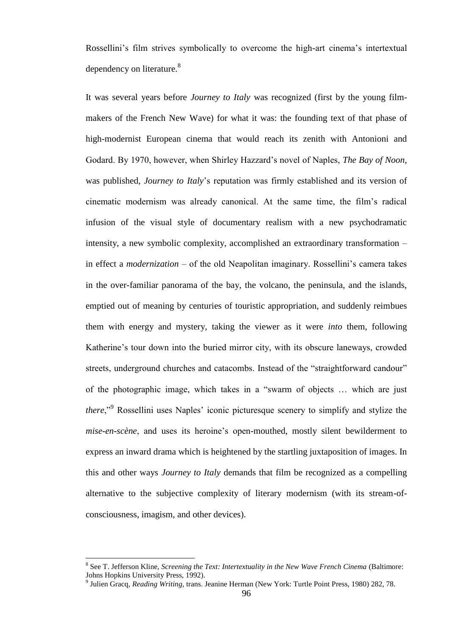Rossellini's film strives symbolically to overcome the high-art cinema's intertextual dependency on literature.<sup>8</sup>

It was several years before *Journey to Italy* was recognized (first by the young filmmakers of the French New Wave) for what it was: the founding text of that phase of high-modernist European cinema that would reach its zenith with Antonioni and Godard. By 1970, however, when Shirley Hazzard"s novel of Naples, *The Bay of Noon*, was published, *Journey to Italy*"s reputation was firmly established and its version of cinematic modernism was already canonical. At the same time, the film"s radical infusion of the visual style of documentary realism with a new psychodramatic intensity, a new symbolic complexity, accomplished an extraordinary transformation – in effect a *modernization* – of the old Neapolitan imaginary. Rossellini"s camera takes in the over-familiar panorama of the bay, the volcano, the peninsula, and the islands, emptied out of meaning by centuries of touristic appropriation, and suddenly reimbues them with energy and mystery, taking the viewer as it were *into* them, following Katherine's tour down into the buried mirror city, with its obscure laneways, crowded streets, underground churches and catacombs. Instead of the "straightforward candour" of the photographic image, which takes in a "swarm of objects … which are just *there*,"<sup>9</sup> Rossellini uses Naples' iconic picturesque scenery to simplify and stylize the *mise-en-scène*, and uses its heroine's open-mouthed, mostly silent bewilderment to express an inward drama which is heightened by the startling juxtaposition of images. In this and other ways *Journey to Italy* demands that film be recognized as a compelling alternative to the subjective complexity of literary modernism (with its stream-ofconsciousness, imagism, and other devices).

<sup>8</sup> See T. Jefferson Kline, *Screening the Text: Intertextuality in the New Wave French Cinema* (Baltimore: Johns Hopkins University Press, 1992).

<sup>9</sup> Julien Gracq, *Reading Writing*, trans. Jeanine Herman (New York: Turtle Point Press, 1980) 282, 78.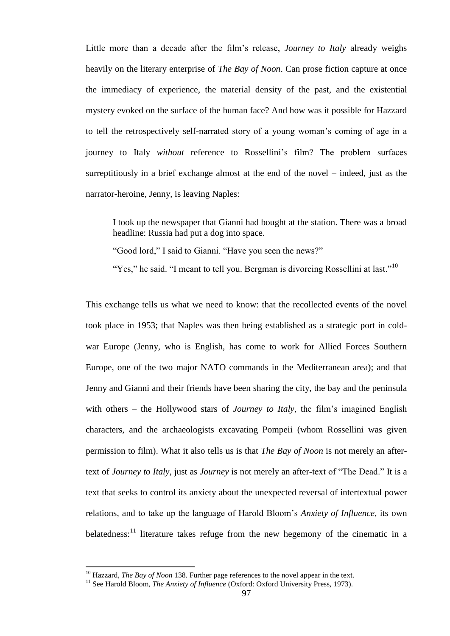Little more than a decade after the film"s release, *Journey to Italy* already weighs heavily on the literary enterprise of *The Bay of Noon*. Can prose fiction capture at once the immediacy of experience, the material density of the past, and the existential mystery evoked on the surface of the human face? And how was it possible for Hazzard to tell the retrospectively self-narrated story of a young woman"s coming of age in a journey to Italy *without* reference to Rossellini"s film? The problem surfaces surreptitiously in a brief exchange almost at the end of the novel – indeed, just as the narrator-heroine, Jenny, is leaving Naples:

I took up the newspaper that Gianni had bought at the station. There was a broad headline: Russia had put a dog into space.

"Good lord," I said to Gianni. "Have you seen the news?"

"Yes," he said. "I meant to tell you. Bergman is divorcing Rossellini at last."<sup>10</sup>

This exchange tells us what we need to know: that the recollected events of the novel took place in 1953; that Naples was then being established as a strategic port in coldwar Europe (Jenny, who is English, has come to work for Allied Forces Southern Europe, one of the two major NATO commands in the Mediterranean area); and that Jenny and Gianni and their friends have been sharing the city, the bay and the peninsula with others – the Hollywood stars of *Journey to Italy*, the film's imagined English characters, and the archaeologists excavating Pompeii (whom Rossellini was given permission to film). What it also tells us is that *The Bay of Noon* is not merely an aftertext of *Journey to Italy*, just as *Journey* is not merely an after-text of "The Dead." It is a text that seeks to control its anxiety about the unexpected reversal of intertextual power relations, and to take up the language of Harold Bloom"s *Anxiety of Influence*, its own belatedness: $\frac{11}{11}$  literature takes refuge from the new hegemony of the cinematic in a

<sup>10</sup> Hazzard, *The Bay of Noon* 138. Further page references to the novel appear in the text.

<sup>&</sup>lt;sup>11</sup> See Harold Bloom, *The Anxiety of Influence* (Oxford: Oxford University Press, 1973).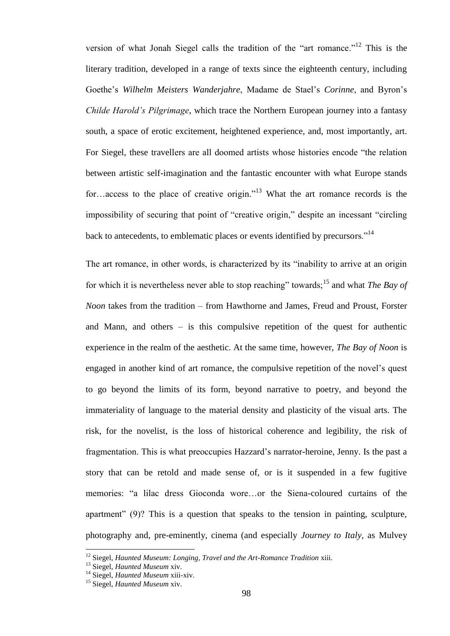version of what Jonah Siegel calls the tradition of the "art romance."<sup>12</sup> This is the literary tradition, developed in a range of texts since the eighteenth century, including Goethe"s *Wilhelm Meisters Wanderjahre*, Madame de Stael"s *Corinne*, and Byron"s *Childe Harold"s Pilgrimage*, which trace the Northern European journey into a fantasy south, a space of erotic excitement, heightened experience, and, most importantly, art. For Siegel, these travellers are all doomed artists whose histories encode "the relation between artistic self-imagination and the fantastic encounter with what Europe stands for…access to the place of creative origin."<sup>13</sup> What the art romance records is the impossibility of securing that point of "creative origin," despite an incessant "circling back to antecedents, to emblematic places or events identified by precursors."<sup>14</sup>

The art romance, in other words, is characterized by its "inability to arrive at an origin for which it is nevertheless never able to stop reaching" towards;<sup>15</sup> and what *The Bay of Noon* takes from the tradition – from Hawthorne and James, Freud and Proust, Forster and Mann, and others – is this compulsive repetition of the quest for authentic experience in the realm of the aesthetic. At the same time, however, *The Bay of Noon* is engaged in another kind of art romance, the compulsive repetition of the novel"s quest to go beyond the limits of its form, beyond narrative to poetry, and beyond the immateriality of language to the material density and plasticity of the visual arts. The risk, for the novelist, is the loss of historical coherence and legibility, the risk of fragmentation. This is what preoccupies Hazzard"s narrator-heroine, Jenny. Is the past a story that can be retold and made sense of, or is it suspended in a few fugitive memories: "a lilac dress Gioconda wore…or the Siena-coloured curtains of the apartment" (9)? This is a question that speaks to the tension in painting, sculpture, photography and, pre-eminently, cinema (and especially *Journey to Italy*, as Mulvey

<sup>&</sup>lt;sup>12</sup> Siegel, *Haunted Museum: Longing, Travel and the Art-Romance Tradition xiii.* 

<sup>13</sup> Siegel, *Haunted Museum* xiv.

<sup>14</sup> Siegel, *Haunted Museum* xiii-xiv.

<sup>15</sup> Siegel, *Haunted Museum* xiv.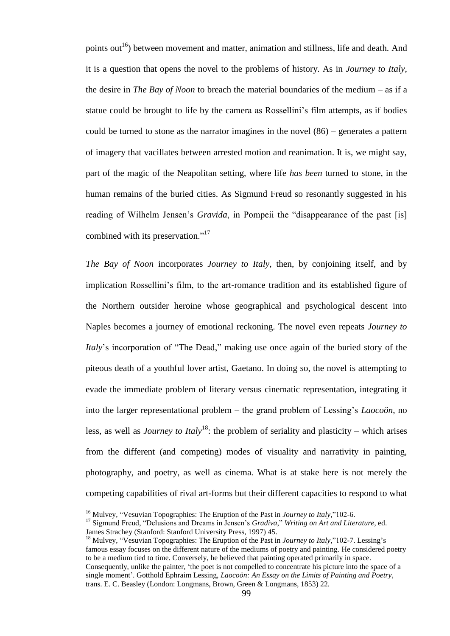points out<sup>16</sup>) between movement and matter, animation and stillness, life and death. And it is a question that opens the novel to the problems of history. As in *Journey to Italy*, the desire in *The Bay of Noon* to breach the material boundaries of the medium – as if a statue could be brought to life by the camera as Rossellini"s film attempts, as if bodies could be turned to stone as the narrator imagines in the novel (86) – generates a pattern of imagery that vacillates between arrested motion and reanimation. It is, we might say, part of the magic of the Neapolitan setting, where life *has been* turned to stone, in the human remains of the buried cities. As Sigmund Freud so resonantly suggested in his reading of Wilhelm Jensen's *Gravida*, in Pompeii the "disappearance of the past [is] combined with its preservation."<sup>17</sup>

*The Bay of Noon* incorporates *Journey to Italy*, then, by conjoining itself, and by implication Rossellini"s film, to the art-romance tradition and its established figure of the Northern outsider heroine whose geographical and psychological descent into Naples becomes a journey of emotional reckoning. The novel even repeats *Journey to Italy*"s incorporation of "The Dead," making use once again of the buried story of the piteous death of a youthful lover artist, Gaetano. In doing so, the novel is attempting to evade the immediate problem of literary versus cinematic representation, integrating it into the larger representational problem – the grand problem of Lessing"s *Laocoön*, no less, as well as *Journey to Italy*<sup>18</sup>: the problem of seriality and plasticity – which arises from the different (and competing) modes of visuality and narrativity in painting, photography, and poetry, as well as cinema. What is at stake here is not merely the competing capabilities of rival art-forms but their different capacities to respond to what

<sup>16</sup> Mulvey, "Vesuvian Topographies: The Eruption of the Past in *Journey to Italy*,"102-6.

<sup>17</sup> Sigmund Freud, "Delusions and Dreams in Jensen"s *Gradiva*," *Writing on Art and Literature*, ed. James Strachey (Stanford: Stanford University Press, 1997) 45.

<sup>&</sup>lt;sup>18</sup> Mulvey, "Vesuvian Topographies: The Eruption of the Past in *Journey to Italy*,"102-7. Lessing's famous essay focuses on the different nature of the mediums of poetry and painting. He considered poetry to be a medium tied to time. Conversely, he believed that painting operated primarily in space. Consequently, unlike the painter, "the poet is not compelled to concentrate his picture into the space of a single moment". Gotthold Ephraim Lessing, *Laocoön: An Essay on the Limits of Painting and Poetry*, trans. E. C. Beasley (London: Longmans, Brown, Green & Longmans, 1853) 22.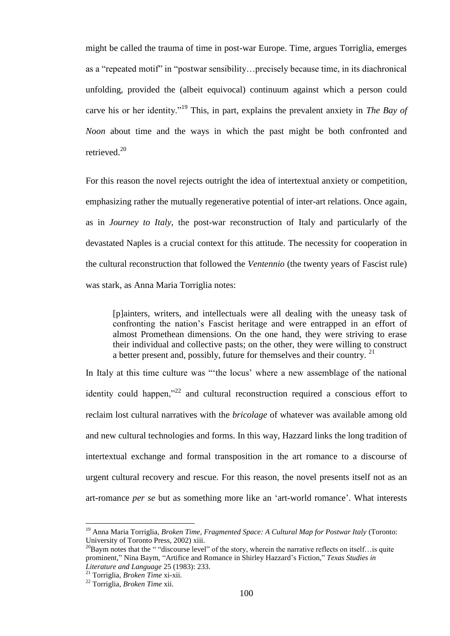might be called the trauma of time in post-war Europe. Time, argues Torriglia, emerges as a "repeated motif" in "postwar sensibility…precisely because time, in its diachronical unfolding, provided the (albeit equivocal) continuum against which a person could carve his or her identity."<sup>19</sup> This, in part, explains the prevalent anxiety in *The Bay of Noon* about time and the ways in which the past might be both confronted and retrieved.<sup>20</sup>

For this reason the novel rejects outright the idea of intertextual anxiety or competition, emphasizing rather the mutually regenerative potential of inter-art relations. Once again, as in *Journey to Italy*, the post-war reconstruction of Italy and particularly of the devastated Naples is a crucial context for this attitude. The necessity for cooperation in the cultural reconstruction that followed the *Ventennio* (the twenty years of Fascist rule) was stark, as Anna Maria Torriglia notes:

[p]ainters, writers, and intellectuals were all dealing with the uneasy task of confronting the nation"s Fascist heritage and were entrapped in an effort of almost Promethean dimensions. On the one hand, they were striving to erase their individual and collective pasts; on the other, they were willing to construct a better present and, possibly, future for themselves and their country.  $21$ 

In Italy at this time culture was ""the locus" where a new assemblage of the national identity could happen, $x^{22}$  and cultural reconstruction required a conscious effort to reclaim lost cultural narratives with the *bricolage* of whatever was available among old and new cultural technologies and forms. In this way, Hazzard links the long tradition of intertextual exchange and formal transposition in the art romance to a discourse of urgent cultural recovery and rescue. For this reason, the novel presents itself not as an art-romance *per se* but as something more like an "art-world romance". What interests

<sup>19</sup> Anna Maria Torriglia, *Broken Time, Fragmented Space: A Cultural Map for Postwar Italy* (Toronto: University of Toronto Press, 2002) xiii.

 $^{20}$ Baym notes that the " "discourse level" of the story, wherein the narrative reflects on itself... is quite prominent," Nina Baym, "Artifice and Romance in Shirley Hazzard"s Fiction," *Texas Studies in Literature and Language* 25 (1983): 233.

<sup>21</sup> Torriglia, *Broken Time* xi-xii.

<sup>22</sup> Torriglia, *Broken Time* xii.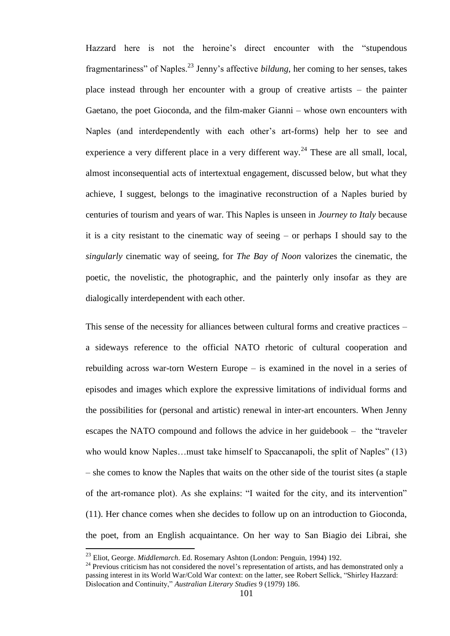Hazzard here is not the heroine's direct encounter with the "stupendous" fragmentariness" of Naples.<sup>23</sup> Jenny"s affective *bildung*, her coming to her senses, takes place instead through her encounter with a group of creative artists – the painter Gaetano, the poet Gioconda, and the film-maker Gianni – whose own encounters with Naples (and interdependently with each other"s art-forms) help her to see and experience a very different place in a very different way.<sup>24</sup> These are all small, local, almost inconsequential acts of intertextual engagement, discussed below, but what they achieve, I suggest, belongs to the imaginative reconstruction of a Naples buried by centuries of tourism and years of war. This Naples is unseen in *Journey to Italy* because it is a city resistant to the cinematic way of seeing – or perhaps I should say to the *singularly* cinematic way of seeing, for *The Bay of Noon* valorizes the cinematic, the poetic, the novelistic, the photographic, and the painterly only insofar as they are dialogically interdependent with each other.

This sense of the necessity for alliances between cultural forms and creative practices – a sideways reference to the official NATO rhetoric of cultural cooperation and rebuilding across war-torn Western Europe – is examined in the novel in a series of episodes and images which explore the expressive limitations of individual forms and the possibilities for (personal and artistic) renewal in inter-art encounters. When Jenny escapes the NATO compound and follows the advice in her guidebook – the "traveler who would know Naples...must take himself to Spaccanapoli, the split of Naples" (13) – she comes to know the Naples that waits on the other side of the tourist sites (a staple of the art-romance plot). As she explains: "I waited for the city, and its intervention" (11). Her chance comes when she decides to follow up on an introduction to Gioconda, the poet, from an English acquaintance. On her way to San Biagio dei Librai, she

<sup>23</sup> Eliot, George. *Middlemarch*. Ed. Rosemary Ashton (London: Penguin, 1994) 192.

<sup>&</sup>lt;sup>24</sup> Previous criticism has not considered the novel's representation of artists, and has demonstrated only a passing interest in its World War/Cold War context: on the latter, see Robert Sellick, "Shirley Hazzard: Dislocation and Continuity," *Australian Literary Studies* 9 (1979) 186.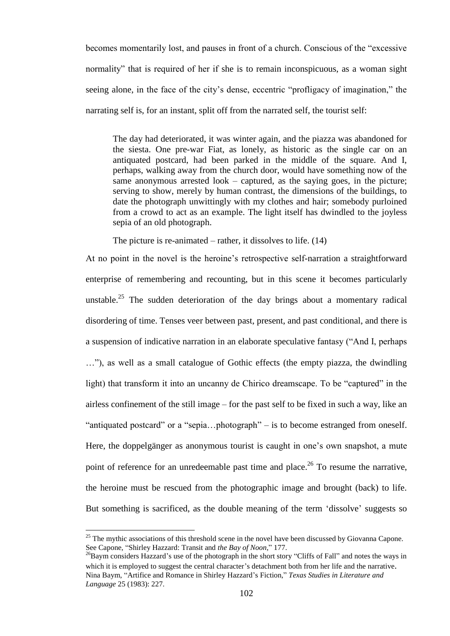becomes momentarily lost, and pauses in front of a church. Conscious of the "excessive normality" that is required of her if she is to remain inconspicuous, as a woman sight seeing alone, in the face of the city's dense, eccentric "profligacy of imagination," the narrating self is, for an instant, split off from the narrated self, the tourist self:

The day had deteriorated, it was winter again, and the piazza was abandoned for the siesta. One pre-war Fiat, as lonely, as historic as the single car on an antiquated postcard, had been parked in the middle of the square. And I, perhaps, walking away from the church door, would have something now of the same anonymous arrested look – captured, as the saying goes, in the picture; serving to show, merely by human contrast, the dimensions of the buildings, to date the photograph unwittingly with my clothes and hair; somebody purloined from a crowd to act as an example. The light itself has dwindled to the joyless sepia of an old photograph.

The picture is re-animated – rather, it dissolves to life. (14)

At no point in the novel is the heroine"s retrospective self-narration a straightforward enterprise of remembering and recounting, but in this scene it becomes particularly unstable.<sup>25</sup> The sudden deterioration of the day brings about a momentary radical disordering of time. Tenses veer between past, present, and past conditional, and there is a suspension of indicative narration in an elaborate speculative fantasy ("And I, perhaps …"), as well as a small catalogue of Gothic effects (the empty piazza, the dwindling light) that transform it into an uncanny de Chirico dreamscape. To be "captured" in the airless confinement of the still image – for the past self to be fixed in such a way, like an "antiquated postcard" or a "sepia…photograph" – is to become estranged from oneself. Here, the doppelgänger as anonymous tourist is caught in one's own snapshot, a mute point of reference for an unredeemable past time and place.<sup>26</sup> To resume the narrative, the heroine must be rescued from the photographic image and brought (back) to life. But something is sacrificed, as the double meaning of the term "dissolve" suggests so

 $25$  The mythic associations of this threshold scene in the novel have been discussed by Giovanna Capone. See Capone, "Shirley Hazzard: Transit and *the Bay of Noon*," 177.

<sup>&</sup>lt;sup>26</sup>Baym considers Hazzard's use of the photograph in the short story "Cliffs of Fall" and notes the ways in which it is employed to suggest the central character's detachment both from her life and the narrative. Nina Baym, "Artifice and Romance in Shirley Hazzard"s Fiction," *Texas Studies in Literature and Language* 25 (1983): 227.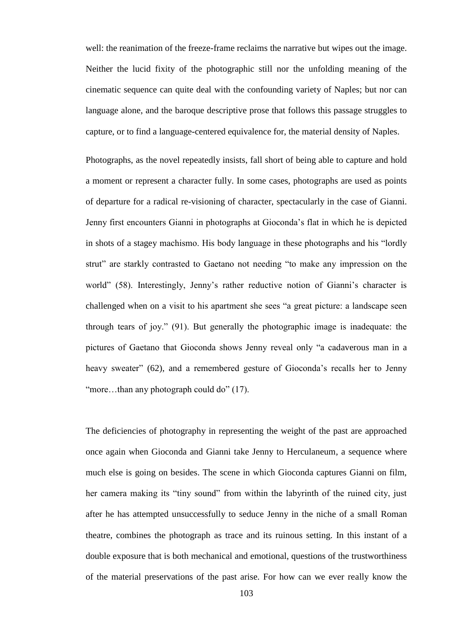well: the reanimation of the freeze-frame reclaims the narrative but wipes out the image. Neither the lucid fixity of the photographic still nor the unfolding meaning of the cinematic sequence can quite deal with the confounding variety of Naples; but nor can language alone, and the baroque descriptive prose that follows this passage struggles to capture, or to find a language-centered equivalence for, the material density of Naples.

Photographs, as the novel repeatedly insists, fall short of being able to capture and hold a moment or represent a character fully. In some cases, photographs are used as points of departure for a radical re-visioning of character, spectacularly in the case of Gianni. Jenny first encounters Gianni in photographs at Gioconda"s flat in which he is depicted in shots of a stagey machismo. His body language in these photographs and his "lordly strut" are starkly contrasted to Gaetano not needing "to make any impression on the world" (58). Interestingly, Jenny's rather reductive notion of Gianni's character is challenged when on a visit to his apartment she sees "a great picture: a landscape seen through tears of joy." (91). But generally the photographic image is inadequate: the pictures of Gaetano that Gioconda shows Jenny reveal only "a cadaverous man in a heavy sweater" (62), and a remembered gesture of Gioconda's recalls her to Jenny "more...than any photograph could do" (17).

The deficiencies of photography in representing the weight of the past are approached once again when Gioconda and Gianni take Jenny to Herculaneum, a sequence where much else is going on besides. The scene in which Gioconda captures Gianni on film, her camera making its "tiny sound" from within the labyrinth of the ruined city, just after he has attempted unsuccessfully to seduce Jenny in the niche of a small Roman theatre, combines the photograph as trace and its ruinous setting. In this instant of a double exposure that is both mechanical and emotional, questions of the trustworthiness of the material preservations of the past arise. For how can we ever really know the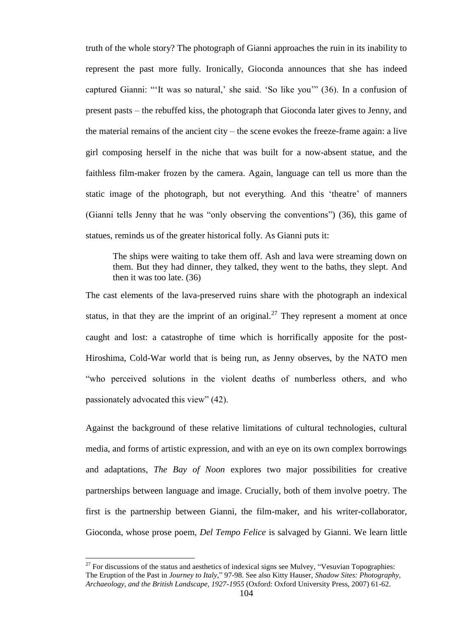truth of the whole story? The photograph of Gianni approaches the ruin in its inability to represent the past more fully. Ironically, Gioconda announces that she has indeed captured Gianni: ""It was so natural,' she said. 'So like you" (36). In a confusion of present pasts – the rebuffed kiss, the photograph that Gioconda later gives to Jenny, and the material remains of the ancient city – the scene evokes the freeze-frame again: a live girl composing herself in the niche that was built for a now-absent statue, and the faithless film-maker frozen by the camera. Again, language can tell us more than the static image of the photograph, but not everything. And this 'theatre' of manners (Gianni tells Jenny that he was "only observing the conventions") (36), this game of statues, reminds us of the greater historical folly. As Gianni puts it:

The ships were waiting to take them off. Ash and lava were streaming down on them. But they had dinner, they talked, they went to the baths, they slept. And then it was too late. (36)

The cast elements of the lava-preserved ruins share with the photograph an indexical status, in that they are the imprint of an original.<sup>27</sup> They represent a moment at once caught and lost: a catastrophe of time which is horrifically apposite for the post-Hiroshima, Cold-War world that is being run, as Jenny observes, by the NATO men "who perceived solutions in the violent deaths of numberless others, and who passionately advocated this view" (42).

Against the background of these relative limitations of cultural technologies, cultural media, and forms of artistic expression, and with an eye on its own complex borrowings and adaptations, *The Bay of Noon* explores two major possibilities for creative partnerships between language and image. Crucially, both of them involve poetry. The first is the partnership between Gianni, the film-maker, and his writer-collaborator, Gioconda, whose prose poem, *Del Tempo Felice* is salvaged by Gianni. We learn little

 $27$  For discussions of the status and aesthetics of indexical signs see Mulvey, "Vesuvian Topographies: The Eruption of the Past in *Journey to Italy*," 97-98. See also Kitty Hauser, *Shadow Sites: Photography, Archaeology, and the British Landscape, 1927-1955* (Oxford: Oxford University Press, 2007) 61-62.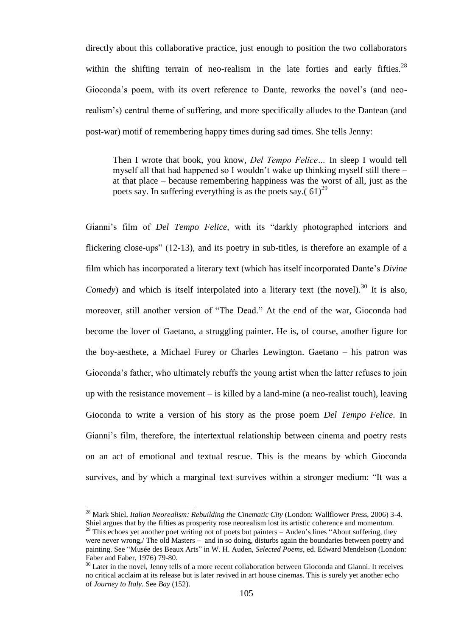directly about this collaborative practice, just enough to position the two collaborators within the shifting terrain of neo-realism in the late forties and early fifties. $^{28}$ Gioconda"s poem, with its overt reference to Dante, reworks the novel"s (and neorealism"s) central theme of suffering, and more specifically alludes to the Dantean (and post-war) motif of remembering happy times during sad times. She tells Jenny:

Then I wrote that book, you know, *Del Tempo Felice…* In sleep I would tell myself all that had happened so I wouldn"t wake up thinking myself still there – at that place – because remembering happiness was the worst of all, just as the poets say. In suffering everything is as the poets say.(  $61)^{29}$ 

Gianni"s film of *Del Tempo Felice*, with its "darkly photographed interiors and flickering close-ups" (12-13), and its poetry in sub-titles, is therefore an example of a film which has incorporated a literary text (which has itself incorporated Dante"s *Divine Comedy*) and which is itself interpolated into a literary text (the novel).<sup>30</sup> It is also, moreover, still another version of "The Dead." At the end of the war, Gioconda had become the lover of Gaetano, a struggling painter. He is, of course, another figure for the boy-aesthete, a Michael Furey or Charles Lewington. Gaetano – his patron was Gioconda"s father, who ultimately rebuffs the young artist when the latter refuses to join up with the resistance movement – is killed by a land-mine (a neo-realist touch), leaving Gioconda to write a version of his story as the prose poem *Del Tempo Felice*. In Gianni's film, therefore, the intertextual relationship between cinema and poetry rests on an act of emotional and textual rescue. This is the means by which Gioconda survives, and by which a marginal text survives within a stronger medium: "It was a

<sup>28</sup> Mark Shiel, *Italian Neorealism: Rebuilding the Cinematic City* (London: Wallflower Press, 2006) 3-4. Shiel argues that by the fifties as prosperity rose neorealism lost its artistic coherence and momentum.

 $29$  This echoes yet another poet writing not of poets but painters – Auden's lines "About suffering, they were never wrong,/ The old Masters – and in so doing, disturbs again the boundaries between poetry and painting. See "Musée des Beaux Arts" in W. H. Auden, *Selected Poems*, ed. Edward Mendelson (London: Faber and Faber, 1976) 79-80.

 $30$  Later in the novel, Jenny tells of a more recent collaboration between Gioconda and Gianni. It receives no critical acclaim at its release but is later revived in art house cinemas. This is surely yet another echo of *Journey to Italy.* See *Bay* (152).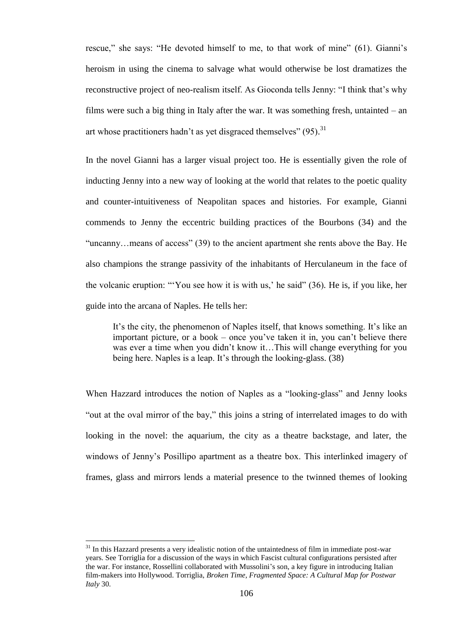rescue," she says: "He devoted himself to me, to that work of mine" (61). Gianni"s heroism in using the cinema to salvage what would otherwise be lost dramatizes the reconstructive project of neo-realism itself. As Gioconda tells Jenny: "I think that's why films were such a big thing in Italy after the war. It was something fresh, untainted – an art whose practitioners hadn't as yet disgraced themselves"  $(95)$ .<sup>31</sup>

In the novel Gianni has a larger visual project too. He is essentially given the role of inducting Jenny into a new way of looking at the world that relates to the poetic quality and counter-intuitiveness of Neapolitan spaces and histories. For example, Gianni commends to Jenny the eccentric building practices of the Bourbons (34) and the "uncanny…means of access" (39) to the ancient apartment she rents above the Bay. He also champions the strange passivity of the inhabitants of Herculaneum in the face of the volcanic eruption: ""You see how it is with us," he said" (36)*.* He is, if you like, her guide into the arcana of Naples. He tells her:

It"s the city, the phenomenon of Naples itself, that knows something. It"s like an important picture, or a book – once you"ve taken it in, you can"t believe there was ever a time when you didn't know it…This will change everything for you being here. Naples is a leap. It's through the looking-glass. (38)

When Hazzard introduces the notion of Naples as a "looking-glass" and Jenny looks "out at the oval mirror of the bay," this joins a string of interrelated images to do with looking in the novel: the aquarium, the city as a theatre backstage, and later, the windows of Jenny"s Posillipo apartment as a theatre box. This interlinked imagery of frames, glass and mirrors lends a material presence to the twinned themes of looking

 $31$  In this Hazzard presents a very idealistic notion of the untaintedness of film in immediate post-war years. See Torriglia for a discussion of the ways in which Fascist cultural configurations persisted after the war. For instance, Rossellini collaborated with Mussolini's son, a key figure in introducing Italian film-makers into Hollywood. Torriglia, *Broken Time, Fragmented Space: A Cultural Map for Postwar Italy* 30.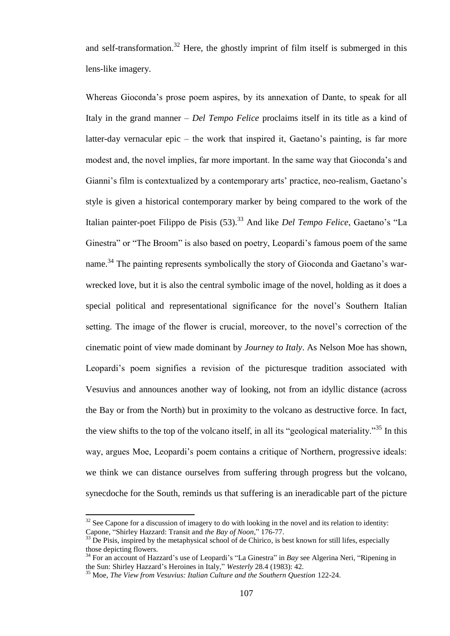and self-transformation.<sup>32</sup> Here, the ghostly imprint of film itself is submerged in this lens-like imagery.

Whereas Gioconda"s prose poem aspires, by its annexation of Dante, to speak for all Italy in the grand manner – *Del Tempo Felice* proclaims itself in its title as a kind of latter-day vernacular epic – the work that inspired it, Gaetano's painting, is far more modest and, the novel implies, far more important. In the same way that Gioconda"s and Gianni's film is contextualized by a contemporary arts' practice, neo-realism, Gaetano's style is given a historical contemporary marker by being compared to the work of the Italian painter-poet Filippo de Pisis (53).<sup>33</sup> And like *Del Tempo Felice*, Gaetano's "La Ginestra" or "The Broom" is also based on poetry, Leopardi's famous poem of the same name.<sup>34</sup> The painting represents symbolically the story of Gioconda and Gaetano's warwrecked love, but it is also the central symbolic image of the novel, holding as it does a special political and representational significance for the novel"s Southern Italian setting. The image of the flower is crucial, moreover, to the novel's correction of the cinematic point of view made dominant by *Journey to Italy*. As Nelson Moe has shown, Leopardi's poem signifies a revision of the picturesque tradition associated with Vesuvius and announces another way of looking, not from an idyllic distance (across the Bay or from the North) but in proximity to the volcano as destructive force. In fact, the view shifts to the top of the volcano itself, in all its "geological materiality."<sup>35</sup> In this way, argues Moe, Leopardi"s poem contains a critique of Northern, progressive ideals: we think we can distance ourselves from suffering through progress but the volcano, synecdoche for the South, reminds us that suffering is an ineradicable part of the picture

l

 $32$  See Capone for a discussion of imagery to do with looking in the novel and its relation to identity: Capone, "Shirley Hazzard: Transit and *the Bay of Noon*," 176-77.

 $33$  De Pisis, inspired by the metaphysical school of de Chirico, is best known for still lifes, especially those depicting flowers.

<sup>&</sup>lt;sup>34</sup> For an account of Hazzard's use of Leopardi's "La Ginestra" in *Bay* see Algerina Neri, "Ripening in the Sun: Shirley Hazzard"s Heroines in Italy," *Westerly* 28.4 (1983): 42.

<sup>35</sup> Moe, *The View from Vesuvius: Italian Culture and the Southern Question* 122-24.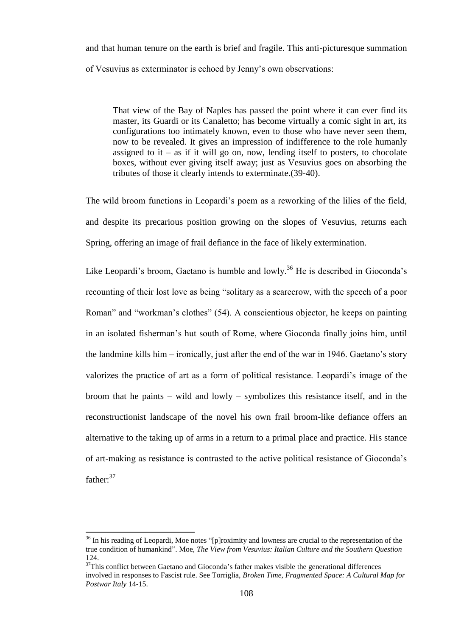and that human tenure on the earth is brief and fragile. This anti-picturesque summation of Vesuvius as exterminator is echoed by Jenny"s own observations:

That view of the Bay of Naples has passed the point where it can ever find its master, its Guardi or its Canaletto; has become virtually a comic sight in art, its configurations too intimately known, even to those who have never seen them, now to be revealed. It gives an impression of indifference to the role humanly assigned to it – as if it will go on, now, lending itself to posters, to chocolate boxes, without ever giving itself away; just as Vesuvius goes on absorbing the tributes of those it clearly intends to exterminate.(39-40).

The wild broom functions in Leopardi"s poem as a reworking of the lilies of the field, and despite its precarious position growing on the slopes of Vesuvius, returns each Spring, offering an image of frail defiance in the face of likely extermination.

Like Leopardi's broom, Gaetano is humble and lowly.<sup>36</sup> He is described in Gioconda's recounting of their lost love as being "solitary as a scarecrow, with the speech of a poor Roman" and "workman"s clothes" (54). A conscientious objector, he keeps on painting in an isolated fisherman"s hut south of Rome, where Gioconda finally joins him, until the landmine kills him – ironically, just after the end of the war in 1946. Gaetano"s story valorizes the practice of art as a form of political resistance. Leopardi"s image of the broom that he paints – wild and lowly – symbolizes this resistance itself, and in the reconstructionist landscape of the novel his own frail broom-like defiance offers an alternative to the taking up of arms in a return to a primal place and practice. His stance of art-making as resistance is contrasted to the active political resistance of Gioconda"s father:<sup>37</sup>

<sup>&</sup>lt;sup>36</sup> In his reading of Leopardi, Moe notes "[p]roximity and lowness are crucial to the representation of the true condition of humankind". Moe, *The View from Vesuvius: Italian Culture and the Southern Question* 124.

 $37$ This conflict between Gaetano and Gioconda's father makes visible the generational differences involved in responses to Fascist rule. See Torriglia, *Broken Time, Fragmented Space: A Cultural Map for Postwar Italy* 14-15.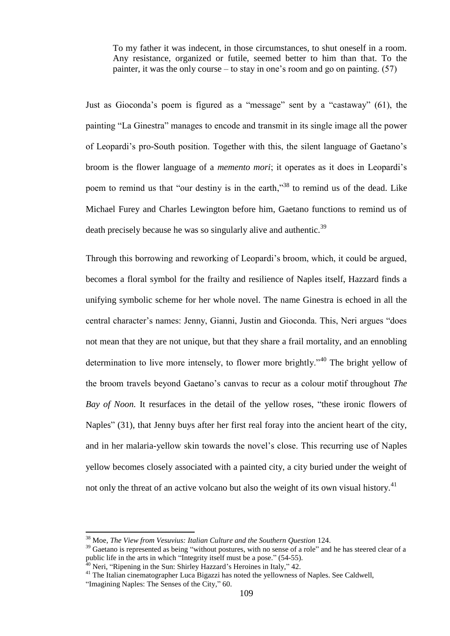To my father it was indecent, in those circumstances, to shut oneself in a room. Any resistance, organized or futile, seemed better to him than that. To the painter, it was the only course – to stay in one's room and go on painting.  $(57)$ 

Just as Gioconda"s poem is figured as a "message" sent by a "castaway" (61), the painting "La Ginestra" manages to encode and transmit in its single image all the power of Leopardi"s pro-South position. Together with this, the silent language of Gaetano"s broom is the flower language of a *memento mori*; it operates as it does in Leopardi"s poem to remind us that "our destiny is in the earth,"<sup>38</sup> to remind us of the dead. Like Michael Furey and Charles Lewington before him, Gaetano functions to remind us of death precisely because he was so singularly alive and authentic.<sup>39</sup>

Through this borrowing and reworking of Leopardi"s broom, which, it could be argued, becomes a floral symbol for the frailty and resilience of Naples itself, Hazzard finds a unifying symbolic scheme for her whole novel. The name Ginestra is echoed in all the central character"s names: Jenny, Gianni, Justin and Gioconda. This, Neri argues "does not mean that they are not unique, but that they share a frail mortality, and an ennobling determination to live more intensely, to flower more brightly."<sup>40</sup> The bright yellow of the broom travels beyond Gaetano"s canvas to recur as a colour motif throughout *The Bay of Noon.* It resurfaces in the detail of the yellow roses, "these ironic flowers of Naples" (31), that Jenny buys after her first real foray into the ancient heart of the city, and in her malaria-yellow skin towards the novel"s close. This recurring use of Naples yellow becomes closely associated with a painted city, a city buried under the weight of not only the threat of an active volcano but also the weight of its own visual history.<sup>41</sup>

<sup>38</sup> Moe, *The View from Vesuvius: Italian Culture and the Southern Question* 124.

<sup>&</sup>lt;sup>39</sup> Gaetano is represented as being "without postures, with no sense of a role" and he has steered clear of a public life in the arts in which "Integrity itself must be a pose." (54-55).

Neri, "Ripening in the Sun: Shirley Hazzard's Heroines in Italy," 42.

<sup>&</sup>lt;sup>41</sup> The Italian cinematographer Luca Bigazzi has noted the yellowness of Naples. See Caldwell,

<sup>&</sup>quot;Imagining Naples: The Senses of the City," 60.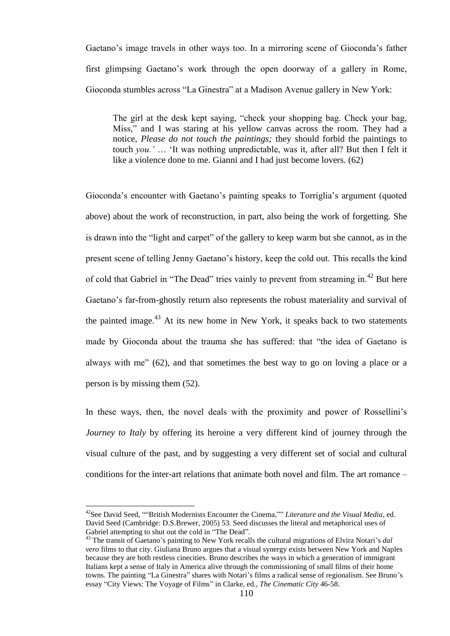Gaetano"s image travels in other ways too. In a mirroring scene of Gioconda"s father first glimpsing Gaetano"s work through the open doorway of a gallery in Rome, Gioconda stumbles across "La Ginestra" at a Madison Avenue gallery in New York:

The girl at the desk kept saying, "check your shopping bag. Check your bag, Miss," and I was staring at his yellow canvas across the room. They had a notice, *Please do not touch the paintings;* they should forbid the paintings to touch *you."* … "It was nothing unpredictable, was it, after all? But then I felt it like a violence done to me. Gianni and I had just become lovers. (62)

Gioconda's encounter with Gaetano's painting speaks to Torriglia's argument (quoted above) about the work of reconstruction, in part, also being the work of forgetting. She is drawn into the "light and carpet" of the gallery to keep warm but she cannot, as in the present scene of telling Jenny Gaetano"s history, keep the cold out. This recalls the kind of cold that Gabriel in "The Dead" tries vainly to prevent from streaming in.<sup>42</sup> But here Gaetano"s far-from-ghostly return also represents the robust materiality and survival of the painted image. $^{43}$  At its new home in New York, it speaks back to two statements made by Gioconda about the trauma she has suffered: that "the idea of Gaetano is always with me" (62), and that sometimes the best way to go on loving a place or a person is by missing them (52).

In these ways, then, the novel deals with the proximity and power of Rossellini's *Journey to Italy* by offering its heroine a very different kind of journey through the visual culture of the past, and by suggesting a very different set of social and cultural conditions for the inter-art relations that animate both novel and film. The art romance –

<sup>&</sup>lt;sup>42</sup>See David Seed, ""British Modernists Encounter the Cinema,"" *Literature and the Visual Media*, ed. David Seed (Cambridge: D.S.Brewer, 2005) 53. Seed discusses the literal and metaphorical uses of Gabriel attempting to shut out the cold in "The Dead".

<sup>&</sup>lt;sup>43</sup> The transit of Gaetano's painting to New York recalls the cultural migrations of Elvira Notari's *dal vero* films to that city. Giuliana Bruno argues that a visual synergy exists between New York and Naples because they are both restless cinecities. Bruno describes the ways in which a generation of immigrant Italians kept a sense of Italy in America alive through the commissioning of small films of their home towns. The painting "La Ginestra" shares with Notari's films a radical sense of regionalism. See Bruno's essay "City Views: The Voyage of Films" in Clarke, ed., *The Cinematic City* 46-58.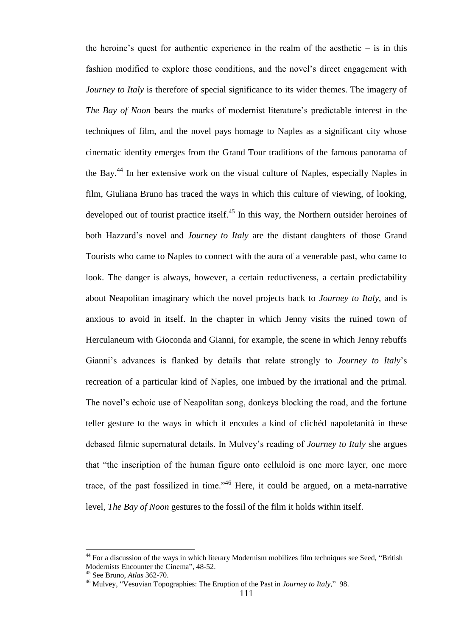the heroine's quest for authentic experience in the realm of the aesthetic  $-$  is in this fashion modified to explore those conditions, and the novel"s direct engagement with *Journey to Italy* is therefore of special significance to its wider themes. The imagery of *The Bay of Noon bears the marks of modernist literature's predictable interest in the* techniques of film, and the novel pays homage to Naples as a significant city whose cinematic identity emerges from the Grand Tour traditions of the famous panorama of the Bay.<sup>44</sup> In her extensive work on the visual culture of Naples, especially Naples in film, Giuliana Bruno has traced the ways in which this culture of viewing, of looking, developed out of tourist practice itself.<sup>45</sup> In this way, the Northern outsider heroines of both Hazzard"s novel and *Journey to Italy* are the distant daughters of those Grand Tourists who came to Naples to connect with the aura of a venerable past, who came to look. The danger is always, however, a certain reductiveness, a certain predictability about Neapolitan imaginary which the novel projects back to *Journey to Italy*, and is anxious to avoid in itself. In the chapter in which Jenny visits the ruined town of Herculaneum with Gioconda and Gianni, for example, the scene in which Jenny rebuffs Gianni"s advances is flanked by details that relate strongly to *Journey to Italy*"s recreation of a particular kind of Naples, one imbued by the irrational and the primal. The novel"s echoic use of Neapolitan song, donkeys blocking the road, and the fortune teller gesture to the ways in which it encodes a kind of clichéd napoletanità in these debased filmic supernatural details. In Mulvey"s reading of *Journey to Italy* she argues that "the inscription of the human figure onto celluloid is one more layer, one more trace, of the past fossilized in time."<sup>46</sup> Here, it could be argued, on a meta-narrative level, *The Bay of Noon* gestures to the fossil of the film it holds within itself.

<sup>&</sup>lt;sup>44</sup> For a discussion of the ways in which literary Modernism mobilizes film techniques see Seed, "British Modernists Encounter the Cinema", 48-52.

<sup>45</sup> See Bruno, *Atlas* 362-70.

<sup>46</sup> Mulvey, "Vesuvian Topographies: The Eruption of the Past in *Journey to Italy*," 98.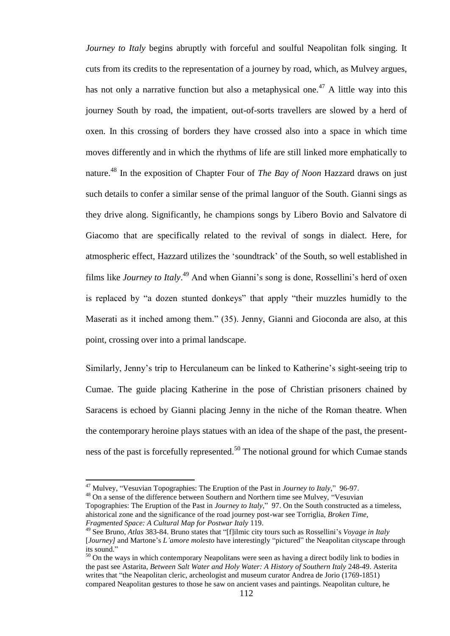*Journey to Italy* begins abruptly with forceful and soulful Neapolitan folk singing. It cuts from its credits to the representation of a journey by road, which, as Mulvey argues, has not only a narrative function but also a metaphysical one.<sup>47</sup> A little way into this journey South by road, the impatient, out-of-sorts travellers are slowed by a herd of oxen. In this crossing of borders they have crossed also into a space in which time moves differently and in which the rhythms of life are still linked more emphatically to nature.<sup>48</sup> In the exposition of Chapter Four of *The Bay of Noon* Hazzard draws on just such details to confer a similar sense of the primal languor of the South. Gianni sings as they drive along. Significantly, he champions songs by Libero Bovio and Salvatore di Giacomo that are specifically related to the revival of songs in dialect. Here, for atmospheric effect, Hazzard utilizes the "soundtrack" of the South, so well established in films like *Journey to Italy*.<sup>49</sup> And when Gianni's song is done, Rossellini's herd of oxen is replaced by "a dozen stunted donkeys" that apply "their muzzles humidly to the Maserati as it inched among them." (35). Jenny, Gianni and Gioconda are also, at this point, crossing over into a primal landscape.

Similarly, Jenny's trip to Herculaneum can be linked to Katherine's sight-seeing trip to Cumae. The guide placing Katherine in the pose of Christian prisoners chained by Saracens is echoed by Gianni placing Jenny in the niche of the Roman theatre. When the contemporary heroine plays statues with an idea of the shape of the past, the presentness of the past is forcefully represented.<sup>50</sup> The notional ground for which Cumae stands

<sup>47</sup> Mulvey, "Vesuvian Topographies: The Eruption of the Past in *Journey to Italy*," 96-97.

<sup>&</sup>lt;sup>48</sup> On a sense of the difference between Southern and Northern time see Mulvey, "Vesuvian Topographies: The Eruption of the Past in *Journey to Italy*," 97. On the South constructed as a timeless, ahistorical zone and the significance of the road journey post-war see Torriglia, *Broken Time, Fragmented Space: A Cultural Map for Postwar Italy* 119.

<sup>49</sup> See Bruno, *Atlas* 383-84. Bruno states that "[f]ilmic city tours such as Rossellini"s *Voyage in Italy*  [*Journey]* and Martone"s *L"amore molesto* have interestingly "pictured" the Neapolitan cityscape through its sound."

<sup>&</sup>lt;sup>50</sup> On the ways in which contemporary Neapolitans were seen as having a direct bodily link to bodies in the past see Astarita, *Between Salt Water and Holy Water: A History of Southern Italy* 248-49. Asterita writes that "the Neapolitan cleric, archeologist and museum curator Andrea de Jorio (1769-1851) compared Neapolitan gestures to those he saw on ancient vases and paintings. Neapolitan culture, he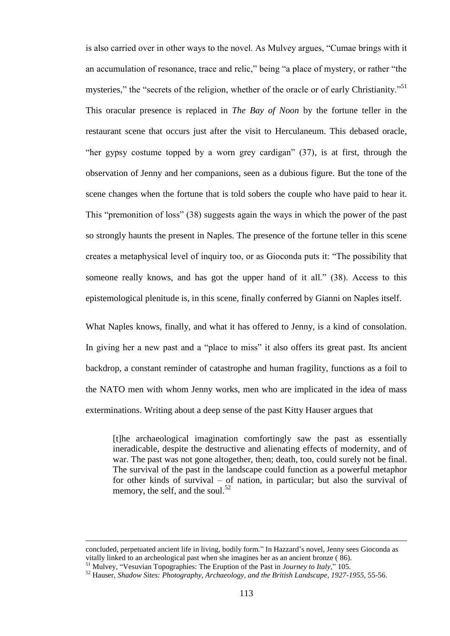is also carried over in other ways to the novel. As Mulvey argues, "Cumae brings with it an accumulation of resonance, trace and relic," being "a place of mystery, or rather "the mysteries," the "secrets of the religion, whether of the oracle or of early Christianity."<sup>51</sup> This oracular presence is replaced in *The Bay of Noon* by the fortune teller in the restaurant scene that occurs just after the visit to Herculaneum. This debased oracle, "her gypsy costume topped by a worn grey cardigan" (37), is at first, through the observation of Jenny and her companions, seen as a dubious figure. But the tone of the scene changes when the fortune that is told sobers the couple who have paid to hear it. This "premonition of loss" (38) suggests again the ways in which the power of the past so strongly haunts the present in Naples. The presence of the fortune teller in this scene creates a metaphysical level of inquiry too, or as Gioconda puts it: "The possibility that someone really knows, and has got the upper hand of it all." (38). Access to this epistemological plenitude is, in this scene, finally conferred by Gianni on Naples itself.

What Naples knows, finally, and what it has offered to Jenny, is a kind of consolation. In giving her a new past and a "place to miss" it also offers its great past. Its ancient backdrop, a constant reminder of catastrophe and human fragility, functions as a foil to the NATO men with whom Jenny works, men who are implicated in the idea of mass exterminations. Writing about a deep sense of the past Kitty Hauser argues that

[t]he archaeological imagination comfortingly saw the past as essentially ineradicable, despite the destructive and alienating effects of modernity, and of war. The past was not gone altogether, then; death, too, could surely not be final. The survival of the past in the landscape could function as a powerful metaphor for other kinds of survival – of nation, in particular; but also the survival of memory, the self, and the soul.<sup>52</sup>

concluded, perpetuated ancient life in living, bodily form." In Hazzard"s novel, Jenny sees Gioconda as vitally linked to an archeological past when she imagines her as an ancient bronze ( 86).

<sup>51</sup> Mulvey, "Vesuvian Topographies: The Eruption of the Past in *Journey to Italy*," 105.

<sup>52</sup> Hauser, *Shadow Sites: Photography, Archaeology, and the British Landscape, 1927-1955,* 55-56.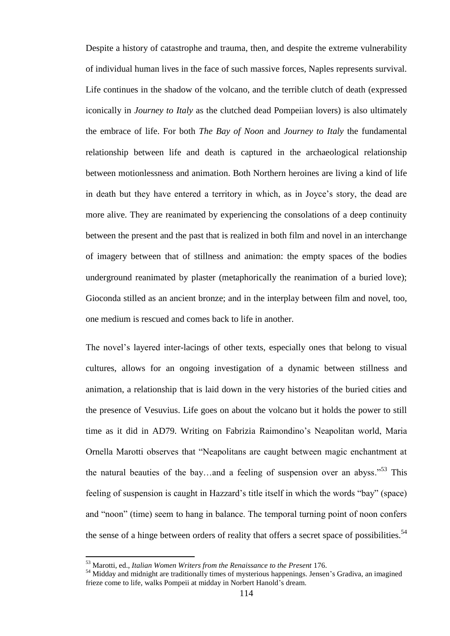Despite a history of catastrophe and trauma, then, and despite the extreme vulnerability of individual human lives in the face of such massive forces, Naples represents survival. Life continues in the shadow of the volcano, and the terrible clutch of death (expressed iconically in *Journey to Italy* as the clutched dead Pompeiian lovers) is also ultimately the embrace of life. For both *The Bay of Noon* and *Journey to Italy* the fundamental relationship between life and death is captured in the archaeological relationship between motionlessness and animation. Both Northern heroines are living a kind of life in death but they have entered a territory in which, as in Joyce"s story, the dead are more alive. They are reanimated by experiencing the consolations of a deep continuity between the present and the past that is realized in both film and novel in an interchange of imagery between that of stillness and animation: the empty spaces of the bodies underground reanimated by plaster (metaphorically the reanimation of a buried love); Gioconda stilled as an ancient bronze; and in the interplay between film and novel, too, one medium is rescued and comes back to life in another.

The novel"s layered inter-lacings of other texts, especially ones that belong to visual cultures, allows for an ongoing investigation of a dynamic between stillness and animation, a relationship that is laid down in the very histories of the buried cities and the presence of Vesuvius. Life goes on about the volcano but it holds the power to still time as it did in AD79. Writing on Fabrizia Raimondino"s Neapolitan world, Maria Ornella Marotti observes that "Neapolitans are caught between magic enchantment at the natural beauties of the bay...and a feeling of suspension over an abyss.<sup> $53$ </sup> This feeling of suspension is caught in Hazzard"s title itself in which the words "bay" (space) and "noon" (time) seem to hang in balance. The temporal turning point of noon confers the sense of a hinge between orders of reality that offers a secret space of possibilities.<sup>54</sup>

<sup>53</sup> Marotti, ed., *Italian Women Writers from the Renaissance to the Present* 176.

<sup>&</sup>lt;sup>54</sup> Midday and midnight are traditionally times of mysterious happenings. Jensen's Gradiva, an imagined frieze come to life, walks Pompeii at midday in Norbert Hanold"s dream.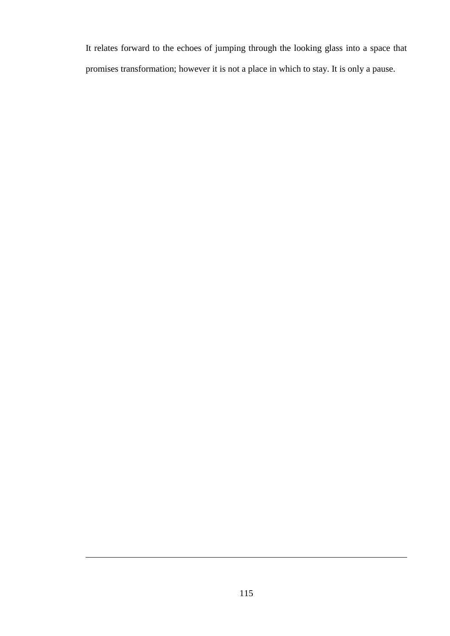It relates forward to the echoes of jumping through the looking glass into a space that promises transformation; however it is not a place in which to stay. It is only a pause.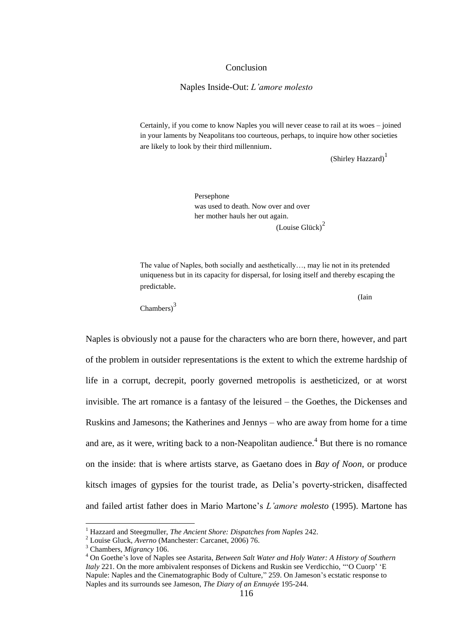## Conclusion

## Naples Inside-Out: *L"amore molesto*

Certainly, if you come to know Naples you will never cease to rail at its woes – joined in your laments by Neapolitans too courteous, perhaps, to inquire how other societies are likely to look by their third millennium.

(Shirley Hazzard)<sup>1</sup>

Persephone was used to death. Now over and over her mother hauls her out again.  $(Louise Glück)<sup>2</sup>$ 

The value of Naples, both socially and aesthetically…, may lie not in its pretended uniqueness but in its capacity for dispersal, for losing itself and thereby escaping the predictable.

(Iain

Chambers)<sup>3</sup>

Naples is obviously not a pause for the characters who are born there, however, and part of the problem in outsider representations is the extent to which the extreme hardship of life in a corrupt, decrepit, poorly governed metropolis is aestheticized, or at worst invisible. The art romance is a fantasy of the leisured – the Goethes, the Dickenses and Ruskins and Jamesons; the Katherines and Jennys – who are away from home for a time and are, as it were, writing back to a non-Neapolitan audience.<sup>4</sup> But there is no romance on the inside: that is where artists starve, as Gaetano does in *Bay of Noon*, or produce kitsch images of gypsies for the tourist trade, as Delia"s poverty-stricken, disaffected and failed artist father does in Mario Martone"s *L"amore molesto* (1995). Martone has

<sup>1</sup> Hazzard and Steegmuller, *The Ancient Shore: Dispatches from Naples* 242.

<sup>2</sup> Louise Gluck, *Averno* (Manchester: Carcanet, 2006) 76.

<sup>3</sup> Chambers, *Migrancy* 106.

<sup>4</sup> On Goethe"s love of Naples see Astarita, *Between Salt Water and Holy Water: A History of Southern Italy* 221. On the more ambivalent responses of Dickens and Ruskin see Verdicchio, ""O Cuorp" 'E Napule: Naples and the Cinematographic Body of Culture," 259. On Jameson's ecstatic response to Naples and its surrounds see Jameson, *The Diary of an Ennuyée* 195-244.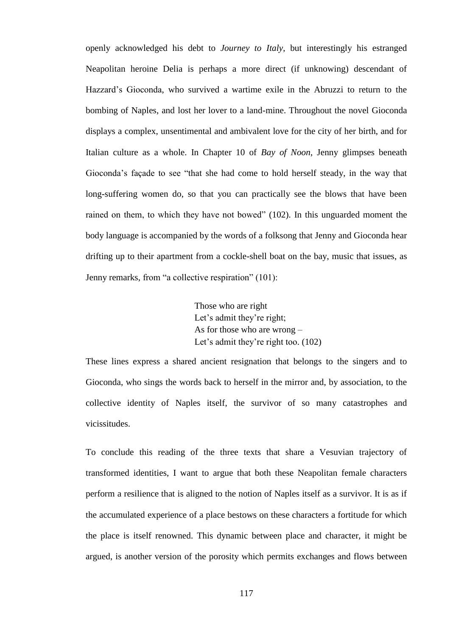openly acknowledged his debt to *Journey to Italy*, but interestingly his estranged Neapolitan heroine Delia is perhaps a more direct (if unknowing) descendant of Hazzard"s Gioconda, who survived a wartime exile in the Abruzzi to return to the bombing of Naples, and lost her lover to a land-mine. Throughout the novel Gioconda displays a complex, unsentimental and ambivalent love for the city of her birth, and for Italian culture as a whole. In Chapter 10 of *Bay of Noon*, Jenny glimpses beneath Gioconda"s façade to see "that she had come to hold herself steady, in the way that long-suffering women do, so that you can practically see the blows that have been rained on them, to which they have not bowed" (102). In this unguarded moment the body language is accompanied by the words of a folksong that Jenny and Gioconda hear drifting up to their apartment from a cockle-shell boat on the bay, music that issues, as Jenny remarks, from "a collective respiration" (101):

> Those who are right Let's admit they're right; As for those who are wrong – Let's admit they're right too. (102)

These lines express a shared ancient resignation that belongs to the singers and to Gioconda, who sings the words back to herself in the mirror and, by association, to the collective identity of Naples itself, the survivor of so many catastrophes and vicissitudes.

To conclude this reading of the three texts that share a Vesuvian trajectory of transformed identities, I want to argue that both these Neapolitan female characters perform a resilience that is aligned to the notion of Naples itself as a survivor. It is as if the accumulated experience of a place bestows on these characters a fortitude for which the place is itself renowned. This dynamic between place and character, it might be argued, is another version of the porosity which permits exchanges and flows between

117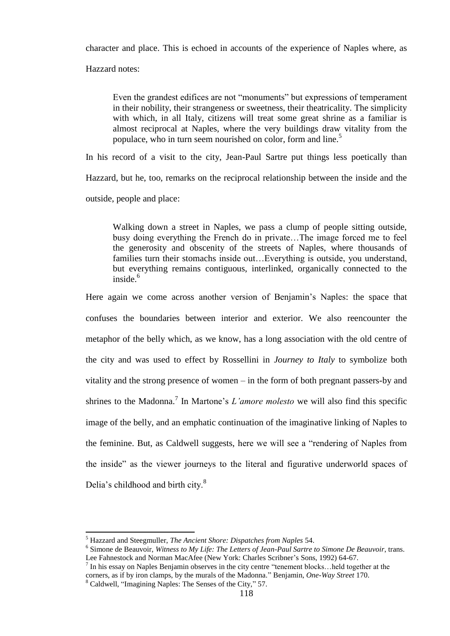character and place. This is echoed in accounts of the experience of Naples where, as

Hazzard notes:

Even the grandest edifices are not "monuments" but expressions of temperament in their nobility, their strangeness or sweetness, their theatricality. The simplicity with which, in all Italy, citizens will treat some great shrine as a familiar is almost reciprocal at Naples, where the very buildings draw vitality from the populace, who in turn seem nourished on color, form and line.<sup>5</sup>

In his record of a visit to the city, Jean-Paul Sartre put things less poetically than Hazzard, but he, too, remarks on the reciprocal relationship between the inside and the outside, people and place:

Walking down a street in Naples, we pass a clump of people sitting outside, busy doing everything the French do in private…The image forced me to feel the generosity and obscenity of the streets of Naples, where thousands of families turn their stomachs inside out…Everything is outside, you understand, but everything remains contiguous, interlinked, organically connected to the inside. 6

Here again we come across another version of Benjamin's Naples: the space that confuses the boundaries between interior and exterior. We also reencounter the metaphor of the belly which, as we know, has a long association with the old centre of the city and was used to effect by Rossellini in *Journey to Italy* to symbolize both vitality and the strong presence of women – in the form of both pregnant passers-by and shrines to the Madonna.<sup>7</sup> In Martone's *L'amore molesto* we will also find this specific image of the belly, and an emphatic continuation of the imaginative linking of Naples to the feminine. But, as Caldwell suggests, here we will see a "rendering of Naples from the inside" as the viewer journeys to the literal and figurative underworld spaces of Delia's childhood and birth city.<sup>8</sup>

<sup>5</sup> Hazzard and Steegmuller, *The Ancient Shore: Dispatches from Naples* 54.

<sup>6</sup> Simone de Beauvoir, *Witness to My Life: The Letters of Jean-Paul Sartre to Simone De Beauvoir*, trans. Lee Fahnestock and Norman MacAfee (New York: Charles Scribner's Sons, 1992) 64-67.

 $<sup>7</sup>$  In his essay on Naples Benjamin observes in the city centre "tenement blocks...held together at the</sup> corners, as if by iron clamps, by the murals of the Madonna." Benjamin, *One-Way Street* 170.

<sup>8</sup> Caldwell, "Imagining Naples: The Senses of the City," 57.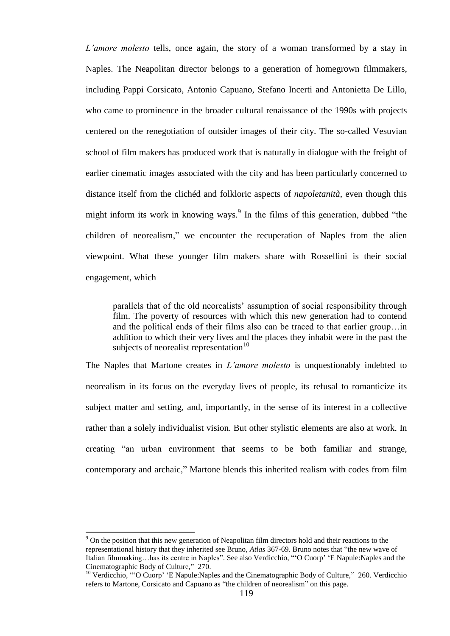*L"amore molesto* tells, once again, the story of a woman transformed by a stay in Naples. The Neapolitan director belongs to a generation of homegrown filmmakers, including Pappi Corsicato, Antonio Capuano, Stefano Incerti and Antonietta De Lillo, who came to prominence in the broader cultural renaissance of the 1990s with projects centered on the renegotiation of outsider images of their city. The so-called Vesuvian school of film makers has produced work that is naturally in dialogue with the freight of earlier cinematic images associated with the city and has been particularly concerned to distance itself from the clichéd and folkloric aspects of *napoletanità*, even though this might inform its work in knowing ways.<sup>9</sup> In the films of this generation, dubbed "the children of neorealism," we encounter the recuperation of Naples from the alien viewpoint. What these younger film makers share with Rossellini is their social engagement, which

parallels that of the old neorealists" assumption of social responsibility through film. The poverty of resources with which this new generation had to contend and the political ends of their films also can be traced to that earlier group…in addition to which their very lives and the places they inhabit were in the past the subjects of neorealist representation $10$ 

The Naples that Martone creates in *L"amore molesto* is unquestionably indebted to neorealism in its focus on the everyday lives of people, its refusal to romanticize its subject matter and setting, and, importantly, in the sense of its interest in a collective rather than a solely individualist vision. But other stylistic elements are also at work. In creating "an urban environment that seems to be both familiar and strange, contemporary and archaic," Martone blends this inherited realism with codes from film

<sup>9</sup> On the position that this new generation of Neapolitan film directors hold and their reactions to the representational history that they inherited see Bruno, *Atlas* 367-69. Bruno notes that "the new wave of Italian filmmaking…has its centre in Naples". See also Verdicchio, ""O Cuorp" "E Napule:Naples and the Cinematographic Body of Culture," 270.

<sup>&</sup>lt;sup>10</sup> Verdicchio, ""O Cuorp' 'E Napule: Naples and the Cinematographic Body of Culture," 260. Verdicchio refers to Martone, Corsicato and Capuano as "the children of neorealism" on this page.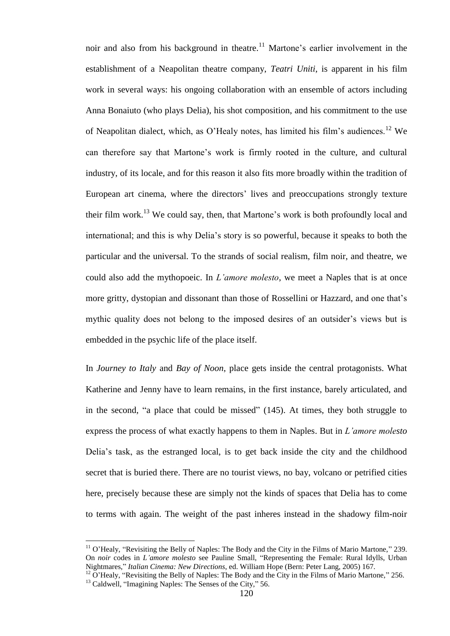noir and also from his background in theatre.<sup>11</sup> Martone's earlier involvement in the establishment of a Neapolitan theatre company, *Teatri Uniti*, is apparent in his film work in several ways: his ongoing collaboration with an ensemble of actors including Anna Bonaiuto (who plays Delia), his shot composition, and his commitment to the use of Neapolitan dialect, which, as O'Healy notes, has limited his film's audiences.<sup>12</sup> We can therefore say that Martone"s work is firmly rooted in the culture, and cultural industry, of its locale, and for this reason it also fits more broadly within the tradition of European art cinema, where the directors' lives and preoccupations strongly texture their film work.<sup>13</sup> We could say, then, that Martone's work is both profoundly local and international; and this is why Delia"s story is so powerful, because it speaks to both the particular and the universal. To the strands of social realism, film noir, and theatre, we could also add the mythopoeic. In *L"amore molesto*, we meet a Naples that is at once more gritty, dystopian and dissonant than those of Rossellini or Hazzard, and one that"s mythic quality does not belong to the imposed desires of an outsider"s views but is embedded in the psychic life of the place itself.

In *Journey to Italy* and *Bay of Noon*, place gets inside the central protagonists. What Katherine and Jenny have to learn remains, in the first instance, barely articulated, and in the second, "a place that could be missed" (145). At times, they both struggle to express the process of what exactly happens to them in Naples. But in *L"amore molesto* Delia"s task, as the estranged local, is to get back inside the city and the childhood secret that is buried there. There are no tourist views, no bay, volcano or petrified cities here, precisely because these are simply not the kinds of spaces that Delia has to come to terms with again. The weight of the past inheres instead in the shadowy film-noir

 $11$  O'Healy, "Revisiting the Belly of Naples: The Body and the City in the Films of Mario Martone," 239. On *noir* codes in *L"amore molesto* see Pauline Small, "Representing the Female: Rural Idylls, Urban Nightmares," *Italian Cinema: New Directions*, ed. William Hope (Bern: Peter Lang, 2005) 167.

 $12$  O'Healy, "Revisiting the Belly of Naples: The Body and the City in the Films of Mario Martone," 256.

<sup>&</sup>lt;sup>13</sup> Caldwell, "Imagining Naples: The Senses of the City," 56.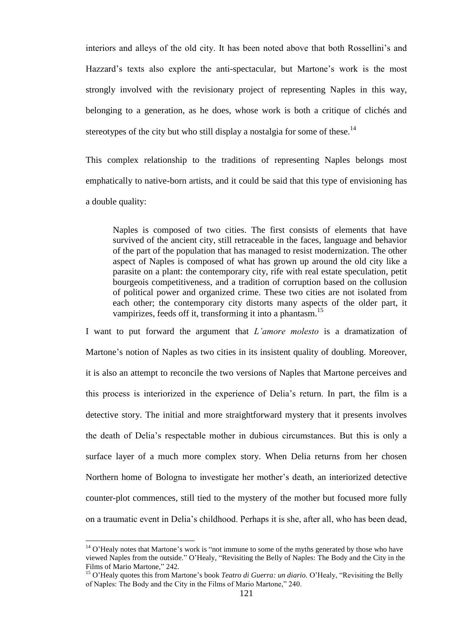interiors and alleys of the old city. It has been noted above that both Rossellini"s and Hazzard's texts also explore the anti-spectacular, but Martone's work is the most strongly involved with the revisionary project of representing Naples in this way, belonging to a generation, as he does, whose work is both a critique of clichés and stereotypes of the city but who still display a nostalgia for some of these.<sup>14</sup>

This complex relationship to the traditions of representing Naples belongs most emphatically to native-born artists, and it could be said that this type of envisioning has a double quality:

Naples is composed of two cities. The first consists of elements that have survived of the ancient city, still retraceable in the faces, language and behavior of the part of the population that has managed to resist modernization. The other aspect of Naples is composed of what has grown up around the old city like a parasite on a plant: the contemporary city, rife with real estate speculation, petit bourgeois competitiveness, and a tradition of corruption based on the collusion of political power and organized crime. These two cities are not isolated from each other; the contemporary city distorts many aspects of the older part, it vampirizes, feeds off it, transforming it into a phantasm.<sup>15</sup>

I want to put forward the argument that *L"amore molesto* is a dramatization of Martone"s notion of Naples as two cities in its insistent quality of doubling. Moreover, it is also an attempt to reconcile the two versions of Naples that Martone perceives and this process is interiorized in the experience of Delia"s return. In part, the film is a detective story. The initial and more straightforward mystery that it presents involves the death of Delia"s respectable mother in dubious circumstances. But this is only a surface layer of a much more complex story. When Delia returns from her chosen Northern home of Bologna to investigate her mother"s death, an interiorized detective counter-plot commences, still tied to the mystery of the mother but focused more fully on a traumatic event in Delia"s childhood. Perhaps it is she, after all, who has been dead,

 $14$  O'Healy notes that Martone's work is "not immune to some of the myths generated by those who have viewed Naples from the outside." O"Healy, "Revisiting the Belly of Naples: The Body and the City in the Films of Mario Martone," 242.

<sup>15</sup> O"Healy quotes this from Martone"s book *Teatro di Guerra: un diario.* O"Healy, "Revisiting the Belly of Naples: The Body and the City in the Films of Mario Martone," 240.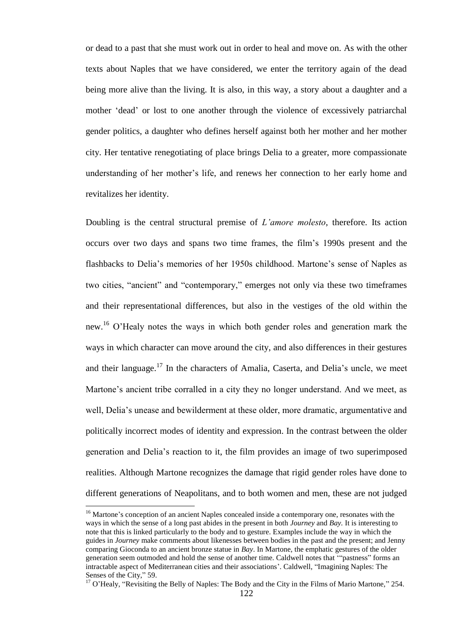or dead to a past that she must work out in order to heal and move on. As with the other texts about Naples that we have considered, we enter the territory again of the dead being more alive than the living. It is also, in this way, a story about a daughter and a mother "dead" or lost to one another through the violence of excessively patriarchal gender politics, a daughter who defines herself against both her mother and her mother city. Her tentative renegotiating of place brings Delia to a greater, more compassionate understanding of her mother"s life, and renews her connection to her early home and revitalizes her identity.

Doubling is the central structural premise of *L"amore molesto*, therefore. Its action occurs over two days and spans two time frames, the film"s 1990s present and the flashbacks to Delia's memories of her 1950s childhood. Martone's sense of Naples as two cities, "ancient" and "contemporary," emerges not only via these two timeframes and their representational differences, but also in the vestiges of the old within the new.<sup>16</sup> O'Healy notes the ways in which both gender roles and generation mark the ways in which character can move around the city, and also differences in their gestures and their language.<sup>17</sup> In the characters of Amalia, Caserta, and Delia's uncle, we meet Martone's ancient tribe corralled in a city they no longer understand. And we meet, as well, Delia's unease and bewilderment at these older, more dramatic, argumentative and politically incorrect modes of identity and expression. In the contrast between the older generation and Delia"s reaction to it, the film provides an image of two superimposed realities. Although Martone recognizes the damage that rigid gender roles have done to different generations of Neapolitans, and to both women and men, these are not judged

<sup>&</sup>lt;sup>16</sup> Martone's conception of an ancient Naples concealed inside a contemporary one, resonates with the ways in which the sense of a long past abides in the present in both *Journey* and *Bay.* It is interesting to note that this is linked particularly to the body and to gesture. Examples include the way in which the guides in *Journey* make comments about likenesses between bodies in the past and the present; and Jenny comparing Gioconda to an ancient bronze statue in *Bay*. In Martone, the emphatic gestures of the older generation seem outmoded and hold the sense of another time. Caldwell notes that ""pastness" forms an intractable aspect of Mediterranean cities and their associations". Caldwell, "Imagining Naples: The Senses of the City," 59.

<sup>&</sup>lt;sup>17</sup> O'Healy, "Revisiting the Belly of Naples: The Body and the City in the Films of Mario Martone," 254.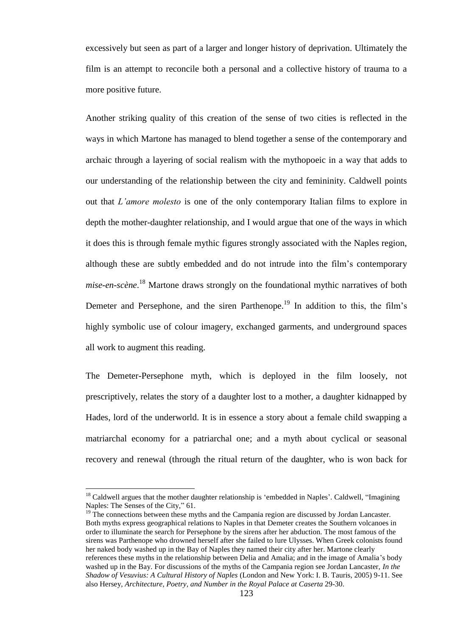excessively but seen as part of a larger and longer history of deprivation. Ultimately the film is an attempt to reconcile both a personal and a collective history of trauma to a more positive future.

Another striking quality of this creation of the sense of two cities is reflected in the ways in which Martone has managed to blend together a sense of the contemporary and archaic through a layering of social realism with the mythopoeic in a way that adds to our understanding of the relationship between the city and femininity. Caldwell points out that *L"amore molesto* is one of the only contemporary Italian films to explore in depth the mother-daughter relationship, and I would argue that one of the ways in which it does this is through female mythic figures strongly associated with the Naples region, although these are subtly embedded and do not intrude into the film"s contemporary *mise-en-scène*. <sup>18</sup> Martone draws strongly on the foundational mythic narratives of both Demeter and Persephone, and the siren Parthenope.<sup>19</sup> In addition to this, the film's highly symbolic use of colour imagery, exchanged garments, and underground spaces all work to augment this reading.

The Demeter-Persephone myth, which is deployed in the film loosely, not prescriptively, relates the story of a daughter lost to a mother, a daughter kidnapped by Hades, lord of the underworld. It is in essence a story about a female child swapping a matriarchal economy for a patriarchal one; and a myth about cyclical or seasonal recovery and renewal (through the ritual return of the daughter, who is won back for

 $18$  Caldwell argues that the mother daughter relationship is 'embedded in Naples'. Caldwell, "Imagining Naples: The Senses of the City," 61.

 $19$ <sup>19</sup> The connections between these myths and the Campania region are discussed by Jordan Lancaster. Both myths express geographical relations to Naples in that Demeter creates the Southern volcanoes in order to illuminate the search for Persephone by the sirens after her abduction. The most famous of the sirens was Parthenope who drowned herself after she failed to lure Ulysses. When Greek colonists found her naked body washed up in the Bay of Naples they named their city after her. Martone clearly references these myths in the relationship between Delia and Amalia; and in the image of Amalia"s body washed up in the Bay. For discussions of the myths of the Campania region see Jordan Lancaster, *In the Shadow of Vesuvius: A Cultural History of Naples* (London and New York: I. B. Tauris, 2005) 9-11. See also Hersey, *Architecture, Poetry, and Number in the Royal Palace at Caserta* 29-30.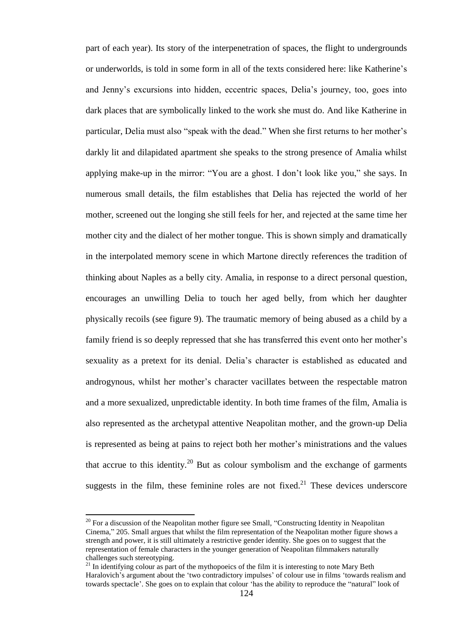part of each year). Its story of the interpenetration of spaces, the flight to undergrounds or underworlds, is told in some form in all of the texts considered here: like Katherine"s and Jenny"s excursions into hidden, eccentric spaces, Delia"s journey, too, goes into dark places that are symbolically linked to the work she must do. And like Katherine in particular, Delia must also "speak with the dead." When she first returns to her mother's darkly lit and dilapidated apartment she speaks to the strong presence of Amalia whilst applying make-up in the mirror: "You are a ghost. I don"t look like you," she says. In numerous small details, the film establishes that Delia has rejected the world of her mother, screened out the longing she still feels for her, and rejected at the same time her mother city and the dialect of her mother tongue. This is shown simply and dramatically in the interpolated memory scene in which Martone directly references the tradition of thinking about Naples as a belly city. Amalia, in response to a direct personal question, encourages an unwilling Delia to touch her aged belly, from which her daughter physically recoils (see figure 9). The traumatic memory of being abused as a child by a family friend is so deeply repressed that she has transferred this event onto her mother's sexuality as a pretext for its denial. Delia's character is established as educated and androgynous, whilst her mother"s character vacillates between the respectable matron and a more sexualized, unpredictable identity. In both time frames of the film, Amalia is also represented as the archetypal attentive Neapolitan mother, and the grown-up Delia is represented as being at pains to reject both her mother"s ministrations and the values that accrue to this identity.<sup>20</sup> But as colour symbolism and the exchange of garments suggests in the film, these feminine roles are not fixed. $2<sup>1</sup>$  These devices underscore

l

 $20$  For a discussion of the Neapolitan mother figure see Small, "Constructing Identity in Neapolitan Cinema," 205. Small argues that whilst the film representation of the Neapolitan mother figure shows a strength and power, it is still ultimately a restrictive gender identity. She goes on to suggest that the representation of female characters in the younger generation of Neapolitan filmmakers naturally challenges such stereotyping.

<sup>21</sup> In identifying colour as part of the mythopoeics of the film it is interesting to note Mary Beth Haralovich's argument about the 'two contradictory impulses' of colour use in films 'towards realism and towards spectacle". She goes on to explain that colour "has the ability to reproduce the "natural" look of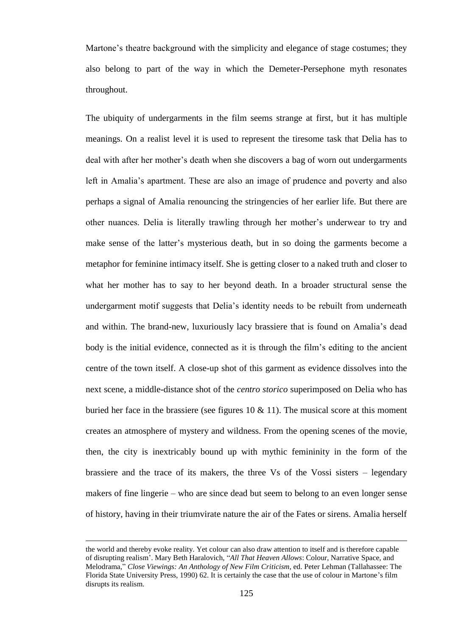Martone's theatre background with the simplicity and elegance of stage costumes; they also belong to part of the way in which the Demeter-Persephone myth resonates throughout.

The ubiquity of undergarments in the film seems strange at first, but it has multiple meanings. On a realist level it is used to represent the tiresome task that Delia has to deal with after her mother"s death when she discovers a bag of worn out undergarments left in Amalia's apartment. These are also an image of prudence and poverty and also perhaps a signal of Amalia renouncing the stringencies of her earlier life. But there are other nuances. Delia is literally trawling through her mother"s underwear to try and make sense of the latter's mysterious death, but in so doing the garments become a metaphor for feminine intimacy itself. She is getting closer to a naked truth and closer to what her mother has to say to her beyond death. In a broader structural sense the undergarment motif suggests that Delia"s identity needs to be rebuilt from underneath and within. The brand-new, luxuriously lacy brassiere that is found on Amalia"s dead body is the initial evidence, connected as it is through the film"s editing to the ancient centre of the town itself. A close-up shot of this garment as evidence dissolves into the next scene, a middle-distance shot of the *centro storico* superimposed on Delia who has buried her face in the brassiere (see figures  $10 \& 11$ ). The musical score at this moment creates an atmosphere of mystery and wildness. From the opening scenes of the movie, then, the city is inextricably bound up with mythic femininity in the form of the brassiere and the trace of its makers, the three Vs of the Vossi sisters – legendary makers of fine lingerie – who are since dead but seem to belong to an even longer sense of history, having in their triumvirate nature the air of the Fates or sirens. Amalia herself

the world and thereby evoke reality. Yet colour can also draw attention to itself and is therefore capable of disrupting realism". Mary Beth Haralovich, "*All That Heaven Allows*: Colour, Narrative Space, and Melodrama," *Close Viewings: An Anthology of New Film Criticism*, ed. Peter Lehman (Tallahassee: The Florida State University Press, 1990) 62. It is certainly the case that the use of colour in Martone"s film disrupts its realism.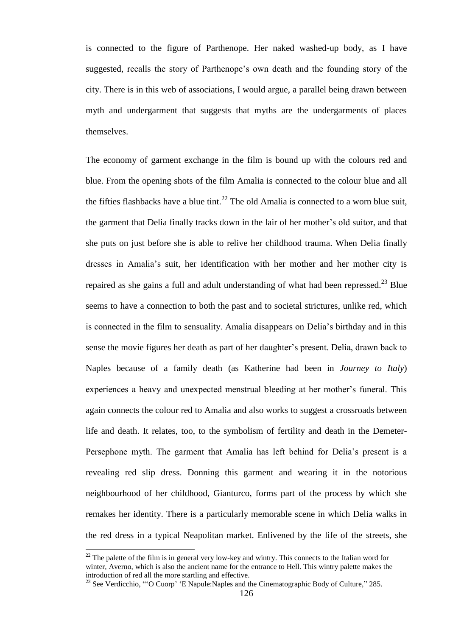is connected to the figure of Parthenope. Her naked washed-up body, as I have suggested, recalls the story of Parthenope"s own death and the founding story of the city. There is in this web of associations, I would argue, a parallel being drawn between myth and undergarment that suggests that myths are the undergarments of places themselves.

The economy of garment exchange in the film is bound up with the colours red and blue. From the opening shots of the film Amalia is connected to the colour blue and all the fifties flashbacks have a blue tint.<sup>22</sup> The old Amalia is connected to a worn blue suit, the garment that Delia finally tracks down in the lair of her mother"s old suitor, and that she puts on just before she is able to relive her childhood trauma. When Delia finally dresses in Amalia"s suit, her identification with her mother and her mother city is repaired as she gains a full and adult understanding of what had been repressed.<sup>23</sup> Blue seems to have a connection to both the past and to societal strictures, unlike red, which is connected in the film to sensuality. Amalia disappears on Delia"s birthday and in this sense the movie figures her death as part of her daughter"s present. Delia, drawn back to Naples because of a family death (as Katherine had been in *Journey to Italy*) experiences a heavy and unexpected menstrual bleeding at her mother"s funeral. This again connects the colour red to Amalia and also works to suggest a crossroads between life and death. It relates, too, to the symbolism of fertility and death in the Demeter-Persephone myth. The garment that Amalia has left behind for Delia"s present is a revealing red slip dress. Donning this garment and wearing it in the notorious neighbourhood of her childhood, Gianturco, forms part of the process by which she remakes her identity. There is a particularly memorable scene in which Delia walks in the red dress in a typical Neapolitan market. Enlivened by the life of the streets, she

 $22$  The palette of the film is in general very low-key and wintry. This connects to the Italian word for winter, Averno, which is also the ancient name for the entrance to Hell. This wintry palette makes the introduction of red all the more startling and effective.

<sup>&</sup>lt;sup>23</sup> See Verdicchio, ""O Cuorp" 'E Napule: Naples and the Cinematographic Body of Culture," 285.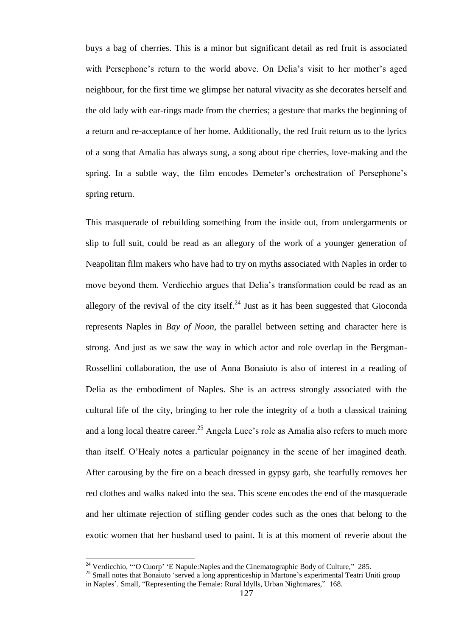buys a bag of cherries. This is a minor but significant detail as red fruit is associated with Persephone's return to the world above. On Delia's visit to her mother's aged neighbour, for the first time we glimpse her natural vivacity as she decorates herself and the old lady with ear-rings made from the cherries; a gesture that marks the beginning of a return and re-acceptance of her home. Additionally, the red fruit return us to the lyrics of a song that Amalia has always sung, a song about ripe cherries, love-making and the spring. In a subtle way, the film encodes Demeter's orchestration of Persephone's spring return.

This masquerade of rebuilding something from the inside out, from undergarments or slip to full suit, could be read as an allegory of the work of a younger generation of Neapolitan film makers who have had to try on myths associated with Naples in order to move beyond them. Verdicchio argues that Delia"s transformation could be read as an allegory of the revival of the city itself.<sup>24</sup> Just as it has been suggested that Gioconda represents Naples in *Bay of Noon*, the parallel between setting and character here is strong. And just as we saw the way in which actor and role overlap in the Bergman-Rossellini collaboration, the use of Anna Bonaiuto is also of interest in a reading of Delia as the embodiment of Naples. She is an actress strongly associated with the cultural life of the city, bringing to her role the integrity of a both a classical training and a long local theatre career.<sup>25</sup> Angela Luce's role as Amalia also refers to much more than itself. O"Healy notes a particular poignancy in the scene of her imagined death. After carousing by the fire on a beach dressed in gypsy garb, she tearfully removes her red clothes and walks naked into the sea. This scene encodes the end of the masquerade and her ultimate rejection of stifling gender codes such as the ones that belong to the exotic women that her husband used to paint. It is at this moment of reverie about the

<sup>&</sup>lt;sup>24</sup> Verdicchio, ""O Cuorp' 'E Napule: Naples and the Cinematographic Body of Culture," 285.

<sup>&</sup>lt;sup>25</sup> Small notes that Bonaiuto 'served a long apprenticeship in Martone's experimental Teatri Uniti group in Naples". Small, "Representing the Female: Rural Idylls, Urban Nightmares," 168.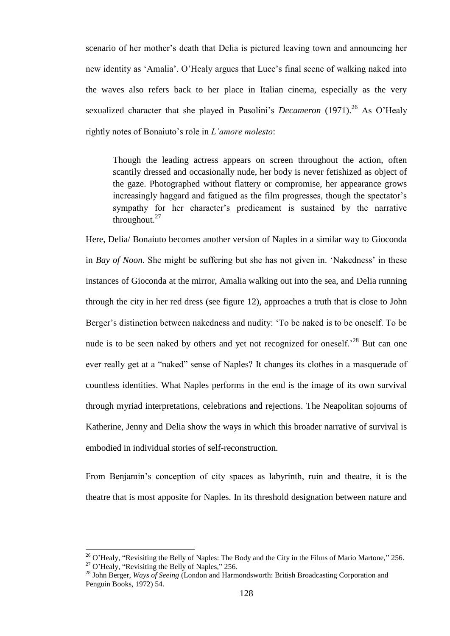scenario of her mother's death that Delia is pictured leaving town and announcing her new identity as "Amalia". O"Healy argues that Luce"s final scene of walking naked into the waves also refers back to her place in Italian cinema, especially as the very sexualized character that she played in Pasolini's *Decameron* (1971).<sup>26</sup> As O'Healy rightly notes of Bonaiuto"s role in *L"amore molesto*:

Though the leading actress appears on screen throughout the action, often scantily dressed and occasionally nude, her body is never fetishized as object of the gaze. Photographed without flattery or compromise, her appearance grows increasingly haggard and fatigued as the film progresses, though the spectator's sympathy for her character"s predicament is sustained by the narrative throughout. $27$ 

Here, Delia/ Bonaiuto becomes another version of Naples in a similar way to Gioconda in *Bay of Noon*. She might be suffering but she has not given in. 'Nakedness' in these instances of Gioconda at the mirror, Amalia walking out into the sea, and Delia running through the city in her red dress (see figure 12), approaches a truth that is close to John Berger's distinction between nakedness and nudity: 'To be naked is to be oneself. To be nude is to be seen naked by others and yet not recognized for oneself.<sup>28</sup> But can one ever really get at a "naked" sense of Naples? It changes its clothes in a masquerade of countless identities. What Naples performs in the end is the image of its own survival through myriad interpretations, celebrations and rejections. The Neapolitan sojourns of Katherine, Jenny and Delia show the ways in which this broader narrative of survival is embodied in individual stories of self-reconstruction.

From Benjamin"s conception of city spaces as labyrinth, ruin and theatre, it is the theatre that is most apposite for Naples. In its threshold designation between nature and

 $^{26}$  O'Healy, "Revisiting the Belly of Naples: The Body and the City in the Films of Mario Martone," 256.  $27$  O'Healy, "Revisiting the Belly of Naples," 256.

<sup>28</sup> John Berger, *Ways of Seeing* (London and Harmondsworth: British Broadcasting Corporation and Penguin Books, 1972) 54.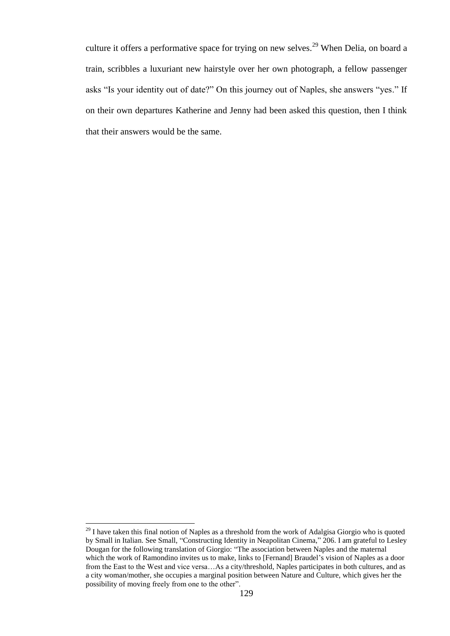culture it offers a performative space for trying on new selves.<sup>29</sup> When Delia, on board a train, scribbles a luxuriant new hairstyle over her own photograph, a fellow passenger asks "Is your identity out of date?" On this journey out of Naples, she answers "yes." If on their own departures Katherine and Jenny had been asked this question, then I think that their answers would be the same.

 $29$  I have taken this final notion of Naples as a threshold from the work of Adalgisa Giorgio who is quoted by Small in Italian. See Small, "Constructing Identity in Neapolitan Cinema," 206. I am grateful to Lesley Dougan for the following translation of Giorgio: "The association between Naples and the maternal which the work of Ramondino invites us to make, links to [Fernand] Braudel"s vision of Naples as a door from the East to the West and vice versa…As a city/threshold, Naples participates in both cultures, and as a city woman/mother, she occupies a marginal position between Nature and Culture, which gives her the possibility of moving freely from one to the other".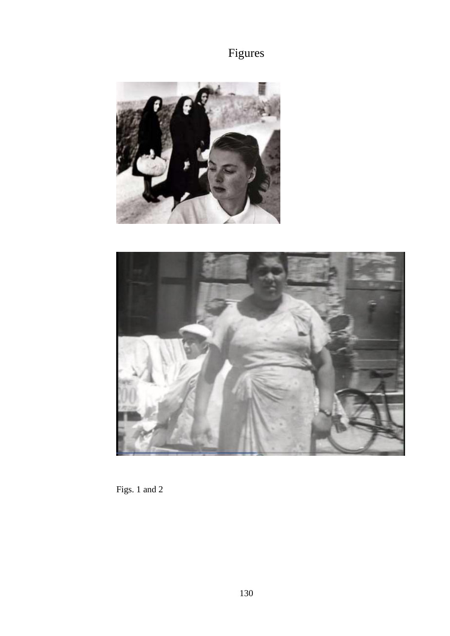





Figs. 1 and 2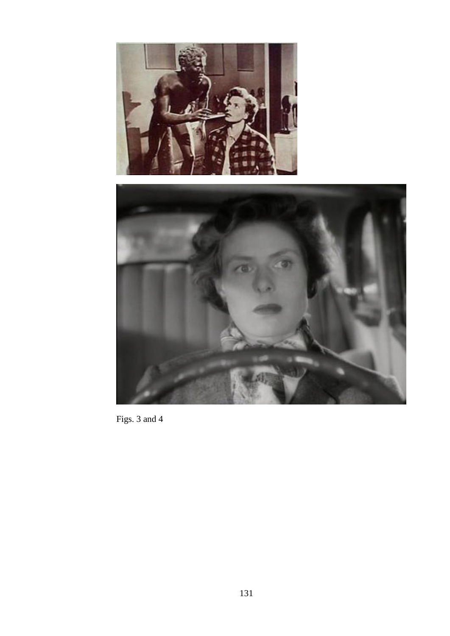



Figs. 3 and 4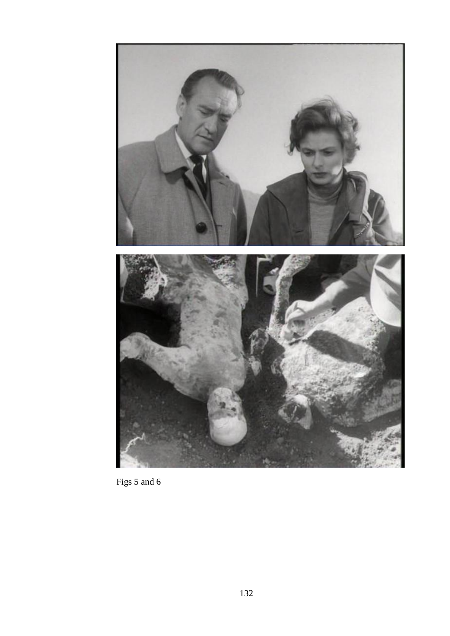

Figs 5 and 6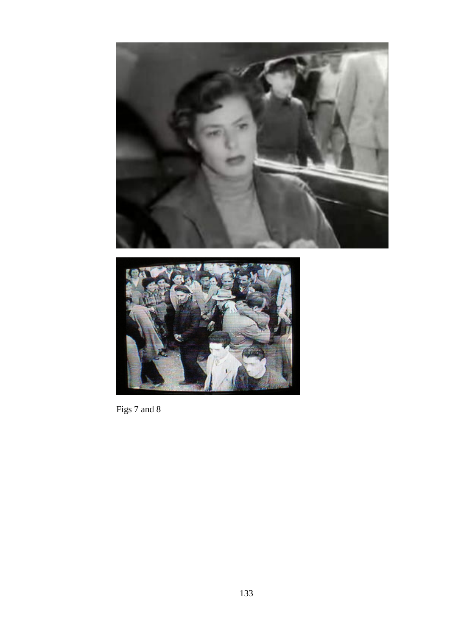



Figs 7 and 8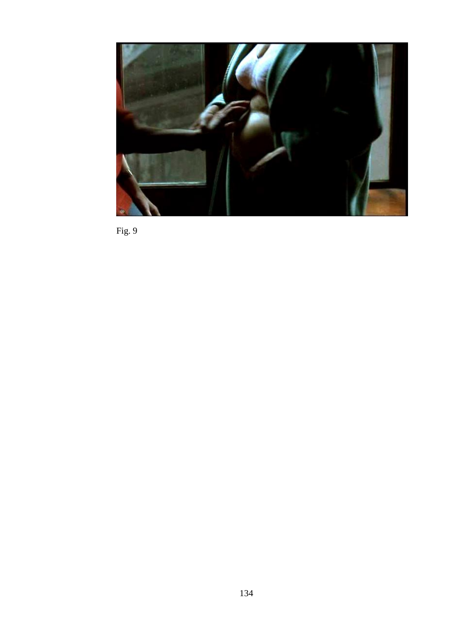

Fig. 9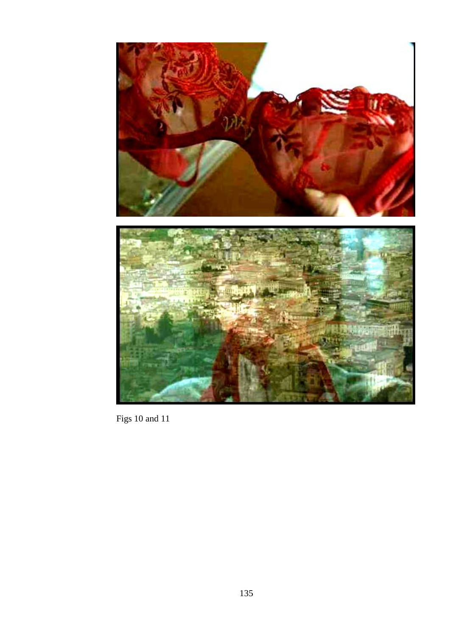

Figs 10 and 11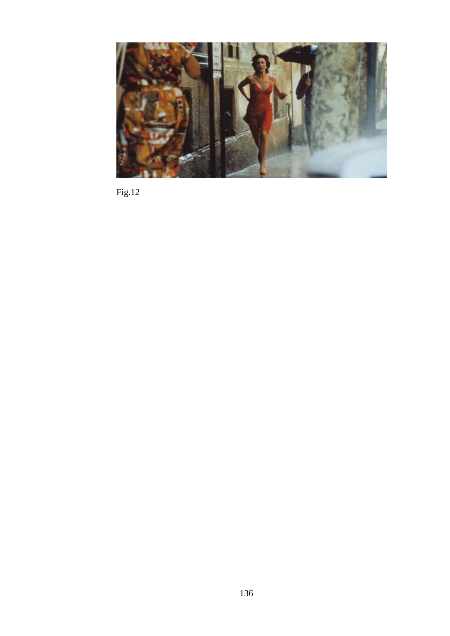

Fig.12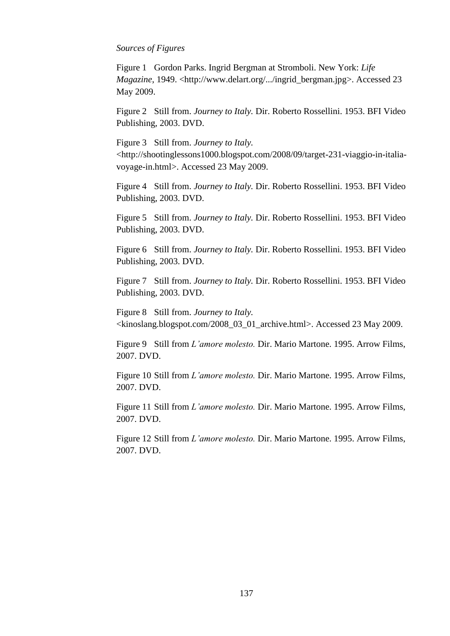## *Sources of Figures*

Figure 1 Gordon Parks. Ingrid Bergman at Stromboli. New York: *Life Magazine*, 1949. <http://www.delart.org/.../ingrid\_bergman.jpg>. Accessed 23 May 2009.

Figure 2 Still from. *Journey to Italy.* Dir. Roberto Rossellini. 1953. BFI Video Publishing, 2003. DVD.

Figure 3 Still from. *Journey to Italy.* <http://shootinglessons1000.blogspot.com/2008/09/target-231-viaggio-in-italiavoyage-in.html>. Accessed 23 May 2009.

Figure 4 Still from. *Journey to Italy.* Dir. Roberto Rossellini. 1953. BFI Video Publishing, 2003. DVD.

Figure 5 Still from. *Journey to Italy.* Dir. Roberto Rossellini. 1953. BFI Video Publishing, 2003. DVD.

Figure 6 Still from. *Journey to Italy.* Dir. Roberto Rossellini. 1953. BFI Video Publishing, 2003. DVD.

Figure 7 Still from. *Journey to Italy.* Dir. Roberto Rossellini. 1953. BFI Video Publishing, 2003. DVD.

Figure 8 Still from. *Journey to Italy.* <kinoslang.blogspot.com/2008\_03\_01\_archive.html>. Accessed 23 May 2009.

Figure 9 Still from *L"amore molesto.* Dir. Mario Martone. 1995. Arrow Films, 2007. DVD.

Figure 10 Still from *L"amore molesto.* Dir. Mario Martone. 1995. Arrow Films, 2007. DVD.

Figure 11 Still from *L"amore molesto.* Dir. Mario Martone. 1995. Arrow Films, 2007. DVD.

Figure 12 Still from *L"amore molesto.* Dir. Mario Martone. 1995. Arrow Films, 2007. DVD.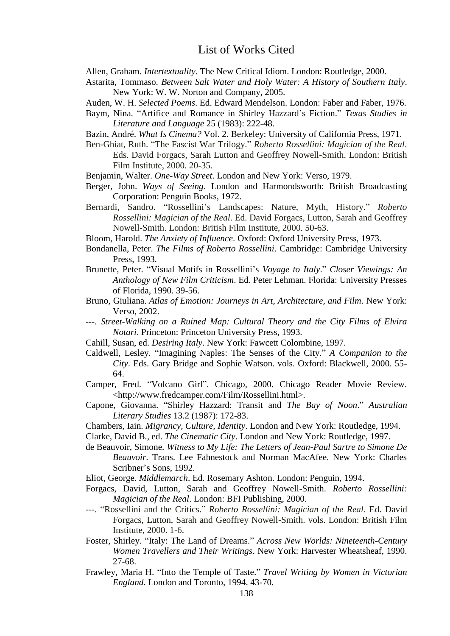Allen, Graham. *Intertextuality*. The New Critical Idiom. London: Routledge, 2000.

- Astarita, Tommaso. *Between Salt Water and Holy Water: A History of Southern Italy*. New York: W. W. Norton and Company, 2005.
- Auden, W. H. *Selected Poems*. Ed. Edward Mendelson. London: Faber and Faber, 1976.
- Baym, Nina. "Artifice and Romance in Shirley Hazzard"s Fiction." *Texas Studies in Literature and Language* 25 (1983): 222-48.
- Bazin, André. *What Is Cinema?* Vol. 2. Berkeley: University of California Press, 1971.
- Ben-Ghiat, Ruth. "The Fascist War Trilogy." *Roberto Rossellini: Magician of the Real*. Eds. David Forgacs, Sarah Lutton and Geoffrey Nowell-Smith. London: British Film Institute, 2000. 20-35.
- Benjamin, Walter. *One-Way Street*. London and New York: Verso, 1979.
- Berger, John. *Ways of Seeing*. London and Harmondsworth: British Broadcasting Corporation: Penguin Books, 1972.
- Bernardi, Sandro. "Rossellini"s Landscapes: Nature, Myth, History." *Roberto Rossellini: Magician of the Real*. Ed. David Forgacs, Lutton, Sarah and Geoffrey Nowell-Smith. London: British Film Institute, 2000. 50-63.
- Bloom, Harold. *The Anxiety of Influence*. Oxford: Oxford University Press, 1973.
- Bondanella, Peter. *The Films of Roberto Rossellini*. Cambridge: Cambridge University Press, 1993.
- Brunette, Peter. "Visual Motifs in Rossellini"s *Voyage to Italy*." *Closer Viewings: An Anthology of New Film Criticism*. Ed. Peter Lehman. Florida: University Presses of Florida, 1990. 39-56.
- Bruno, Giuliana. *Atlas of Emotion: Journeys in Art, Architecture, and Film*. New York: Verso, 2002.
- ---. *Street-Walking on a Ruined Map: Cultural Theory and the City Films of Elvira Notari*. Princeton: Princeton University Press, 1993.
- Cahill, Susan, ed. *Desiring Italy*. New York: Fawcett Colombine, 1997.
- Caldwell, Lesley. "Imagining Naples: The Senses of the City." *A Companion to the City*. Eds. Gary Bridge and Sophie Watson. vols. Oxford: Blackwell, 2000. 55- 64.
- Camper, Fred. "Volcano Girl". Chicago, 2000. Chicago Reader Movie Review. <http://www.fredcamper.com/Film/Rossellini.html>.
- Capone, Giovanna. "Shirley Hazzard: Transit and *The Bay of Noon*." *Australian Literary Studies* 13.2 (1987): 172-83.
- Chambers, Iain. *Migrancy, Culture, Identity*. London and New York: Routledge, 1994.
- Clarke, David B., ed. *The Cinematic City*. London and New York: Routledge, 1997.
- de Beauvoir, Simone. *Witness to My Life: The Letters of Jean-Paul Sartre to Simone De Beauvoir*. Trans. Lee Fahnestock and Norman MacAfee. New York: Charles Scribner"s Sons, 1992.
- Eliot, George. *Middlemarch*. Ed. Rosemary Ashton. London: Penguin, 1994.
- Forgacs, David, Lutton, Sarah and Geoffrey Nowell-Smith. *Roberto Rossellini: Magician of the Real*. London: BFI Publishing, 2000.
- ---. "Rossellini and the Critics." *Roberto Rossellini: Magician of the Real*. Ed. David Forgacs, Lutton, Sarah and Geoffrey Nowell-Smith. vols. London: British Film Institute, 2000. 1-6.
- Foster, Shirley. "Italy: The Land of Dreams." *Across New Worlds: Nineteenth-Century Women Travellers and Their Writings*. New York: Harvester Wheatsheaf, 1990. 27-68.
- Frawley, Maria H. "Into the Temple of Taste." *Travel Writing by Women in Victorian England*. London and Toronto, 1994. 43-70.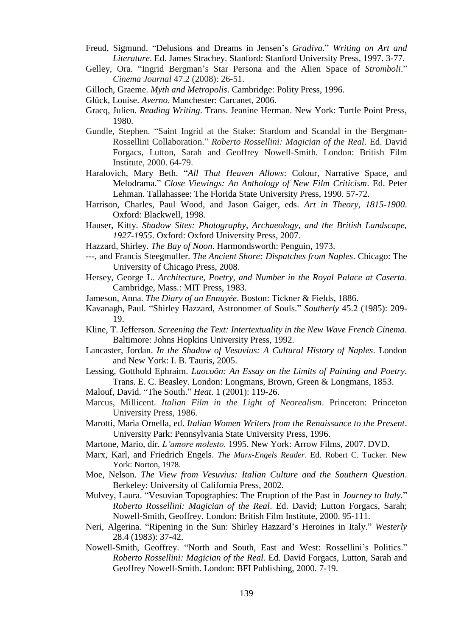- Freud, Sigmund. "Delusions and Dreams in Jensen"s *Gradiva*." *Writing on Art and Literature*. Ed. James Strachey. Stanford: Stanford University Press, 1997. 3-77.
- Gelley, Ora. "Ingrid Bergman"s Star Persona and the Alien Space of *Stromboli*." *Cinema Journal* 47.2 (2008): 26-51.
- Gilloch, Graeme. *Myth and Metropolis*. Cambridge: Polity Press, 1996.
- Glück, Louise. *Averno*. Manchester: Carcanet, 2006.
- Gracq, Julien. *Reading Writing*. Trans. Jeanine Herman. New York: Turtle Point Press, 1980.
- Gundle, Stephen. "Saint Ingrid at the Stake: Stardom and Scandal in the Bergman-Rossellini Collaboration." *Roberto Rossellini: Magician of the Real*. Ed. David Forgacs, Lutton, Sarah and Geoffrey Nowell-Smith. London: British Film Institute, 2000. 64-79.
- Haralovich, Mary Beth. "*All That Heaven Allows*: Colour, Narrative Space, and Melodrama." *Close Viewings: An Anthology of New Film Criticism*. Ed. Peter Lehman. Tallahassee: The Florida State University Press, 1990. 57-72.
- Harrison, Charles, Paul Wood, and Jason Gaiger, eds. *Art in Theory, 1815-1900*. Oxford: Blackwell, 1998.
- Hauser, Kitty. *Shadow Sites: Photography, Archaeology, and the British Landscape, 1927-1955*. Oxford: Oxford University Press, 2007.
- Hazzard, Shirley. *The Bay of Noon*. Harmondsworth: Penguin, 1973.
- ---, and Francis Steegmuller. *The Ancient Shore: Dispatches from Naples*. Chicago: The University of Chicago Press, 2008.
- Hersey, George L. *Architecture, Poetry, and Number in the Royal Palace at Caserta*. Cambridge, Mass.: MIT Press, 1983.
- Jameson, Anna. *The Diary of an Ennuyée*. Boston: Tickner & Fields, 1886.
- Kavanagh, Paul. "Shirley Hazzard, Astronomer of Souls." *Southerly* 45.2 (1985): 209- 19.
- Kline, T. Jefferson. *Screening the Text: Intertextuality in the New Wave French Cinema*. Baltimore: Johns Hopkins University Press, 1992.
- Lancaster, Jordan. *In the Shadow of Vesuvius: A Cultural History of Naples*. London and New York: I. B. Tauris, 2005.
- Lessing, Gotthold Ephraim. *Laocoön: An Essay on the Limits of Painting and Poetry*. Trans. E. C. Beasley. London: Longmans, Brown, Green & Longmans, 1853.
- Malouf, David. "The South." *Heat*. 1 (2001): 119-26.
- Marcus, Millicent. *Italian Film in the Light of Neorealism*. Princeton: Princeton University Press, 1986.
- Marotti, Maria Ornella, ed. *Italian Women Writers from the Renaissance to the Present*. University Park: Pennsylvania State University Press, 1996.
- Martone, Mario, dir. *L"amore molesto.* 1995. New York: Arrow Films, 2007. DVD.
- Marx, Karl, and Friedrich Engels. *The Marx-Engels Reader*. Ed. Robert C. Tucker. New York: Norton, 1978.
- Moe, Nelson. *The View from Vesuvius: Italian Culture and the Southern Question*. Berkeley: University of California Press, 2002.
- Mulvey, Laura. "Vesuvian Topographies: The Eruption of the Past in *Journey to Italy*." *Roberto Rossellini: Magician of the Real*. Ed. David; Lutton Forgacs, Sarah; Nowell-Smith, Geoffrey. London: British Film Institute, 2000. 95-111.
- Neri, Algerina. "Ripening in the Sun: Shirley Hazzard"s Heroines in Italy." *Westerly* 28.4 (1983): 37-42.
- Nowell-Smith, Geoffrey. "North and South, East and West: Rossellini"s Politics." *Roberto Rossellini: Magician of the Real*. Ed. David Forgacs, Lutton, Sarah and Geoffrey Nowell-Smith. London: BFI Publishing, 2000. 7-19.